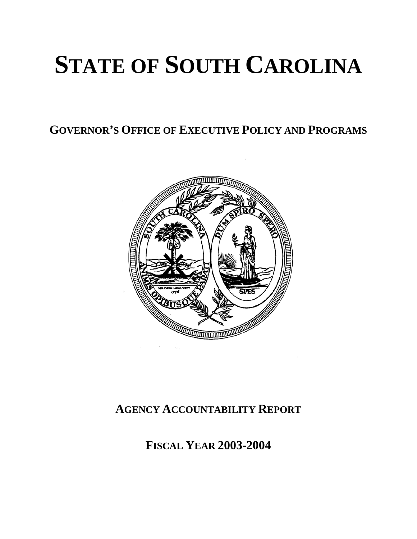# **STATE OF SOUTH CAROLINA**

**GOVERNOR'S OFFICE OF EXECUTIVE POLICY AND PROGRAMS**



## **AGENCY ACCOUNTABILITY REPORT**

**FISCAL YEAR 2003-2004**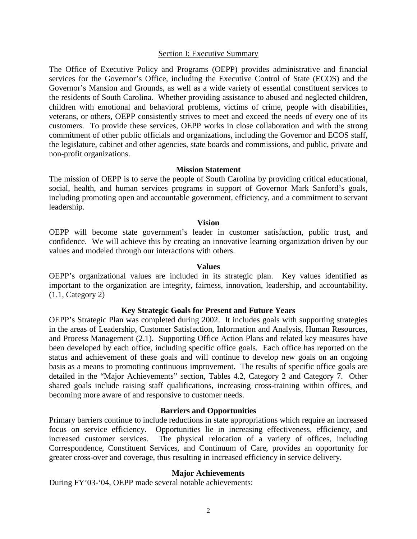#### Section I: Executive Summary

The Office of Executive Policy and Programs (OEPP) provides administrative and financial services for the Governor's Office, including the Executive Control of State (ECOS) and the Governor's Mansion and Grounds, as well as a wide variety of essential constituent services to the residents of South Carolina. Whether providing assistance to abused and neglected children, children with emotional and behavioral problems, victims of crime, people with disabilities, veterans, or others, OEPP consistently strives to meet and exceed the needs of every one of its customers. To provide these services, OEPP works in close collaboration and with the strong commitment of other public officials and organizations, including the Governor and ECOS staff, the legislature, cabinet and other agencies, state boards and commissions, and public, private and non-profit organizations.

#### **Mission Statement**

The mission of OEPP is to serve the people of South Carolina by providing critical educational, social, health, and human services programs in support of Governor Mark Sanford's goals, including promoting open and accountable government, efficiency, and a commitment to servant leadership.

#### **Vision**

OEPP will become state government's leader in customer satisfaction, public trust, and confidence. We will achieve this by creating an innovative learning organization driven by our values and modeled through our interactions with others.

#### **Values**

OEPP's organizational values are included in its strategic plan. Key values identified as important to the organization are integrity, fairness, innovation, leadership, and accountability. (1.1, Category 2)

#### **Key Strategic Goals for Present and Future Years**

OEPP's Strategic Plan was completed during 2002. It includes goals with supporting strategies in the areas of Leadership, Customer Satisfaction, Information and Analysis, Human Resources, and Process Management (2.1). Supporting Office Action Plans and related key measures have been developed by each office, including specific office goals. Each office has reported on the status and achievement of these goals and will continue to develop new goals on an ongoing basis as a means to promoting continuous improvement. The results of specific office goals are detailed in the "Major Achievements" section, Tables 4.2, Category 2 and Category 7. Other shared goals include raising staff qualifications, increasing cross-training within offices, and becoming more aware of and responsive to customer needs.

#### **Barriers and Opportunities**

Primary barriers continue to include reductions in state appropriations which require an increased focus on service efficiency. Opportunities lie in increasing effectiveness, efficiency, and increased customer services. The physical relocation of a variety of offices, including Correspondence, Constituent Services, and Continuum of Care, provides an opportunity for greater cross-over and coverage, thus resulting in increased efficiency in service delivery.

#### **Major Achievements**

During FY'03-'04, OEPP made several notable achievements: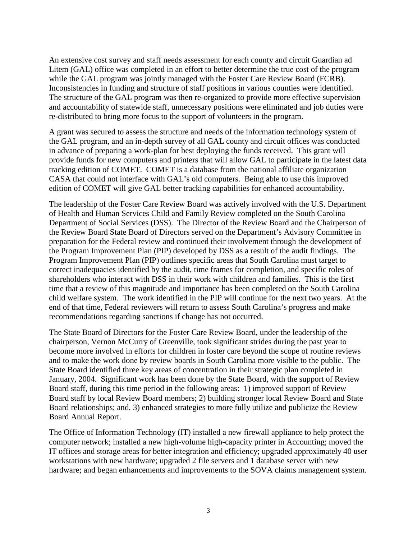An extensive cost survey and staff needs assessment for each county and circuit Guardian ad Litem (GAL) office was completed in an effort to better determine the true cost of the program while the GAL program was jointly managed with the Foster Care Review Board (FCRB). Inconsistencies in funding and structure of staff positions in various counties were identified. The structure of the GAL program was then re-organized to provide more effective supervision and accountability of statewide staff, unnecessary positions were eliminated and job duties were re-distributed to bring more focus to the support of volunteers in the program.

A grant was secured to assess the structure and needs of the information technology system of the GAL program, and an in-depth survey of all GAL county and circuit offices was conducted in advance of preparing a work-plan for best deploying the funds received. This grant will provide funds for new computers and printers that will allow GAL to participate in the latest data tracking edition of COMET. COMET is a database from the national affiliate organization CASA that could not interface with GAL's old computers. Being able to use this improved edition of COMET will give GAL better tracking capabilities for enhanced accountability.

The leadership of the Foster Care Review Board was actively involved with the U.S. Department of Health and Human Services Child and Family Review completed on the South Carolina Department of Social Services (DSS). The Director of the Review Board and the Chairperson of the Review Board State Board of Directors served on the Department's Advisory Committee in preparation for the Federal review and continued their involvement through the development of the Program Improvement Plan (PIP) developed by DSS as a result of the audit findings. The Program Improvement Plan (PIP) outlines specific areas that South Carolina must target to correct inadequacies identified by the audit, time frames for completion, and specific roles of shareholders who interact with DSS in their work with children and families. This is the first time that a review of this magnitude and importance has been completed on the South Carolina child welfare system. The work identified in the PIP will continue for the next two years. At the end of that time, Federal reviewers will return to assess South Carolina's progress and make recommendations regarding sanctions if change has not occurred.

The State Board of Directors for the Foster Care Review Board, under the leadership of the chairperson, Vernon McCurry of Greenville, took significant strides during the past year to become more involved in efforts for children in foster care beyond the scope of routine reviews and to make the work done by review boards in South Carolina more visible to the public. The State Board identified three key areas of concentration in their strategic plan completed in January, 2004. Significant work has been done by the State Board, with the support of Review Board staff, during this time period in the following areas: 1) improved support of Review Board staff by local Review Board members; 2) building stronger local Review Board and State Board relationships; and, 3) enhanced strategies to more fully utilize and publicize the Review Board Annual Report.

The Office of Information Technology (IT) installed a new firewall appliance to help protect the computer network; installed a new high-volume high-capacity printer in Accounting; moved the IT offices and storage areas for better integration and efficiency; upgraded approximately 40 user workstations with new hardware; upgraded 2 file servers and 1 database server with new hardware; and began enhancements and improvements to the SOVA claims management system.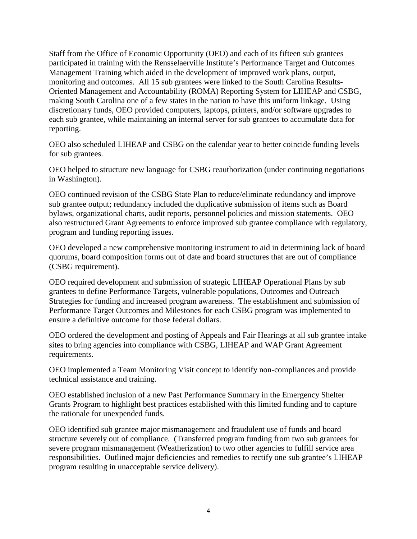Staff from the Office of Economic Opportunity (OEO) and each of its fifteen sub grantees participated in training with the Rensselaerville Institute's Performance Target and Outcomes Management Training which aided in the development of improved work plans, output, monitoring and outcomes. All 15 sub grantees were linked to the South Carolina Results-Oriented Management and Accountability (ROMA) Reporting System for LIHEAP and CSBG, making South Carolina one of a few states in the nation to have this uniform linkage. Using discretionary funds, OEO provided computers, laptops, printers, and/or software upgrades to each sub grantee, while maintaining an internal server for sub grantees to accumulate data for reporting.

OEO also scheduled LIHEAP and CSBG on the calendar year to better coincide funding levels for sub grantees.

OEO helped to structure new language for CSBG reauthorization (under continuing negotiations in Washington).

OEO continued revision of the CSBG State Plan to reduce/eliminate redundancy and improve sub grantee output; redundancy included the duplicative submission of items such as Board bylaws, organizational charts, audit reports, personnel policies and mission statements. OEO also restructured Grant Agreements to enforce improved sub grantee compliance with regulatory, program and funding reporting issues.

OEO developed a new comprehensive monitoring instrument to aid in determining lack of board quorums, board composition forms out of date and board structures that are out of compliance (CSBG requirement).

OEO required development and submission of strategic LIHEAP Operational Plans by sub grantees to define Performance Targets, vulnerable populations, Outcomes and Outreach Strategies for funding and increased program awareness. The establishment and submission of Performance Target Outcomes and Milestones for each CSBG program was implemented to ensure a definitive outcome for those federal dollars.

OEO ordered the development and posting of Appeals and Fair Hearings at all sub grantee intake sites to bring agencies into compliance with CSBG, LIHEAP and WAP Grant Agreement requirements.

OEO implemented a Team Monitoring Visit concept to identify non-compliances and provide technical assistance and training.

OEO established inclusion of a new Past Performance Summary in the Emergency Shelter Grants Program to highlight best practices established with this limited funding and to capture the rationale for unexpended funds.

OEO identified sub grantee major mismanagement and fraudulent use of funds and board structure severely out of compliance. (Transferred program funding from two sub grantees for severe program mismanagement (Weatherization) to two other agencies to fulfill service area responsibilities. Outlined major deficiencies and remedies to rectify one sub grantee's LIHEAP program resulting in unacceptable service delivery).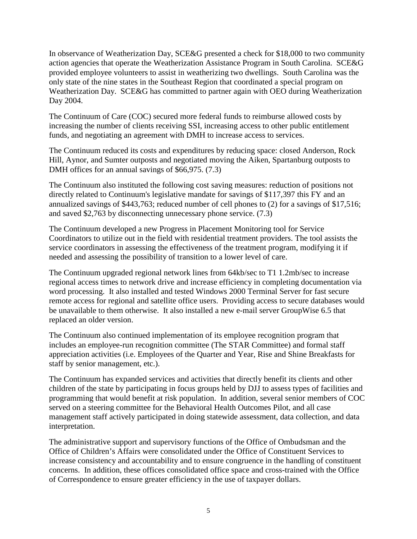In observance of Weatherization Day, SCE&G presented a check for \$18,000 to two community action agencies that operate the Weatherization Assistance Program in South Carolina. SCE&G provided employee volunteers to assist in weatherizing two dwellings. South Carolina was the only state of the nine states in the Southeast Region that coordinated a special program on Weatherization Day. SCE&G has committed to partner again with OEO during Weatherization Day 2004.

The Continuum of Care (COC) secured more federal funds to reimburse allowed costs by increasing the number of clients receiving SSI, increasing access to other public entitlement funds, and negotiating an agreement with DMH to increase access to services.

The Continuum reduced its costs and expenditures by reducing space: closed Anderson, Rock Hill, Aynor, and Sumter outposts and negotiated moving the Aiken, Spartanburg outposts to DMH offices for an annual savings of \$66,975. (7.3)

The Continuum also instituted the following cost saving measures: reduction of positions not directly related to Continuum's legislative mandate for savings of \$117,397 this FY and an annualized savings of \$443,763; reduced number of cell phones to (2) for a savings of \$17,516; and saved \$2,763 by disconnecting unnecessary phone service. (7.3)

The Continuum developed a new Progress in Placement Monitoring tool for Service Coordinators to utilize out in the field with residential treatment providers. The tool assists the service coordinators in assessing the effectiveness of the treatment program, modifying it if needed and assessing the possibility of transition to a lower level of care.

The Continuum upgraded regional network lines from 64kb/sec to T1 1.2mb/sec to increase regional access times to network drive and increase efficiency in completing documentation via word processing. It also installed and tested Windows 2000 Terminal Server for fast secure remote access for regional and satellite office users. Providing access to secure databases would be unavailable to them otherwise. It also installed a new e-mail server GroupWise 6.5 that replaced an older version.

The Continuum also continued implementation of its employee recognition program that includes an employee-run recognition committee (The STAR Committee) and formal staff appreciation activities (i.e. Employees of the Quarter and Year, Rise and Shine Breakfasts for staff by senior management, etc.).

The Continuum has expanded services and activities that directly benefit its clients and other children of the state by participating in focus groups held by DJJ to assess types of facilities and programming that would benefit at risk population. In addition, several senior members of COC served on a steering committee for the Behavioral Health Outcomes Pilot, and all case management staff actively participated in doing statewide assessment, data collection, and data interpretation.

The administrative support and supervisory functions of the Office of Ombudsman and the Office of Children's Affairs were consolidated under the Office of Constituent Services to increase consistency and accountability and to ensure congruence in the handling of constituent concerns. In addition, these offices consolidated office space and cross-trained with the Office of Correspondence to ensure greater efficiency in the use of taxpayer dollars.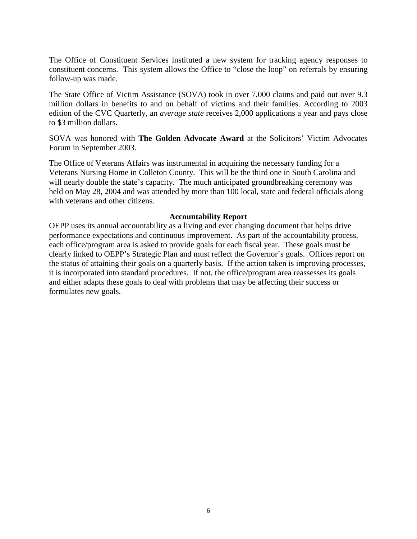The Office of Constituent Services instituted a new system for tracking agency responses to constituent concerns. This system allows the Office to "close the loop" on referrals by ensuring follow-up was made.

The State Office of Victim Assistance (SOVA) took in over 7,000 claims and paid out over 9.3 million dollars in benefits to and on behalf of victims and their families. According to 2003 edition of the CVC Quarterly, an *average state* receives 2,000 applications a year and pays close to \$3 million dollars.

SOVA was honored with **The Golden Advocate Award** at the Solicitors' Victim Advocates Forum in September 2003.

The Office of Veterans Affairs was instrumental in acquiring the necessary funding for a Veterans Nursing Home in Colleton County. This will be the third one in South Carolina and will nearly double the state's capacity. The much anticipated groundbreaking ceremony was held on May 28, 2004 and was attended by more than 100 local, state and federal officials along with veterans and other citizens.

#### **Accountability Report**

OEPP uses its annual accountability as a living and ever changing document that helps drive performance expectations and continuous improvement. As part of the accountability process, each office/program area is asked to provide goals for each fiscal year. These goals must be clearly linked to OEPP's Strategic Plan and must reflect the Governor's goals. Offices report on the status of attaining their goals on a quarterly basis. If the action taken is improving processes, it is incorporated into standard procedures. If not, the office/program area reassesses its goals and either adapts these goals to deal with problems that may be affecting their success or formulates new goals.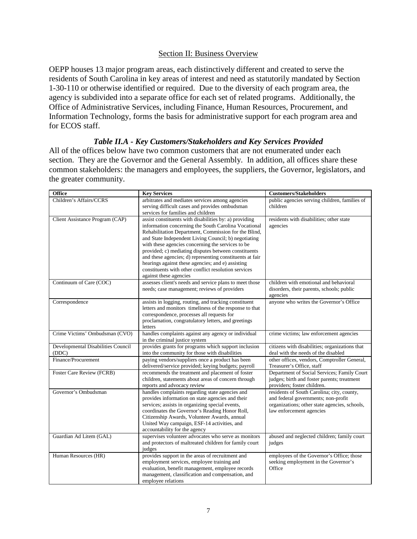#### Section II: Business Overview

OEPP houses 13 major program areas, each distinctively different and created to serve the residents of South Carolina in key areas of interest and need as statutorily mandated by Section 1-30-110 or otherwise identified or required. Due to the diversity of each program area, the agency is subdivided into a separate office for each set of related programs. Additionally, the Office of Administrative Services, including Finance, Human Resources, Procurement, and Information Technology, forms the basis for administrative support for each program area and for ECOS staff.

#### *Table II.A - Key Customers/Stakeholders and Key Services Provided*

All of the offices below have two common customers that are not enumerated under each section. They are the Governor and the General Assembly. In addition, all offices share these common stakeholders: the managers and employees, the suppliers, the Governor, legislators, and the greater community.

| <b>Office</b>                      | <b>Key Services</b>                                                                                       | <b>Customers/Stakeholders</b>                                             |
|------------------------------------|-----------------------------------------------------------------------------------------------------------|---------------------------------------------------------------------------|
| Children's Affairs/CCRS            | arbitrates and mediates services among agencies                                                           | public agencies serving children, families of                             |
|                                    | serving difficult cases and provides ombudsman                                                            | children                                                                  |
| Client Assistance Program (CAP)    | services for families and children<br>assist constituents with disabilities by: a) providing              | residents with disabilities; other state                                  |
|                                    | information concerning the South Carolina Vocational                                                      | agencies                                                                  |
|                                    | Rehabilitation Department, Commission for the Blind,                                                      |                                                                           |
|                                    | and State Independent Living Council; b) negotiating                                                      |                                                                           |
|                                    | with these agencies concerning the services to be                                                         |                                                                           |
|                                    | provided; c) mediating disputes between constituents                                                      |                                                                           |
|                                    | and these agencies; d) representing constituents at fair                                                  |                                                                           |
|                                    | hearings against these agencies; and e) assisting<br>constituents with other conflict resolution services |                                                                           |
|                                    | against these agencies                                                                                    |                                                                           |
| Continuum of Care (COC)            | assesses client's needs and service plans to meet those                                                   | children with emotional and behavioral                                    |
|                                    | needs; case management; reviews of providers                                                              | disorders, their parents, schools; public                                 |
|                                    |                                                                                                           | agencies                                                                  |
| Correspondence                     | assists in logging, routing, and tracking constituent                                                     | anyone who writes the Governor's Office                                   |
|                                    | letters and monitors timeliness of the response to that                                                   |                                                                           |
|                                    | correspondence, processes all requests for<br>proclamation, congratulatory letters, and greetings         |                                                                           |
|                                    | letters                                                                                                   |                                                                           |
| Crime Victims' Ombudsman (CVO)     | handles complaints against any agency or individual                                                       | crime victims; law enforcement agencies                                   |
|                                    | in the criminal justice system                                                                            |                                                                           |
| Developmental Disabilities Council | provides grants for programs which support inclusion                                                      | citizens with disabilities; organizations that                            |
| (DDC)                              | into the community for those with disabilities                                                            | deal with the needs of the disabled                                       |
| Finance/Procurement                | paying vendors/suppliers once a product has been<br>delivered/service provided; keying budgets; payroll   | other offices, vendors, Comptroller General,<br>Treasurer's Office, staff |
| Foster Care Review (FCRB)          | recommends the treatment and placement of foster                                                          | Department of Social Services; Family Court                               |
|                                    | children, statements about areas of concern through                                                       | judges; birth and foster parents; treatment                               |
|                                    | reports and advocacy review                                                                               | providers; foster children.                                               |
| Governor's Ombudsman               | handles complaints regarding state agencies and                                                           | residents of South Carolina; city, county,                                |
|                                    | provides information on state agencies and their                                                          | and federal governments; non-profit                                       |
|                                    | services; assists in organizing special events,                                                           | organizations; other state agencies, schools,                             |
|                                    | coordinates the Governor's Reading Honor Roll,<br>Citizenship Awards, Volunteer Awards, annual            | law enforcement agencies                                                  |
|                                    | United Way campaign, ESF-14 activities, and                                                               |                                                                           |
|                                    | accountability for the agency                                                                             |                                                                           |
| Guardian Ad Litem (GAL)            | supervises volunteer advocates who serve as monitors                                                      | abused and neglected children; family court                               |
|                                    | and protectors of maltreated children for family court                                                    | judges                                                                    |
|                                    | judges                                                                                                    |                                                                           |
| Human Resources (HR)               | provides support in the areas of recruitment and                                                          | employees of the Governor's Office; those                                 |
|                                    | employment services, employee training and<br>evaluation, benefit management, employee records            | seeking employment in the Governor's<br>Office                            |
|                                    | management, classification and compensation, and                                                          |                                                                           |
|                                    | employee relations                                                                                        |                                                                           |
|                                    |                                                                                                           |                                                                           |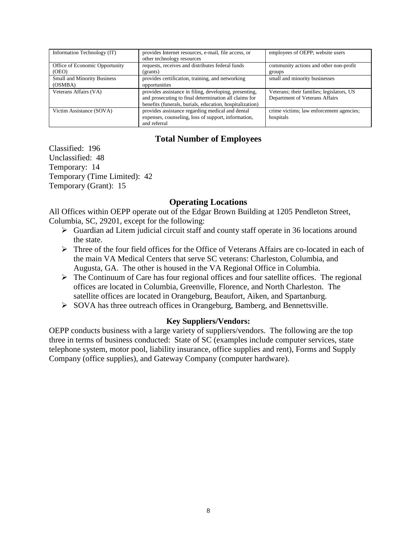| Information Technology (IT)        | provides Internet resources, e-mail, file access, or<br>other technology resources | employees of OEPP; website users          |
|------------------------------------|------------------------------------------------------------------------------------|-------------------------------------------|
| Office of Economic Opportunity     | requests, receives and distributes federal funds                                   | community actions and other non-profit    |
| (OEO)                              | (grants)                                                                           | groups                                    |
| <b>Small and Minority Business</b> | provides certification, training, and networking                                   | small and minority businesses             |
| (OSMBA)                            | opportunities                                                                      |                                           |
| Veterans Affairs (VA)              | provides assistance in filing, developing, presenting,                             | Veterans; their families; legislators, US |
|                                    | and prosecuting to final determination all claims for                              | Department of Veterans Affairs            |
|                                    | benefits (funerals, burials, education, hospitalization)                           |                                           |
| Victim Assistance (SOVA)           | provides assistance regarding medical and dental                                   | crime victims; law enforcement agencies;  |
|                                    | expenses, counseling, loss of support, information,                                | hospitals                                 |
|                                    | and referral                                                                       |                                           |

#### **Total Number of Employees**

Classified: 196 Unclassified: 48 Temporary: 14 Temporary (Time Limited): 42 Temporary (Grant): 15

#### **Operating Locations**

All Offices within OEPP operate out of the Edgar Brown Building at 1205 Pendleton Street, Columbia, SC, 29201, except for the following:

- Guardian ad Litem judicial circuit staff and county staff operate in 36 locations around the state.
- $\triangleright$  Three of the four field offices for the Office of Veterans Affairs are co-located in each of the main VA Medical Centers that serve SC veterans: Charleston, Columbia, and Augusta, GA. The other is housed in the VA Regional Office in Columbia.
- $\triangleright$  The Continuum of Care has four regional offices and four satellite offices. The regional offices are located in Columbia, Greenville, Florence, and North Charleston. The satellite offices are located in Orangeburg, Beaufort, Aiken, and Spartanburg.
- SOVA has three outreach offices in Orangeburg, Bamberg, and Bennettsville.

#### **Key Suppliers/Vendors:**

OEPP conducts business with a large variety of suppliers/vendors. The following are the top three in terms of business conducted: State of SC (examples include computer services, state telephone system, motor pool, liability insurance, office supplies and rent), Forms and Supply Company (office supplies), and Gateway Company (computer hardware).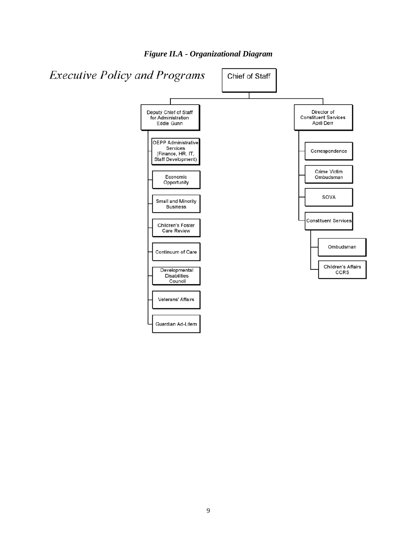

*Figure II.A - Organizational Diagram*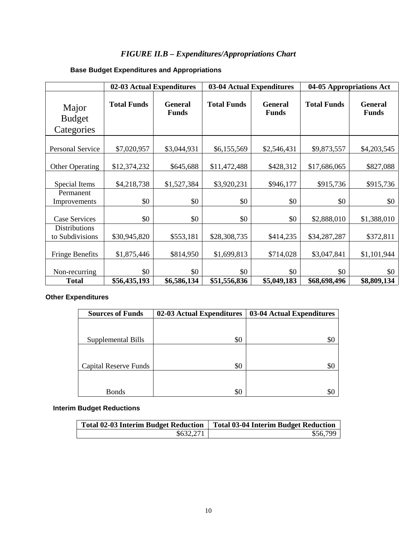## *FIGURE II.B – Expenditures/Appropriations Chart*

## **Base Budget Expenditures and Appropriations**

|                                         |                    | 04-05 Appropriations Act<br>02-03 Actual Expenditures<br>03-04 Actual Expenditures |                    |                                |                    |                                |
|-----------------------------------------|--------------------|------------------------------------------------------------------------------------|--------------------|--------------------------------|--------------------|--------------------------------|
| Major<br><b>Budget</b><br>Categories    | <b>Total Funds</b> | <b>General</b><br><b>Funds</b>                                                     | <b>Total Funds</b> | <b>General</b><br><b>Funds</b> | <b>Total Funds</b> | <b>General</b><br><b>Funds</b> |
| <b>Personal Service</b>                 | \$7,020,957        | \$3,044,931                                                                        | \$6,155,569        | \$2,546,431                    | \$9,873,557        | \$4,203,545                    |
| <b>Other Operating</b>                  | \$12,374,232       | \$645,688                                                                          | \$11,472,488       | \$428,312                      | \$17,686,065       | \$827,088                      |
| Special Items                           | \$4,218,738        | \$1,527,384                                                                        | \$3,920,231        | \$946,177                      | \$915,736          | \$915,736                      |
| Permanent<br>Improvements               | \$0                | \$0                                                                                | \$0                | \$0                            | \$0                | \$0                            |
| <b>Case Services</b>                    | \$0                | \$0                                                                                | \$0                | \$0                            | \$2,888,010        | \$1,388,010                    |
| <b>Distributions</b><br>to Subdivisions | \$30,945,820       | \$553,181                                                                          | \$28,308,735       | \$414,235                      | \$34,287,287       | \$372,811                      |
| <b>Fringe Benefits</b>                  | \$1,875,446        | \$814,950                                                                          | \$1,699,813        | \$714,028                      | \$3,047,841        | \$1,101,944                    |
| Non-recurring                           | \$0                | \$0                                                                                | \$0                | \$0                            | \$0                | \$0                            |
| <b>Total</b>                            | \$56,435,193       | \$6,586,134                                                                        | \$51,556,836       | \$5,049,183                    | \$68,698,496       | \$8,809,134                    |

#### **Other Expenditures**

| <b>Sources of Funds</b>      | 02-03 Actual Expenditures | 03-04 Actual Expenditures |
|------------------------------|---------------------------|---------------------------|
|                              |                           |                           |
|                              |                           |                           |
| Supplemental Bills           | \$0                       | 20                        |
|                              |                           |                           |
|                              |                           |                           |
| <b>Capital Reserve Funds</b> | \$0                       | Ж.                        |
|                              |                           |                           |
|                              |                           |                           |
| <b>Bonds</b>                 | \$0                       |                           |

#### **Interim Budget Reductions**

| <b>Total 02-03 Interim Budget Reduction</b> | <b>Total 03-04 Interim Budget Reduction</b> |
|---------------------------------------------|---------------------------------------------|
| \$632,271                                   | \$56.799                                    |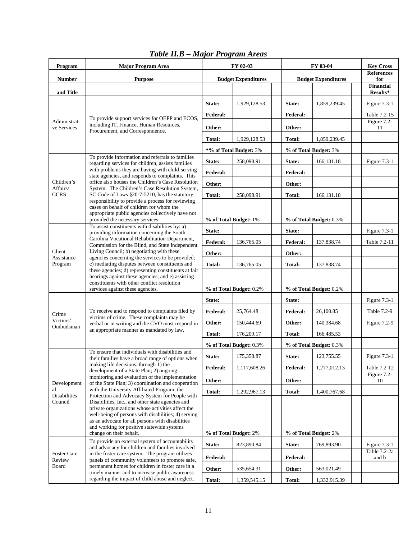| <b>References</b><br><b>Number</b><br><b>Purpose</b><br><b>Budget Expenditures</b><br><b>Budget Expenditures</b><br>for<br><b>Financial</b><br>and Title<br>Results*<br>1,929,128.53<br>State:<br>1,859,239.45<br>Figure 7.3-1<br>State:<br>Federal:<br><b>Federal:</b><br>Table 7.2-15<br>To provide support services for OEPP and ECOS,<br>Figure 7.2-<br>Administrati<br>including IT, Finance, Human Resources,<br>ve Services<br>Other:<br>Other:<br>11<br>Procurement, and Correspondence.<br>1,929,128.53<br>Total:<br>1,859,239.45<br>Total:<br>*% of Total Budget: 3%<br>% of Total Budget: 3%<br>To provide information and referrals to families<br>State:<br>258,098.91<br>State:<br>166, 131. 18<br>Figure 7.3-1<br>regarding services for children, assists families<br>with problems they are having with child-serving<br>Federal:<br><b>Federal:</b><br>state agencies, and responds to complaints. This<br>office also houses the Children's Case Resolution<br>Children's<br>Other:<br>Other:<br>System. The Children's Case Resolution System,<br>Affairs/<br><b>CCRS</b><br>SC Code of Laws §20-7-5210, has the statutory<br>Total:<br>258,098.91<br>Total:<br>166,131.18<br>responsibility to provide a process for reviewing<br>cases on behalf of children for whom the<br>appropriate public agencies collectively have not<br>provided the necessary services.<br>% of Total Budget: 1%<br>% of Total Budget: 0.3%<br>To assist constituents with disabilities by: a)<br>State:<br>State:<br>Figure 7.3-1<br>providing information concerning the South<br>Carolina Vocational Rehabilitation Department,<br>136,765.05<br><b>Federal:</b><br><b>Federal:</b><br>137,838.74<br>Table 7.2-11<br>Commission for the Blind, and State Independent<br>Living Council; b) negotiating with these<br>Client<br>Other:<br>Other:<br>Assistance<br>agencies concerning the services to be provided;<br>c) mediating disputes between constituents and<br>Program<br>Total:<br>136,765.05<br>137,838.74<br>Total:<br>these agencies; d) representing constituents at fair<br>hearings against these agencies; and e) assisting<br>constituents with other conflict resolution<br>services against these agencies.<br>% of Total Budget: 0.2%<br>% of Total Budget: 0.2%<br>State:<br>State:<br>Figure $7.3-1$<br>To receive and to respond to complaints filed by<br>25,764.48<br><b>Federal:</b><br>26,100.85<br><b>Federal:</b><br>Table 7.2-9<br>Crime<br>victims of crime. These complaints may be<br>Victims'<br>Other:<br>Other:<br>140,384.68<br>150,444.69<br>Figure 7.2-9<br>verbal or in writing and the CVO must respond in<br>Ombudsman<br>an appropriate manner as mandated by law.<br>176,209.17<br>166,485.53<br>Total:<br>Total: | Program | <b>Major Program Area</b>                       | FY 02-03 |  | FY 03-04 |  | <b>Key Cross</b> |
|-------------------------------------------------------------------------------------------------------------------------------------------------------------------------------------------------------------------------------------------------------------------------------------------------------------------------------------------------------------------------------------------------------------------------------------------------------------------------------------------------------------------------------------------------------------------------------------------------------------------------------------------------------------------------------------------------------------------------------------------------------------------------------------------------------------------------------------------------------------------------------------------------------------------------------------------------------------------------------------------------------------------------------------------------------------------------------------------------------------------------------------------------------------------------------------------------------------------------------------------------------------------------------------------------------------------------------------------------------------------------------------------------------------------------------------------------------------------------------------------------------------------------------------------------------------------------------------------------------------------------------------------------------------------------------------------------------------------------------------------------------------------------------------------------------------------------------------------------------------------------------------------------------------------------------------------------------------------------------------------------------------------------------------------------------------------------------------------------------------------------------------------------------------------------------------------------------------------------------------------------------------------------------------------------------------------------------------------------------------------------------------------------------------------------------------------------------------------------------------------------------------------------------------------------------------------------------------------------------------------------------------------------------------------------------------------------------------------------------------------------------------------|---------|-------------------------------------------------|----------|--|----------|--|------------------|
|                                                                                                                                                                                                                                                                                                                                                                                                                                                                                                                                                                                                                                                                                                                                                                                                                                                                                                                                                                                                                                                                                                                                                                                                                                                                                                                                                                                                                                                                                                                                                                                                                                                                                                                                                                                                                                                                                                                                                                                                                                                                                                                                                                                                                                                                                                                                                                                                                                                                                                                                                                                                                                                                                                                                                                   |         |                                                 |          |  |          |  |                  |
|                                                                                                                                                                                                                                                                                                                                                                                                                                                                                                                                                                                                                                                                                                                                                                                                                                                                                                                                                                                                                                                                                                                                                                                                                                                                                                                                                                                                                                                                                                                                                                                                                                                                                                                                                                                                                                                                                                                                                                                                                                                                                                                                                                                                                                                                                                                                                                                                                                                                                                                                                                                                                                                                                                                                                                   |         |                                                 |          |  |          |  |                  |
|                                                                                                                                                                                                                                                                                                                                                                                                                                                                                                                                                                                                                                                                                                                                                                                                                                                                                                                                                                                                                                                                                                                                                                                                                                                                                                                                                                                                                                                                                                                                                                                                                                                                                                                                                                                                                                                                                                                                                                                                                                                                                                                                                                                                                                                                                                                                                                                                                                                                                                                                                                                                                                                                                                                                                                   |         |                                                 |          |  |          |  |                  |
|                                                                                                                                                                                                                                                                                                                                                                                                                                                                                                                                                                                                                                                                                                                                                                                                                                                                                                                                                                                                                                                                                                                                                                                                                                                                                                                                                                                                                                                                                                                                                                                                                                                                                                                                                                                                                                                                                                                                                                                                                                                                                                                                                                                                                                                                                                                                                                                                                                                                                                                                                                                                                                                                                                                                                                   |         |                                                 |          |  |          |  |                  |
|                                                                                                                                                                                                                                                                                                                                                                                                                                                                                                                                                                                                                                                                                                                                                                                                                                                                                                                                                                                                                                                                                                                                                                                                                                                                                                                                                                                                                                                                                                                                                                                                                                                                                                                                                                                                                                                                                                                                                                                                                                                                                                                                                                                                                                                                                                                                                                                                                                                                                                                                                                                                                                                                                                                                                                   |         |                                                 |          |  |          |  |                  |
|                                                                                                                                                                                                                                                                                                                                                                                                                                                                                                                                                                                                                                                                                                                                                                                                                                                                                                                                                                                                                                                                                                                                                                                                                                                                                                                                                                                                                                                                                                                                                                                                                                                                                                                                                                                                                                                                                                                                                                                                                                                                                                                                                                                                                                                                                                                                                                                                                                                                                                                                                                                                                                                                                                                                                                   |         |                                                 |          |  |          |  |                  |
|                                                                                                                                                                                                                                                                                                                                                                                                                                                                                                                                                                                                                                                                                                                                                                                                                                                                                                                                                                                                                                                                                                                                                                                                                                                                                                                                                                                                                                                                                                                                                                                                                                                                                                                                                                                                                                                                                                                                                                                                                                                                                                                                                                                                                                                                                                                                                                                                                                                                                                                                                                                                                                                                                                                                                                   |         |                                                 |          |  |          |  |                  |
|                                                                                                                                                                                                                                                                                                                                                                                                                                                                                                                                                                                                                                                                                                                                                                                                                                                                                                                                                                                                                                                                                                                                                                                                                                                                                                                                                                                                                                                                                                                                                                                                                                                                                                                                                                                                                                                                                                                                                                                                                                                                                                                                                                                                                                                                                                                                                                                                                                                                                                                                                                                                                                                                                                                                                                   |         |                                                 |          |  |          |  |                  |
|                                                                                                                                                                                                                                                                                                                                                                                                                                                                                                                                                                                                                                                                                                                                                                                                                                                                                                                                                                                                                                                                                                                                                                                                                                                                                                                                                                                                                                                                                                                                                                                                                                                                                                                                                                                                                                                                                                                                                                                                                                                                                                                                                                                                                                                                                                                                                                                                                                                                                                                                                                                                                                                                                                                                                                   |         |                                                 |          |  |          |  |                  |
|                                                                                                                                                                                                                                                                                                                                                                                                                                                                                                                                                                                                                                                                                                                                                                                                                                                                                                                                                                                                                                                                                                                                                                                                                                                                                                                                                                                                                                                                                                                                                                                                                                                                                                                                                                                                                                                                                                                                                                                                                                                                                                                                                                                                                                                                                                                                                                                                                                                                                                                                                                                                                                                                                                                                                                   |         |                                                 |          |  |          |  |                  |
|                                                                                                                                                                                                                                                                                                                                                                                                                                                                                                                                                                                                                                                                                                                                                                                                                                                                                                                                                                                                                                                                                                                                                                                                                                                                                                                                                                                                                                                                                                                                                                                                                                                                                                                                                                                                                                                                                                                                                                                                                                                                                                                                                                                                                                                                                                                                                                                                                                                                                                                                                                                                                                                                                                                                                                   |         |                                                 |          |  |          |  |                  |
|                                                                                                                                                                                                                                                                                                                                                                                                                                                                                                                                                                                                                                                                                                                                                                                                                                                                                                                                                                                                                                                                                                                                                                                                                                                                                                                                                                                                                                                                                                                                                                                                                                                                                                                                                                                                                                                                                                                                                                                                                                                                                                                                                                                                                                                                                                                                                                                                                                                                                                                                                                                                                                                                                                                                                                   |         |                                                 |          |  |          |  |                  |
|                                                                                                                                                                                                                                                                                                                                                                                                                                                                                                                                                                                                                                                                                                                                                                                                                                                                                                                                                                                                                                                                                                                                                                                                                                                                                                                                                                                                                                                                                                                                                                                                                                                                                                                                                                                                                                                                                                                                                                                                                                                                                                                                                                                                                                                                                                                                                                                                                                                                                                                                                                                                                                                                                                                                                                   |         |                                                 |          |  |          |  |                  |
|                                                                                                                                                                                                                                                                                                                                                                                                                                                                                                                                                                                                                                                                                                                                                                                                                                                                                                                                                                                                                                                                                                                                                                                                                                                                                                                                                                                                                                                                                                                                                                                                                                                                                                                                                                                                                                                                                                                                                                                                                                                                                                                                                                                                                                                                                                                                                                                                                                                                                                                                                                                                                                                                                                                                                                   |         |                                                 |          |  |          |  |                  |
|                                                                                                                                                                                                                                                                                                                                                                                                                                                                                                                                                                                                                                                                                                                                                                                                                                                                                                                                                                                                                                                                                                                                                                                                                                                                                                                                                                                                                                                                                                                                                                                                                                                                                                                                                                                                                                                                                                                                                                                                                                                                                                                                                                                                                                                                                                                                                                                                                                                                                                                                                                                                                                                                                                                                                                   |         |                                                 |          |  |          |  |                  |
|                                                                                                                                                                                                                                                                                                                                                                                                                                                                                                                                                                                                                                                                                                                                                                                                                                                                                                                                                                                                                                                                                                                                                                                                                                                                                                                                                                                                                                                                                                                                                                                                                                                                                                                                                                                                                                                                                                                                                                                                                                                                                                                                                                                                                                                                                                                                                                                                                                                                                                                                                                                                                                                                                                                                                                   |         |                                                 |          |  |          |  |                  |
|                                                                                                                                                                                                                                                                                                                                                                                                                                                                                                                                                                                                                                                                                                                                                                                                                                                                                                                                                                                                                                                                                                                                                                                                                                                                                                                                                                                                                                                                                                                                                                                                                                                                                                                                                                                                                                                                                                                                                                                                                                                                                                                                                                                                                                                                                                                                                                                                                                                                                                                                                                                                                                                                                                                                                                   |         |                                                 |          |  |          |  |                  |
|                                                                                                                                                                                                                                                                                                                                                                                                                                                                                                                                                                                                                                                                                                                                                                                                                                                                                                                                                                                                                                                                                                                                                                                                                                                                                                                                                                                                                                                                                                                                                                                                                                                                                                                                                                                                                                                                                                                                                                                                                                                                                                                                                                                                                                                                                                                                                                                                                                                                                                                                                                                                                                                                                                                                                                   |         |                                                 |          |  |          |  |                  |
|                                                                                                                                                                                                                                                                                                                                                                                                                                                                                                                                                                                                                                                                                                                                                                                                                                                                                                                                                                                                                                                                                                                                                                                                                                                                                                                                                                                                                                                                                                                                                                                                                                                                                                                                                                                                                                                                                                                                                                                                                                                                                                                                                                                                                                                                                                                                                                                                                                                                                                                                                                                                                                                                                                                                                                   |         |                                                 |          |  |          |  |                  |
|                                                                                                                                                                                                                                                                                                                                                                                                                                                                                                                                                                                                                                                                                                                                                                                                                                                                                                                                                                                                                                                                                                                                                                                                                                                                                                                                                                                                                                                                                                                                                                                                                                                                                                                                                                                                                                                                                                                                                                                                                                                                                                                                                                                                                                                                                                                                                                                                                                                                                                                                                                                                                                                                                                                                                                   |         |                                                 |          |  |          |  |                  |
|                                                                                                                                                                                                                                                                                                                                                                                                                                                                                                                                                                                                                                                                                                                                                                                                                                                                                                                                                                                                                                                                                                                                                                                                                                                                                                                                                                                                                                                                                                                                                                                                                                                                                                                                                                                                                                                                                                                                                                                                                                                                                                                                                                                                                                                                                                                                                                                                                                                                                                                                                                                                                                                                                                                                                                   |         |                                                 |          |  |          |  |                  |
|                                                                                                                                                                                                                                                                                                                                                                                                                                                                                                                                                                                                                                                                                                                                                                                                                                                                                                                                                                                                                                                                                                                                                                                                                                                                                                                                                                                                                                                                                                                                                                                                                                                                                                                                                                                                                                                                                                                                                                                                                                                                                                                                                                                                                                                                                                                                                                                                                                                                                                                                                                                                                                                                                                                                                                   |         |                                                 |          |  |          |  |                  |
|                                                                                                                                                                                                                                                                                                                                                                                                                                                                                                                                                                                                                                                                                                                                                                                                                                                                                                                                                                                                                                                                                                                                                                                                                                                                                                                                                                                                                                                                                                                                                                                                                                                                                                                                                                                                                                                                                                                                                                                                                                                                                                                                                                                                                                                                                                                                                                                                                                                                                                                                                                                                                                                                                                                                                                   |         |                                                 |          |  |          |  |                  |
|                                                                                                                                                                                                                                                                                                                                                                                                                                                                                                                                                                                                                                                                                                                                                                                                                                                                                                                                                                                                                                                                                                                                                                                                                                                                                                                                                                                                                                                                                                                                                                                                                                                                                                                                                                                                                                                                                                                                                                                                                                                                                                                                                                                                                                                                                                                                                                                                                                                                                                                                                                                                                                                                                                                                                                   |         |                                                 |          |  |          |  |                  |
|                                                                                                                                                                                                                                                                                                                                                                                                                                                                                                                                                                                                                                                                                                                                                                                                                                                                                                                                                                                                                                                                                                                                                                                                                                                                                                                                                                                                                                                                                                                                                                                                                                                                                                                                                                                                                                                                                                                                                                                                                                                                                                                                                                                                                                                                                                                                                                                                                                                                                                                                                                                                                                                                                                                                                                   |         |                                                 |          |  |          |  |                  |
| % of Total Budget: 0.3%<br>% of Total Budget: 0.3%<br>To ensure that individuals with disabilities and                                                                                                                                                                                                                                                                                                                                                                                                                                                                                                                                                                                                                                                                                                                                                                                                                                                                                                                                                                                                                                                                                                                                                                                                                                                                                                                                                                                                                                                                                                                                                                                                                                                                                                                                                                                                                                                                                                                                                                                                                                                                                                                                                                                                                                                                                                                                                                                                                                                                                                                                                                                                                                                            |         |                                                 |          |  |          |  |                  |
| State:<br>175,358.87<br>State:<br>123,755.55<br>Figure 7.3-1<br>their families have a broad range of options when                                                                                                                                                                                                                                                                                                                                                                                                                                                                                                                                                                                                                                                                                                                                                                                                                                                                                                                                                                                                                                                                                                                                                                                                                                                                                                                                                                                                                                                                                                                                                                                                                                                                                                                                                                                                                                                                                                                                                                                                                                                                                                                                                                                                                                                                                                                                                                                                                                                                                                                                                                                                                                                 |         |                                                 |          |  |          |  |                  |
| making life decisions. through 1) the<br>Federal:<br>1,277,012.13<br>Federal:<br>1,117,608.26<br>Table 7.2-12<br>development of a State Plan; 2) ongoing                                                                                                                                                                                                                                                                                                                                                                                                                                                                                                                                                                                                                                                                                                                                                                                                                                                                                                                                                                                                                                                                                                                                                                                                                                                                                                                                                                                                                                                                                                                                                                                                                                                                                                                                                                                                                                                                                                                                                                                                                                                                                                                                                                                                                                                                                                                                                                                                                                                                                                                                                                                                          |         | monitoring and evaluation of the implementation |          |  |          |  |                  |
| Figure 7.2-<br>Other:<br>Other:<br>10<br>Development<br>of the State Plan; 3) coordination and cooperation                                                                                                                                                                                                                                                                                                                                                                                                                                                                                                                                                                                                                                                                                                                                                                                                                                                                                                                                                                                                                                                                                                                                                                                                                                                                                                                                                                                                                                                                                                                                                                                                                                                                                                                                                                                                                                                                                                                                                                                                                                                                                                                                                                                                                                                                                                                                                                                                                                                                                                                                                                                                                                                        |         |                                                 |          |  |          |  |                  |
| with the University Affiliated Program, the<br>al<br>Total:<br>1,292,967.13<br><b>Total:</b><br>1,400,767.68                                                                                                                                                                                                                                                                                                                                                                                                                                                                                                                                                                                                                                                                                                                                                                                                                                                                                                                                                                                                                                                                                                                                                                                                                                                                                                                                                                                                                                                                                                                                                                                                                                                                                                                                                                                                                                                                                                                                                                                                                                                                                                                                                                                                                                                                                                                                                                                                                                                                                                                                                                                                                                                      |         |                                                 |          |  |          |  |                  |
| <b>Disabilities</b><br>Protection and Advocacy System for People with<br>Council<br>Disabilities, Inc., and other state agencies and                                                                                                                                                                                                                                                                                                                                                                                                                                                                                                                                                                                                                                                                                                                                                                                                                                                                                                                                                                                                                                                                                                                                                                                                                                                                                                                                                                                                                                                                                                                                                                                                                                                                                                                                                                                                                                                                                                                                                                                                                                                                                                                                                                                                                                                                                                                                                                                                                                                                                                                                                                                                                              |         |                                                 |          |  |          |  |                  |
| private organizations whose activities affect the<br>well-being of persons with disabilities; 4) serving                                                                                                                                                                                                                                                                                                                                                                                                                                                                                                                                                                                                                                                                                                                                                                                                                                                                                                                                                                                                                                                                                                                                                                                                                                                                                                                                                                                                                                                                                                                                                                                                                                                                                                                                                                                                                                                                                                                                                                                                                                                                                                                                                                                                                                                                                                                                                                                                                                                                                                                                                                                                                                                          |         |                                                 |          |  |          |  |                  |
| as an advocate for all persons with disabilities                                                                                                                                                                                                                                                                                                                                                                                                                                                                                                                                                                                                                                                                                                                                                                                                                                                                                                                                                                                                                                                                                                                                                                                                                                                                                                                                                                                                                                                                                                                                                                                                                                                                                                                                                                                                                                                                                                                                                                                                                                                                                                                                                                                                                                                                                                                                                                                                                                                                                                                                                                                                                                                                                                                  |         |                                                 |          |  |          |  |                  |
| and working for positive statewide systems<br>change on their behalf.<br>% of Total Budget: 2%<br>% of Total Budget: 2%                                                                                                                                                                                                                                                                                                                                                                                                                                                                                                                                                                                                                                                                                                                                                                                                                                                                                                                                                                                                                                                                                                                                                                                                                                                                                                                                                                                                                                                                                                                                                                                                                                                                                                                                                                                                                                                                                                                                                                                                                                                                                                                                                                                                                                                                                                                                                                                                                                                                                                                                                                                                                                           |         |                                                 |          |  |          |  |                  |
| To provide an external system of accountability<br>State:<br>823,890.84<br>State:<br>769,893.90<br>Figure 7.3-1<br>and advocacy for children and families involved                                                                                                                                                                                                                                                                                                                                                                                                                                                                                                                                                                                                                                                                                                                                                                                                                                                                                                                                                                                                                                                                                                                                                                                                                                                                                                                                                                                                                                                                                                                                                                                                                                                                                                                                                                                                                                                                                                                                                                                                                                                                                                                                                                                                                                                                                                                                                                                                                                                                                                                                                                                                |         |                                                 |          |  |          |  |                  |
| Table 7.2-2a<br><b>Foster Care</b><br>in the foster care system. The program utilizes<br>and b<br>Federal:<br><b>Federal:</b><br>Review<br>panels of community volunteers to promote safe,                                                                                                                                                                                                                                                                                                                                                                                                                                                                                                                                                                                                                                                                                                                                                                                                                                                                                                                                                                                                                                                                                                                                                                                                                                                                                                                                                                                                                                                                                                                                                                                                                                                                                                                                                                                                                                                                                                                                                                                                                                                                                                                                                                                                                                                                                                                                                                                                                                                                                                                                                                        |         |                                                 |          |  |          |  |                  |
| permanent homes for children in foster care in a<br>Board<br>Other:<br>535,654.31<br>Other:<br>563,021.49                                                                                                                                                                                                                                                                                                                                                                                                                                                                                                                                                                                                                                                                                                                                                                                                                                                                                                                                                                                                                                                                                                                                                                                                                                                                                                                                                                                                                                                                                                                                                                                                                                                                                                                                                                                                                                                                                                                                                                                                                                                                                                                                                                                                                                                                                                                                                                                                                                                                                                                                                                                                                                                         |         |                                                 |          |  |          |  |                  |
| timely manner and to increase public awareness<br>regarding the impact of child abuse and neglect.<br>1,359,545.15<br>Total:<br>Total:<br>1,332,915.39                                                                                                                                                                                                                                                                                                                                                                                                                                                                                                                                                                                                                                                                                                                                                                                                                                                                                                                                                                                                                                                                                                                                                                                                                                                                                                                                                                                                                                                                                                                                                                                                                                                                                                                                                                                                                                                                                                                                                                                                                                                                                                                                                                                                                                                                                                                                                                                                                                                                                                                                                                                                            |         |                                                 |          |  |          |  |                  |

## *Table II.B – Major Program Areas*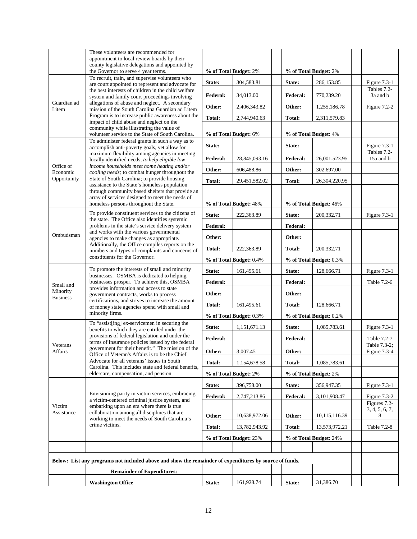|                         | These volunteers are recommended for<br>appointment to local review boards by their<br>county legislative delegations and appointed by                                                                                                                                                                                                                                     |                         |                                                    |  |                         |                        |                              |
|-------------------------|----------------------------------------------------------------------------------------------------------------------------------------------------------------------------------------------------------------------------------------------------------------------------------------------------------------------------------------------------------------------------|-------------------------|----------------------------------------------------|--|-------------------------|------------------------|------------------------------|
|                         | the Governor to serve 4 year terms.<br>To recruit, train, and supervise volunteers who                                                                                                                                                                                                                                                                                     |                         | % of Total Budget: 2%                              |  |                         | % of Total Budget: 2%  |                              |
|                         | are court appointed to represent and advocate for<br>the best interests of children in the child welfare                                                                                                                                                                                                                                                                   | State:                  | 304,583.81                                         |  | State:                  | 286,153.85             | Figure 7.3-1<br>Tables 7.2-  |
| Guardian ad             | system and family court proceedings involving<br>allegations of abuse and neglect. A secondary<br>mission of the South Carolina Guardian ad Litem<br>Program is to increase public awareness about the<br>impact of child abuse and neglect on the                                                                                                                         | <b>Federal:</b>         | 34,013.00                                          |  | <b>Federal:</b>         | 770,239.20             | 3a and b                     |
| Litem                   |                                                                                                                                                                                                                                                                                                                                                                            | Other:                  | 2,406,343.82                                       |  | Other:                  | 1,255,186.78           | Figure $7.2-2$               |
|                         |                                                                                                                                                                                                                                                                                                                                                                            | <b>Total:</b>           | 2,744,940.63                                       |  | Total:                  | 2,311,579.83           |                              |
|                         | community while illustrating the value of<br>volunteer service to the State of South Carolina.                                                                                                                                                                                                                                                                             |                         | % of Total Budget: 6%                              |  |                         | % of Total Budget: 4%  |                              |
|                         | To administer federal grants in such a way as to<br>accomplish anti-poverty goals, yet allow for                                                                                                                                                                                                                                                                           | State:                  |                                                    |  | State:                  |                        | Figure $7.3-1$               |
|                         | maximum flexibility among agencies in meeting<br>locally identified needs; to help eligible low                                                                                                                                                                                                                                                                            | <b>Federal:</b>         | 28,845,093.16                                      |  | <b>Federal:</b>         | 26,001,523.95          | Tables 7.2-<br>15a and b     |
| Office of               | income households meet home heating and/or                                                                                                                                                                                                                                                                                                                                 | Other:                  | 606,488.86                                         |  | Other:                  | 302,697.00             |                              |
| Economic<br>Opportunity | cooling needs; to combat hunger throughout the<br>State of South Carolina; to provide housing                                                                                                                                                                                                                                                                              | Total:                  | 29,451,582.02                                      |  | Total:                  | 26,304,220.95          |                              |
|                         | assistance to the State's homeless population<br>through community based shelters that provide an                                                                                                                                                                                                                                                                          |                         |                                                    |  |                         |                        |                              |
|                         | array of services designed to meet the needs of<br>homeless persons throughout the State.                                                                                                                                                                                                                                                                                  |                         | % of Total Budget: 48%                             |  |                         | % of Total Budget: 46% |                              |
|                         | To provide constituent services to the citizens of                                                                                                                                                                                                                                                                                                                         | State:                  | 222,363.89                                         |  | State:                  | 200,332.71             | Figure $7.3-1$               |
|                         | the state. The Office also identifies systemic<br>problems in the state's service delivery system                                                                                                                                                                                                                                                                          | <b>Federal:</b>         |                                                    |  | <b>Federal:</b>         |                        |                              |
| Ombudsman               | and works with the various governmental<br>agencies to make changes as appropriate.                                                                                                                                                                                                                                                                                        | Other:                  |                                                    |  | Other:                  |                        |                              |
|                         | Additionally, the Office compiles reports on the                                                                                                                                                                                                                                                                                                                           | Total:                  | 222,363.89                                         |  | Total:                  | 200,332.71             |                              |
|                         | numbers and types of complaints and concerns of<br>constituents for the Governor.<br>To promote the interests of small and minority<br>businesses. OSMBA is dedicated to helping<br>businesses prosper. To achieve this, OSMBA<br>provides information and access to state<br>government contracts, works to process<br>certifications, and strives to increase the amount |                         | % of Total Budget: 0.4%<br>% of Total Budget: 0.3% |  |                         |                        |                              |
|                         |                                                                                                                                                                                                                                                                                                                                                                            | State:                  | 161,495.61                                         |  | State:                  | 128,666.71             | Figure $7.3-1$               |
|                         |                                                                                                                                                                                                                                                                                                                                                                            | <b>Federal:</b>         |                                                    |  | <b>Federal:</b>         |                        | Table 7.2-6                  |
| Small and<br>Minority   |                                                                                                                                                                                                                                                                                                                                                                            | Other:                  |                                                    |  | Other:                  |                        |                              |
| <b>Business</b>         |                                                                                                                                                                                                                                                                                                                                                                            | Total:                  | 161,495.61                                         |  | Total:                  | 128,666.71             |                              |
|                         | of money state agencies spend with small and<br>minority firms.                                                                                                                                                                                                                                                                                                            | % of Total Budget: 0.3% |                                                    |  | % of Total Budget: 0.2% |                        |                              |
|                         | To "assist[ing] ex-servicemen in securing the                                                                                                                                                                                                                                                                                                                              | State:                  | 1,151,671.13                                       |  | State:                  | 1,085,783.61           | Figure 7.3-1                 |
|                         | benefits to which they are entitled under the<br>provisions of federal legislation and under the<br>terms of insurance policies issued by the federal<br>government for their benefit." The mission of the<br>Office of Veteran's Affairs is to be the Chief<br>Advocate for all veterans' issues in South                                                                 | <b>Federal:</b>         |                                                    |  | <b>Federal:</b>         |                        | Table 7.2-7                  |
| Veterans<br>Affairs     |                                                                                                                                                                                                                                                                                                                                                                            |                         | 3,007.45                                           |  |                         |                        | Table 7.3-2;<br>Figure 7.3-4 |
|                         |                                                                                                                                                                                                                                                                                                                                                                            | Other:                  | 1,154,678.58                                       |  | Other:<br>Total:        | 1,085,783.61           |                              |
|                         | Carolina. This includes state and federal benefits.<br>eldercare, compensation, and pension.                                                                                                                                                                                                                                                                               | Total:                  | % of Total Budget: 2%                              |  |                         | % of Total Budget: 2%  |                              |
|                         |                                                                                                                                                                                                                                                                                                                                                                            | State:                  | 396,758.00                                         |  | State:                  | 356,947.35             | Figure 7.3-1                 |
|                         | Envisioning parity in victim services, embracing                                                                                                                                                                                                                                                                                                                           | <b>Federal:</b>         | 2,747,213.86                                       |  | <b>Federal:</b>         | 3,101,908.47           | Figure $7.3-2$               |
| Victim                  | a victim-centered criminal justice system, and<br>embarking upon an era where there is true                                                                                                                                                                                                                                                                                |                         |                                                    |  |                         |                        | Figures 7.2-                 |
| Assistance              | collaboration among all disciplines that are<br>working to meet the needs of South Carolina's                                                                                                                                                                                                                                                                              | Other:                  | 10,638,972.06                                      |  | Other:                  | 10,115,116.39          | 3, 4, 5, 6, 7,<br>8          |
|                         | crime victims.                                                                                                                                                                                                                                                                                                                                                             | Total:                  | 13,782,943.92                                      |  | Total:                  | 13,573,972.21          | Table 7.2-8                  |
|                         |                                                                                                                                                                                                                                                                                                                                                                            |                         | % of Total Budget: 23%                             |  |                         | % of Total Budget: 24% |                              |
|                         |                                                                                                                                                                                                                                                                                                                                                                            |                         |                                                    |  |                         |                        |                              |
|                         | Below: List any programs not included above and show the remainder of expenditures by source of funds.                                                                                                                                                                                                                                                                     |                         |                                                    |  |                         |                        |                              |
|                         | <b>Remainder of Expenditures:</b>                                                                                                                                                                                                                                                                                                                                          |                         |                                                    |  |                         |                        |                              |
|                         | <b>Washington Office</b>                                                                                                                                                                                                                                                                                                                                                   | State:                  | 161,928.74                                         |  | State:                  | 31,386.70              |                              |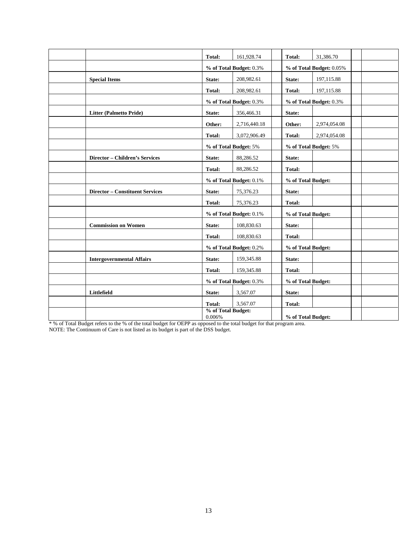|                                        | Total:                          | 161,928.74              |                    | Total:             | 31,386.70                |  |
|----------------------------------------|---------------------------------|-------------------------|--------------------|--------------------|--------------------------|--|
|                                        | % of Total Budget: 0.3%         |                         |                    |                    | % of Total Budget: 0.05% |  |
| <b>Special Items</b>                   | State:                          | 208,982.61              |                    | State:             | 197,115.88               |  |
|                                        | Total:                          | 208,982.61              |                    | <b>Total:</b>      | 197,115.88               |  |
|                                        |                                 | % of Total Budget: 0.3% |                    |                    | % of Total Budget: 0.3%  |  |
| <b>Litter (Palmetto Pride)</b>         | State:                          | 356,466.31              |                    | State:             |                          |  |
|                                        | Other:                          | 2,716,440.18            |                    | Other:             | 2,974,054.08             |  |
|                                        | Total:                          | 3,072,906.49            |                    | <b>Total:</b>      | 2,974,054.08             |  |
|                                        |                                 | % of Total Budget: 5%   |                    |                    | % of Total Budget: 5%    |  |
| <b>Director - Children's Services</b>  | State:                          | 88,286.52               |                    | State:             |                          |  |
|                                        | Total:                          | 88,286.52               |                    | Total:             |                          |  |
|                                        | % of Total Budget: 0.1%         |                         |                    | % of Total Budget: |                          |  |
| <b>Director - Constituent Services</b> | State:                          | 75,376.23               |                    | State:             |                          |  |
|                                        | Total:                          | 75,376.23               |                    | Total:             |                          |  |
|                                        | % of Total Budget: 0.1%         |                         | % of Total Budget: |                    |                          |  |
| <b>Commission on Women</b>             | State:                          | 108,830.63              |                    | State:             |                          |  |
|                                        | Total:                          | 108,830.63              |                    | Total:             |                          |  |
|                                        | % of Total Budget: 0.2%         |                         | % of Total Budget: |                    |                          |  |
| <b>Intergovernmental Affairs</b>       | State:                          | 159,345.88              |                    | State:             |                          |  |
|                                        | Total:                          | 159,345.88              |                    | <b>Total:</b>      |                          |  |
|                                        |                                 | % of Total Budget: 0.3% |                    | % of Total Budget: |                          |  |
| Littlefield                            | State:                          | 3,567.07                |                    | State:             |                          |  |
|                                        | Total:                          | 3.567.07                |                    | Total:             |                          |  |
|                                        | % of Total Budget:<br>$0.006\%$ |                         |                    | % of Total Budget: |                          |  |

\* % of Total Budget refers to the % of the total budget for OEPP as opposed to the total budget for that program area. NOTE: The Continuum of Care is not listed as its budget is part of the DSS budget.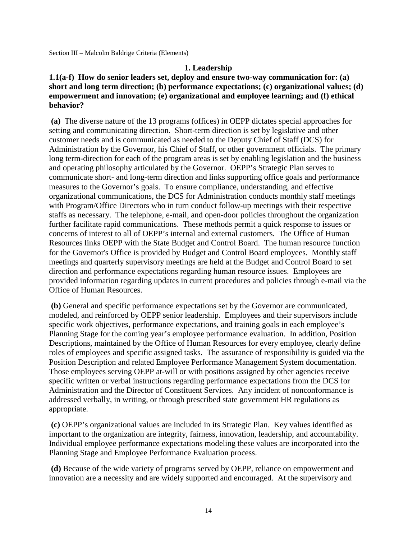Section III – Malcolm Baldrige Criteria (Elements)

#### **1. Leadership**

#### **1.1(a-f) How do senior leaders set, deploy and ensure two-way communication for: (a) short and long term direction; (b) performance expectations; (c) organizational values; (d) empowerment and innovation; (e) organizational and employee learning; and (f) ethical behavior?**

**(a)** The diverse nature of the 13 programs (offices) in OEPP dictates special approaches for setting and communicating direction. Short-term direction is set by legislative and other customer needs and is communicated as needed to the Deputy Chief of Staff (DCS) for Administration by the Governor, his Chief of Staff, or other government officials. The primary long term-direction for each of the program areas is set by enabling legislation and the business and operating philosophy articulated by the Governor. OEPP's Strategic Plan serves to communicate short- and long-term direction and links supporting office goals and performance measures to the Governor's goals. To ensure compliance, understanding, and effective organizational communications, the DCS for Administration conducts monthly staff meetings with Program/Office Directors who in turn conduct follow-up meetings with their respective staffs as necessary. The telephone, e-mail, and open-door policies throughout the organization further facilitate rapid communications. These methods permit a quick response to issues or concerns of interest to all of OEPP's internal and external customers. The Office of Human Resources links OEPP with the State Budget and Control Board. The human resource function for the Governor's Office is provided by Budget and Control Board employees. Monthly staff meetings and quarterly supervisory meetings are held at the Budget and Control Board to set direction and performance expectations regarding human resource issues. Employees are provided information regarding updates in current procedures and policies through e-mail via the Office of Human Resources.

**(b)** General and specific performance expectations set by the Governor are communicated, modeled, and reinforced by OEPP senior leadership. Employees and their supervisors include specific work objectives, performance expectations, and training goals in each employee's Planning Stage for the coming year's employee performance evaluation. In addition, Position Descriptions, maintained by the Office of Human Resources for every employee, clearly define roles of employees and specific assigned tasks. The assurance of responsibility is guided via the Position Description and related Employee Performance Management System documentation. Those employees serving OEPP at-will or with positions assigned by other agencies receive specific written or verbal instructions regarding performance expectations from the DCS for Administration and the Director of Constituent Services. Any incident of nonconformance is addressed verbally, in writing, or through prescribed state government HR regulations as appropriate.

**(c)** OEPP's organizational values are included in its Strategic Plan. Key values identified as important to the organization are integrity, fairness, innovation, leadership, and accountability. Individual employee performance expectations modeling these values are incorporated into the Planning Stage and Employee Performance Evaluation process.

**(d)** Because of the wide variety of programs served by OEPP, reliance on empowerment and innovation are a necessity and are widely supported and encouraged. At the supervisory and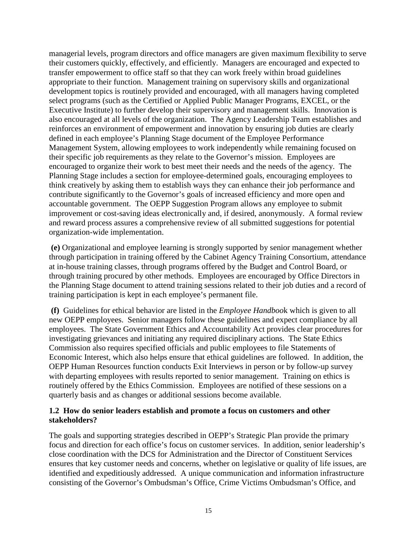managerial levels, program directors and office managers are given maximum flexibility to serve their customers quickly, effectively, and efficiently. Managers are encouraged and expected to transfer empowerment to office staff so that they can work freely within broad guidelines appropriate to their function. Management training on supervisory skills and organizational development topics is routinely provided and encouraged, with all managers having completed select programs (such as the Certified or Applied Public Manager Programs, EXCEL, or the Executive Institute) to further develop their supervisory and management skills. Innovation is also encouraged at all levels of the organization. The Agency Leadership Team establishes and reinforces an environment of empowerment and innovation by ensuring job duties are clearly defined in each employee's Planning Stage document of the Employee Performance Management System, allowing employees to work independently while remaining focused on their specific job requirements as they relate to the Governor's mission. Employees are encouraged to organize their work to best meet their needs and the needs of the agency. The Planning Stage includes a section for employee-determined goals, encouraging employees to think creatively by asking them to establish ways they can enhance their job performance and contribute significantly to the Governor's goals of increased efficiency and more open and accountable government. The OEPP Suggestion Program allows any employee to submit improvement or cost-saving ideas electronically and, if desired, anonymously. A formal review and reward process assures a comprehensive review of all submitted suggestions for potential organization-wide implementation.

**(e)** Organizational and employee learning is strongly supported by senior management whether through participation in training offered by the Cabinet Agency Training Consortium, attendance at in-house training classes, through programs offered by the Budget and Control Board, or through training procured by other methods. Employees are encouraged by Office Directors in the Planning Stage document to attend training sessions related to their job duties and a record of training participation is kept in each employee's permanent file.

**(f)** Guidelines for ethical behavior are listed in the *Employee Handboo*k which is given to all new OEPP employees. Senior managers follow these guidelines and expect compliance by all employees. The State Government Ethics and Accountability Act provides clear procedures for investigating grievances and initiating any required disciplinary actions. The State Ethics Commission also requires specified officials and public employees to file Statements of Economic Interest, which also helps ensure that ethical guidelines are followed. In addition, the OEPP Human Resources function conducts Exit Interviews in person or by follow-up survey with departing employees with results reported to senior management. Training on ethics is routinely offered by the Ethics Commission. Employees are notified of these sessions on a quarterly basis and as changes or additional sessions become available.

#### **1.2 How do senior leaders establish and promote a focus on customers and other stakeholders?**

The goals and supporting strategies described in OEPP's Strategic Plan provide the primary focus and direction for each office's focus on customer services. In addition, senior leadership's close coordination with the DCS for Administration and the Director of Constituent Services ensures that key customer needs and concerns, whether on legislative or quality of life issues, are identified and expeditiously addressed. A unique communication and information infrastructure consisting of the Governor's Ombudsman's Office, Crime Victims Ombudsman's Office, and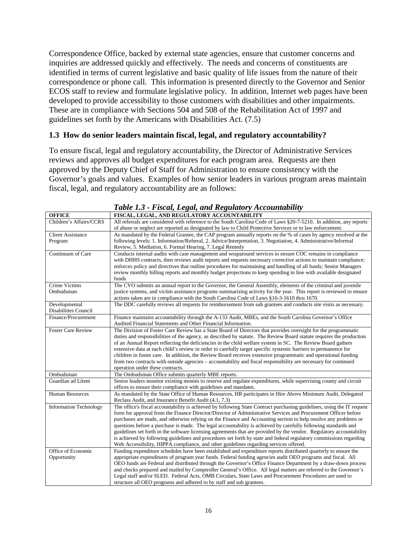Correspondence Office, backed by external state agencies, ensure that customer concerns and inquiries are addressed quickly and effectively. The needs and concerns of constituents are identified in terms of current legislative and basic quality of life issues from the nature of their correspondence or phone call. This information is presented directly to the Governor and Senior ECOS staff to review and formulate legislative policy. In addition, Internet web pages have been developed to provide accessibility to those customers with disabilities and other impairments. These are in compliance with Sections 504 and 508 of the Rehabilitation Act of 1997 and guidelines set forth by the Americans with Disabilities Act. (7.5)

#### **1.3 How do senior leaders maintain fiscal, legal, and regulatory accountability?**

To ensure fiscal, legal and regulatory accountability, the Director of Administrative Services reviews and approves all budget expenditures for each program area. Requests are then approved by the Deputy Chief of Staff for Administration to ensure consistency with the Governor's goals and values. Examples of how senior leaders in various program areas maintain fiscal, legal, and regulatory accountability are as follows:

| <b>OFFICE</b>                 | FISCAL, LEGAL, AND REGULATORY ACCOUNTABILITY                                                                           |
|-------------------------------|------------------------------------------------------------------------------------------------------------------------|
| Children's Affairs/CCRS       | All referrals are considered with reference to the South Carolina Code of Laws §20-7-5210. In addition, any reports    |
|                               | of abuse or neglect are reported as designated by law to Child Protective Services or to law enforcement.              |
| <b>Client Assistance</b>      | As mandated by the Federal Grantee, the CAP program annually reports on the % of cases by agency resolved at the       |
| Program                       | following levels: 1. Information/Referral, 2. Advice/Interpretation, 3. Negotiation, 4. Administrative/Informal        |
|                               | Review, 5. Mediation, 6. Formal Hearing, 7. Legal Remedy                                                               |
| Continuum of Care             | Conducts internal audits with case management and wraparound services to ensure COC remains in compliance              |
|                               | with DHHS contracts, then reviews audit reports and requests necessary corrective actions to maintain compliance;      |
|                               | enforces policy and directives that outline procedures for maintaining and handling of all funds; Senior Managers      |
|                               | review monthly billing reports and monthly budget projections to keep spending in line with available designated       |
|                               | funds                                                                                                                  |
| <b>Crime Victims</b>          | The CVO submits an annual report to the Governor, the General Assembly, elements of the criminal and juvenile          |
| Ombudsman                     | justice systems, and victim assistance programs summarizing activity for the year. This report is reviewed to ensure   |
|                               | actions taken are in compliance with the South Carolina Code of Laws §16-3-1610 thru 1670.                             |
| Developmental                 | The DDC carefully reviews all requests for reimbursement from sub grantees and conducts site visits as necessary.      |
| Disabilities Council          |                                                                                                                        |
| Finance/Procurement           | Finance maintains accountability through the A-133 Audit, MBEs, and the South Carolina Governor's Office               |
|                               | Audited Financial Statements and Other Financial Information.                                                          |
| <b>Foster Care Review</b>     | The Division of Foster Care Review has a State Board of Directors that provides oversight for the programmatic         |
|                               | duties and responsibilities of the agency, as described by statute. The Review Board statute requires the production   |
|                               | of an Annual Report reflecting the deficiencies in the child welfare system in SC. The Review Board gathers            |
|                               | extensive data at each child's review in order to carefully target specific systemic barriers to permanence for        |
|                               | children in foster care. In addition, the Review Board receives extensive programmatic and operational funding         |
|                               | from two contracts with outside agencies – accountability and fiscal responsibility are necessary for continued        |
| Ombudsman                     | operation under these contracts.<br>The Ombudsman Office submits quarterly MBE reports.                                |
| Guardian ad Litem             | Senior leaders monitor existing monies to reserve and regulate expenditures, while supervising county and circuit      |
|                               | offices to ensure their compliance with guidelines and mandates.                                                       |
| <b>Human Resources</b>        | As mandated by the State Office of Human Resources, HR participates in Hire Above Minimum Audit, Delegated             |
|                               | Reclass Audit, and Insurance Benefit Audit (4.1, 7.3)                                                                  |
| <b>Information Technology</b> | The office's fiscal accountability is achieved by following State Contract purchasing guidelines, using the IT request |
|                               | form for approval from the Finance Director/Director of Administrative Services and Procurement Officer before         |
|                               | purchases are made, and otherwise relying on the Finance and Accounting section to help resolve any problems or        |
|                               | questions before a purchase is made. The legal accountability is achieved by carefully following standards and         |
|                               | guidelines set forth in the software licensing agreements that are provided by the vendor. Regulatory accountability   |
|                               | is achieved by following guidelines and procedures set forth by state and federal regulatory commissions regarding     |
|                               | Web Accessibility, HIPPA compliance, and other guidelines regarding services offered.                                  |
| Office of Economic            | Funding expenditure schedules have been established and expenditure reports distributed quarterly to ensure the        |
| Opportunity                   | appropriate expenditures of program year funds. Federal funding agencies audit OEO programs and fiscal. All            |
|                               | OEO funds are Federal and distributed through the Governor's Office Finance Department by a draw-down process          |
|                               | and checks prepared and mailed by Comptroller General's Office. All legal matters are referred to the Governor's       |
|                               | Legal staff and/or SLED. Federal Acts, OMB Circulars, State Laws and Procurement Procedures are used to                |
|                               | structure all OEO programs and adhered to by staff and sub grantees.                                                   |

*Table 1.3 - Fiscal, Legal, and Regulatory Accountability*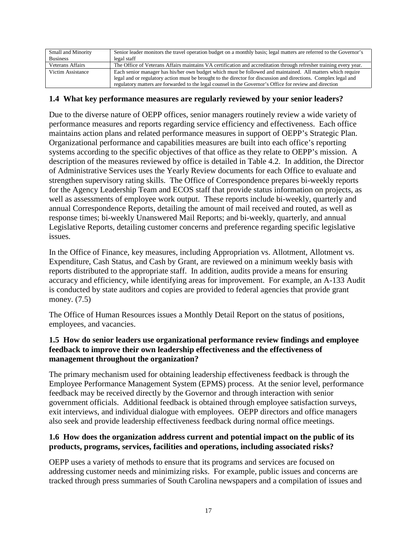| Small and Minority | Senior leader monitors the travel operation budget on a monthly basis; legal matters are referred to the Governor's |
|--------------------|---------------------------------------------------------------------------------------------------------------------|
| <b>Business</b>    | legal staff                                                                                                         |
| Veterans Affairs   | The Office of Veterans Affairs maintains VA certification and accreditation through refresher training every year.  |
| Victim Assistance  | Each senior manager has his/her own budget which must be followed and maintained. All matters which require         |
|                    | legal and or regulatory action must be brought to the director for discussion and directions. Complex legal and     |
|                    | regulatory matters are forwarded to the legal counsel in the Governor's Office for review and direction             |

#### **1.4 What key performance measures are regularly reviewed by your senior leaders?**

Due to the diverse nature of OEPP offices, senior managers routinely review a wide variety of performance measures and reports regarding service efficiency and effectiveness. Each office maintains action plans and related performance measures in support of OEPP's Strategic Plan. Organizational performance and capabilities measures are built into each office's reporting systems according to the specific objectives of that office as they relate to OEPP's mission. A description of the measures reviewed by office is detailed in Table 4.2. In addition, the Director of Administrative Services uses the Yearly Review documents for each Office to evaluate and strengthen supervisory rating skills. The Office of Correspondence prepares bi-weekly reports for the Agency Leadership Team and ECOS staff that provide status information on projects, as well as assessments of employee work output. These reports include bi-weekly, quarterly and annual Correspondence Reports, detailing the amount of mail received and routed, as well as response times; bi-weekly Unanswered Mail Reports; and bi-weekly, quarterly, and annual Legislative Reports, detailing customer concerns and preference regarding specific legislative issues.

In the Office of Finance, key measures, including Appropriation vs. Allotment, Allotment vs. Expenditure, Cash Status, and Cash by Grant, are reviewed on a minimum weekly basis with reports distributed to the appropriate staff. In addition, audits provide a means for ensuring accuracy and efficiency, while identifying areas for improvement. For example, an A-133 Audit is conducted by state auditors and copies are provided to federal agencies that provide grant money. (7.5)

The Office of Human Resources issues a Monthly Detail Report on the status of positions, employees, and vacancies.

#### **1.5 How do senior leaders use organizational performance review findings and employee feedback to improve their own leadership effectiveness and the effectiveness of management throughout the organization?**

The primary mechanism used for obtaining leadership effectiveness feedback is through the Employee Performance Management System (EPMS) process. At the senior level, performance feedback may be received directly by the Governor and through interaction with senior government officials. Additional feedback is obtained through employee satisfaction surveys, exit interviews, and individual dialogue with employees. OEPP directors and office managers also seek and provide leadership effectiveness feedback during normal office meetings.

#### **1.6 How does the organization address current and potential impact on the public of its products, programs, services, facilities and operations, including associated risks?**

OEPP uses a variety of methods to ensure that its programs and services are focused on addressing customer needs and minimizing risks. For example, public issues and concerns are tracked through press summaries of South Carolina newspapers and a compilation of issues and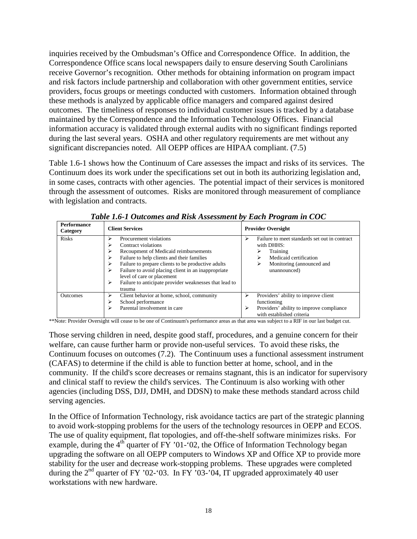inquiries received by the Ombudsman's Office and Correspondence Office. In addition, the Correspondence Office scans local newspapers daily to ensure deserving South Carolinians receive Governor's recognition. Other methods for obtaining information on program impact and risk factors include partnership and collaboration with other government entities, service providers, focus groups or meetings conducted with customers. Information obtained through these methods is analyzed by applicable office managers and compared against desired outcomes. The timeliness of responses to individual customer issues is tracked by a database maintained by the Correspondence and the Information Technology Offices. Financial information accuracy is validated through external audits with no significant findings reported during the last several years. OSHA and other regulatory requirements are met without any significant discrepancies noted. All OEPP offices are HIPAA compliant. (7.5)

Table 1.6-1 shows how the Continuum of Care assesses the impact and risks of its services. The Continuum does its work under the specifications set out in both its authorizing legislation and, in some cases, contracts with other agencies. The potential impact of their services is monitored through the assessment of outcomes. Risks are monitored through measurement of compliance with legislation and contracts.

| <b>Performance</b><br>Category | <b>Client Services</b>                                                                                                                                                                                                                                                                                                                                                  | <b>Provider Oversight</b>                                                                                                                                     |
|--------------------------------|-------------------------------------------------------------------------------------------------------------------------------------------------------------------------------------------------------------------------------------------------------------------------------------------------------------------------------------------------------------------------|---------------------------------------------------------------------------------------------------------------------------------------------------------------|
| <b>Risks</b>                   | Procurement violations<br>↘<br>Contract violations<br>Recoupment of Medicaid reimbursements<br>Failure to help clients and their families<br>Failure to prepare clients to be productive adults<br>↘<br>Failure to avoid placing client in an inappropriate<br>↘<br>level of care or placement<br>Failure to anticipate provider weaknesses that lead to<br>⋗<br>trauma | Failure to meet standards set out in contract<br>↘<br>with DHHS:<br>Training<br>Medicaid certification<br>⋗<br>Monitoring (announced and<br>⋗<br>unannounced) |
| <b>Outcomes</b>                | Client behavior at home, school, community<br>➤<br>School performance<br>Parental involvement in care                                                                                                                                                                                                                                                                   | Providers' ability to improve client<br>➤<br>functioning<br>Providers' ability to improve compliance<br>➤<br>with established criteria                        |

*Table 1.6-1 Outcomes and Risk Assessment by Each Program in COC*

\*\*Note: Provider Oversight will cease to be one of Continuum's performance areas as that area was subject to a RIF in our last budget cut.

Those serving children in need, despite good staff, procedures, and a genuine concern for their welfare, can cause further harm or provide non-useful services. To avoid these risks, the Continuum focuses on outcomes (7.2). The Continuum uses a functional assessment instrument (CAFAS) to determine if the child is able to function better at home, school, and in the community. If the child's score decreases or remains stagnant, this is an indicator for supervisory and clinical staff to review the child's services. The Continuum is also working with other agencies (including DSS, DJJ, DMH, and DDSN) to make these methods standard across child serving agencies.

In the Office of Information Technology, risk avoidance tactics are part of the strategic planning to avoid work-stopping problems for the users of the technology resources in OEPP and ECOS. The use of quality equipment, flat topologies, and off-the-shelf software minimizes risks. For example, during the  $4<sup>th</sup>$  quarter of FY '01-'02, the Office of Information Technology began upgrading the software on all OEPP computers to Windows XP and Office XP to provide more stability for the user and decrease work-stopping problems. These upgrades were completed during the  $2<sup>nd</sup>$  quarter of FY '02-'03. In FY '03-'04, IT upgraded approximately 40 user workstations with new hardware.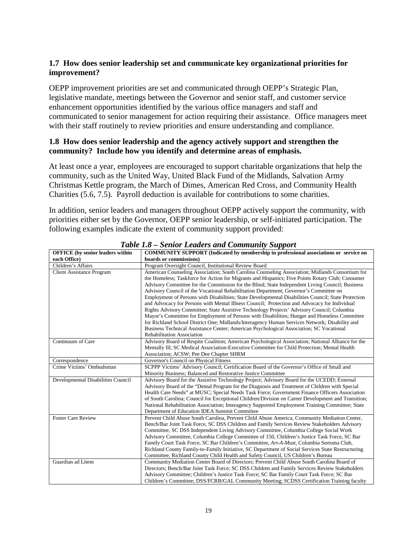#### **1.7 How does senior leadership set and communicate key organizational priorities for improvement?**

OEPP improvement priorities are set and communicated through OEPP's Strategic Plan, legislative mandate, meetings between the Governor and senior staff, and customer service enhancement opportunities identified by the various office managers and staff and communicated to senior management for action requiring their assistance. Office managers meet with their staff routinely to review priorities and ensure understanding and compliance.

#### **1.8 How does senior leadership and the agency actively support and strengthen the community? Include how you identify and determine areas of emphasis.**

At least once a year, employees are encouraged to support charitable organizations that help the community, such as the United Way, United Black Fund of the Midlands, Salvation Army Christmas Kettle program, the March of Dimes, American Red Cross, and Community Health Charities (5.6, 7.5). Payroll deduction is available for contributions to some charities.

In addition, senior leaders and managers throughout OEPP actively support the community, with priorities either set by the Governor, OEPP senior leadership, or self-initiated participation. The following examples indicate the extent of community support provided:

| <b>OFFICE</b> (by senior leaders within | <b>COMMUNITY SUPPORT</b> (Indicated by membership in professional associations or service on                                                                                                                                                                                                                                                                                                                                                                                                                                                                                                                                                                                                                                                                                                                                                                                                                                                                                                     |  |  |
|-----------------------------------------|--------------------------------------------------------------------------------------------------------------------------------------------------------------------------------------------------------------------------------------------------------------------------------------------------------------------------------------------------------------------------------------------------------------------------------------------------------------------------------------------------------------------------------------------------------------------------------------------------------------------------------------------------------------------------------------------------------------------------------------------------------------------------------------------------------------------------------------------------------------------------------------------------------------------------------------------------------------------------------------------------|--|--|
| each Office)                            | boards or commissions)                                                                                                                                                                                                                                                                                                                                                                                                                                                                                                                                                                                                                                                                                                                                                                                                                                                                                                                                                                           |  |  |
| Children's Affairs                      | Program Oversight Council, Institutional Review Board                                                                                                                                                                                                                                                                                                                                                                                                                                                                                                                                                                                                                                                                                                                                                                                                                                                                                                                                            |  |  |
| <b>Client Assistance Program</b>        | American Counseling Association; South Carolina Counseling Association; Midlands Consortium for<br>the Homeless; Taskforce for Action for Migrants and Hispanics; Five Points Rotary Club; Consumer<br>Advisory Committee for the Commission for the Blind; State Independent Living Council; Business<br>Advisory Council of the Vocational Rehabilitation Department; Governor's Committee on<br>Employment of Persons with Disabilities; State Developmental Disabilities Council; State Protection<br>and Advocacy for Persons with Mental Illness Council; Protection and Advocacy for Individual<br>Rights Advisory Committee; State Assistive Technology Projects' Advisory Council; Columbia<br>Mayor's Committee for Employment of Persons with Disabilities; Hunger and Homeless Committee<br>for Richland School District One; Midlands/Interagency Human Services Network; Disability and<br>Business Technical Assistance Center; American Psychological Association; SC Vocational |  |  |
|                                         | <b>Rehabilitation Association</b>                                                                                                                                                                                                                                                                                                                                                                                                                                                                                                                                                                                                                                                                                                                                                                                                                                                                                                                                                                |  |  |
| Continuum of Care                       | Advisory Board of Respite Coalition; American Psychological Association; National Alliance for the<br>Mentally Ill; SC Medical Association-Executive Committee for Child Protection; Mental Health<br>Association; ACSW; Pee Dee Chapter SHRM                                                                                                                                                                                                                                                                                                                                                                                                                                                                                                                                                                                                                                                                                                                                                    |  |  |
| Correspondence                          | Governor's Council on Physical Fitness                                                                                                                                                                                                                                                                                                                                                                                                                                                                                                                                                                                                                                                                                                                                                                                                                                                                                                                                                           |  |  |
| Crime Victims' Ombudsman                | SCPPP Victims' Advisory Council; Certification Board of the Governor's Office of Small and<br>Minority Business; Balanced and Restorative Justice Committee                                                                                                                                                                                                                                                                                                                                                                                                                                                                                                                                                                                                                                                                                                                                                                                                                                      |  |  |
| Developmental Disabilities Council      | Advisory Board for the Assistive Technology Project; Advisory Board for the UCEDD; External<br>Advisory Board of the "Dental Program for the Diagnosis and Treatment of Children with Special<br>Health Care Needs" at MUSC; Special Needs Task Force; Government Finance Officers Association<br>of South Carolina; Council for Exceptional Children/Division on Career Development and Transition;<br>National Rehabilitation Association; Interagency Supported Employment Training Committee; State<br>Department of Education IDEA Summit Committee                                                                                                                                                                                                                                                                                                                                                                                                                                         |  |  |
| <b>Foster Care Review</b>               | Prevent Child Abuse South Carolina, Prevent Child Abuse America, Community Mediation Center,<br>Bench/Bar Joint Task Force, SC DSS Children and Family Services Review Stakeholders Advisory<br>Committee, SC DSS Independent Living Advisory Committee, Columbia College Social Work<br>Advisory Committee, Columbia College Committee of 150, Children's Justice Task Force, SC Bar<br>Family Court Task Force, SC Bar Children's Committee, Art-A-Must, Columbia Sertoma Club,<br>Richland County Family-to-Family Initiative, SC Department of Social Services State Restructuring<br>Committee, Richland County Child Health and Safety Council, US Children's Bureau                                                                                                                                                                                                                                                                                                                       |  |  |
| Guardian ad Litem                       | Community Mediation Center Board of Directors; Prevent Child Abuse South Carolina Board of<br>Directors; Bench/Bar Joint Task Force; SC DSS Children and Family Services Review Stakeholders<br>Advisory Committee; Children's Justice Task Force; SC Bar Family Court Task Force; SC Bar<br>Children's Committee; DSS/FCRB/GAL Community Meeting; SCDSS Certification Training faculty                                                                                                                                                                                                                                                                                                                                                                                                                                                                                                                                                                                                          |  |  |

*Table 1.8 – Senior Leaders and Community Support*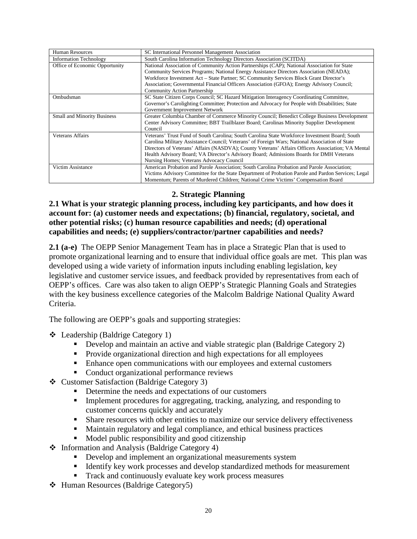| <b>Human Resources</b>             | SC International Personnel Management Association                                                  |  |  |  |
|------------------------------------|----------------------------------------------------------------------------------------------------|--|--|--|
| <b>Information Technology</b>      | South Carolina Information Technology Directors Association (SCITDA)                               |  |  |  |
| Office of Economic Opportunity     | National Association of Community Action Partnerships (CAP); National Association for State        |  |  |  |
|                                    | Community Services Programs; National Energy Assistance Directors Association (NEADA);             |  |  |  |
|                                    | Workforce Investment Act - State Partner; SC Community Services Block Grant Director's             |  |  |  |
|                                    | Association; Governmental Financial Officers Association (GFOA); Energy Advisory Council;          |  |  |  |
|                                    | <b>Community Action Partnership</b>                                                                |  |  |  |
| Ombudsman                          | SC State Citizen Corps Council; SC Hazard Mitigation Interagency Coordinating Committee,           |  |  |  |
|                                    | Governor's Carolighting Committee; Protection and Advocacy for People with Disabilities; State     |  |  |  |
|                                    | Government Improvement Network                                                                     |  |  |  |
| <b>Small and Minority Business</b> | Greater Columbia Chamber of Commerce Minority Council; Benedict College Business Development       |  |  |  |
|                                    | Center Advisory Committee; BBT Trailblazer Board; Carolinas Minority Supplier Development          |  |  |  |
|                                    | Council                                                                                            |  |  |  |
| <b>Veterans Affairs</b>            | Veterans' Trust Fund of South Carolina; South Carolina State Workforce Investment Board; South     |  |  |  |
|                                    | Carolina Military Assistance Council; Veterans' of Foreign Wars; National Association of State     |  |  |  |
|                                    | Directors of Veterans' Affairs (NASDVA); County Veterans' Affairs Officers Association; VA Mental  |  |  |  |
|                                    | Health Advisory Board; VA Director's Advisory Board; Admissions Boards for DMH Veterans            |  |  |  |
|                                    | Nursing Homes; Veterans Advocacy Council                                                           |  |  |  |
| Victim Assistance                  | American Probation and Parole Association; South Carolina Probation and Parole Association;        |  |  |  |
|                                    | Victims Advisory Committee for the State Department of Probation Parole and Pardon Services; Legal |  |  |  |
|                                    | Momentum; Parents of Murdered Children; National Crime Victims' Compensation Board                 |  |  |  |

## **2. Strategic Planning**

**2.1 What is your strategic planning process, including key participants, and how does it account for: (a) customer needs and expectations; (b) financial, regulatory, societal, and other potential risks; (c) human resource capabilities and needs; (d) operational capabilities and needs; (e) suppliers/contractor/partner capabilities and needs?**

**2.1 (a-e)** The OEPP Senior Management Team has in place a Strategic Plan that is used to promote organizational learning and to ensure that individual office goals are met. This plan was developed using a wide variety of information inputs including enabling legislation, key legislative and customer service issues, and feedback provided by representatives from each of OEPP's offices. Care was also taken to align OEPP's Strategic Planning Goals and Strategies with the key business excellence categories of the Malcolm Baldrige National Quality Award Criteria.

The following are OEPP's goals and supporting strategies:

Leadership (Baldrige Category 1)

- Develop and maintain an active and viable strategic plan (Baldrige Category 2)
- **Provide organizational direction and high expectations for all employees**
- Enhance open communications with our employees and external customers
- Conduct organizational performance reviews
- Customer Satisfaction (Baldrige Category 3)
	- Determine the needs and expectations of our customers
	- Implement procedures for aggregating, tracking, analyzing, and responding to customer concerns quickly and accurately
	- **Share resources with other entities to maximize our service delivery effectiveness**
	- Maintain regulatory and legal compliance, and ethical business practices
	- $\blacksquare$  Model public responsibility and good citizenship
- ❖ Information and Analysis (Baldrige Category 4)
	- Develop and implement an organizational measurements system
	- Identify key work processes and develop standardized methods for measurement
	- Track and continuously evaluate key work process measures
- Human Resources (Baldrige Category5)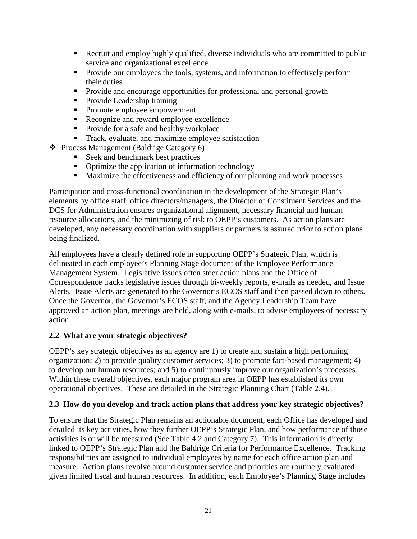- Recruit and employ highly qualified, diverse individuals who are committed to public service and organizational excellence
- **Provide our employees the tools, systems, and information to effectively perform** their duties
- Provide and encourage opportunities for professional and personal growth
- Provide Leadership training
- Promote employee empowerment
- Recognize and reward employee excellence
- **Provide for a safe and healthy workplace**
- **Track, evaluate, and maximize employee satisfaction**
- Process Management (Baldrige Category 6)
	- Seek and benchmark best practices
	- Optimize the application of information technology
	- **Maximize the effectiveness and efficiency of our planning and work processes**

Participation and cross-functional coordination in the development of the Strategic Plan's elements by office staff, office directors/managers, the Director of Constituent Services and the DCS for Administration ensures organizational alignment, necessary financial and human resource allocations, and the minimizing of risk to OEPP's customers. As action plans are developed, any necessary coordination with suppliers or partners is assured prior to action plans being finalized.

All employees have a clearly defined role in supporting OEPP's Strategic Plan, which is delineated in each employee's Planning Stage document of the Employee Performance Management System. Legislative issues often steer action plans and the Office of Correspondence tracks legislative issues through bi-weekly reports, e-mails as needed, and Issue Alerts. Issue Alerts are generated to the Governor's ECOS staff and then passed down to others. Once the Governor, the Governor's ECOS staff, and the Agency Leadership Team have approved an action plan, meetings are held, along with e-mails, to advise employees of necessary action.

#### **2.2 What are your strategic objectives?**

OEPP's key strategic objectives as an agency are 1) to create and sustain a high performing organization; 2) to provide quality customer services; 3) to promote fact-based management; 4) to develop our human resources; and 5) to continuously improve our organization's processes. Within these overall objectives, each major program area in OEPP has established its own operational objectives. These are detailed in the Strategic Planning Chart (Table 2.4).

#### **2.3 How do you develop and track action plans that address your key strategic objectives?**

To ensure that the Strategic Plan remains an actionable document, each Office has developed and detailed its key activities, how they further OEPP's Strategic Plan, and how performance of those activities is or will be measured (See Table 4.2 and Category 7). This information is directly linked to OEPP's Strategic Plan and the Baldrige Criteria for Performance Excellence. Tracking responsibilities are assigned to individual employees by name for each office action plan and measure. Action plans revolve around customer service and priorities are routinely evaluated given limited fiscal and human resources. In addition, each Employee's Planning Stage includes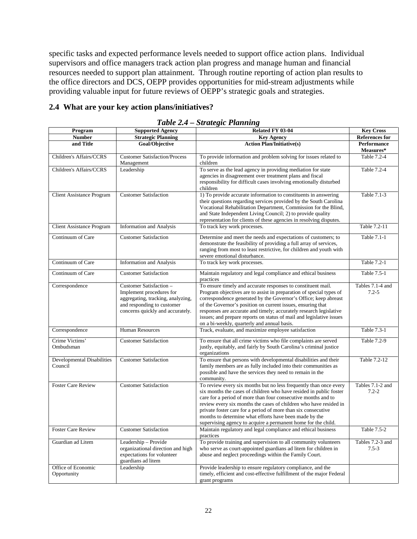specific tasks and expected performance levels needed to support office action plans. Individual supervisors and office managers track action plan progress and manage human and financial resources needed to support plan attainment. Through routine reporting of action plan results to the office directors and DCS, OEPP provides opportunities for mid-stream adjustments while providing valuable input for future reviews of OEPP's strategic goals and strategies.

#### **2.4 What are your key action plans/initiatives?**

| Program                               | <b>Supported Agency</b>                                                                                                                                    | <b>Key Cross</b><br>Related FY 03-04                                                                                                                                                                                                                                                                                                                                                                                                                                      |                                 |  |
|---------------------------------------|------------------------------------------------------------------------------------------------------------------------------------------------------------|---------------------------------------------------------------------------------------------------------------------------------------------------------------------------------------------------------------------------------------------------------------------------------------------------------------------------------------------------------------------------------------------------------------------------------------------------------------------------|---------------------------------|--|
| <b>Number</b>                         | <b>Strategic Planning</b>                                                                                                                                  | <b>Key Agency</b>                                                                                                                                                                                                                                                                                                                                                                                                                                                         | <b>References for</b>           |  |
| and Title                             | Goal/Objective                                                                                                                                             | <b>Action Plan/Initiative(s)</b>                                                                                                                                                                                                                                                                                                                                                                                                                                          | <b>Performance</b><br>Measures* |  |
| Children's Affairs/CCRS               | <b>Customer Satisfaction/Process</b><br>Management                                                                                                         | To provide information and problem solving for issues related to<br>children                                                                                                                                                                                                                                                                                                                                                                                              | Table 7.2-4                     |  |
| Children's Affairs/CCRS               | Leadership                                                                                                                                                 | To serve as the lead agency in providing mediation for state<br>agencies in disagreement over treatment plans and fiscal<br>responsibility for difficult cases involving emotionally disturbed<br>children                                                                                                                                                                                                                                                                | Table 7.2-4                     |  |
| Client Assistance Program             | <b>Customer Satisfaction</b>                                                                                                                               | 1) To provide accurate information to constituents in answering<br>their questions regarding services provided by the South Carolina<br>Vocational Rehabilitation Department, Commission for the Blind,<br>and State Independent Living Council; 2) to provide quality<br>representation for clients of these agencies in resolving disputes.                                                                                                                             | Table 7.1-3                     |  |
| Client Assistance Program             | <b>Information and Analysis</b>                                                                                                                            | To track key work processes.                                                                                                                                                                                                                                                                                                                                                                                                                                              | Table 7.2-11                    |  |
| Continuum of Care                     | <b>Customer Satisfaction</b>                                                                                                                               | Determine and meet the needs and expectations of customers; to<br>demonstrate the feasibility of providing a full array of services,<br>ranging from most to least restrictive, for children and youth with<br>severe emotional disturbance.                                                                                                                                                                                                                              | Table 7.1-1                     |  |
| Continuum of Care                     | <b>Information and Analysis</b>                                                                                                                            | To track key work processes.                                                                                                                                                                                                                                                                                                                                                                                                                                              | Table 7.2-1                     |  |
| Continuum of Care                     | <b>Customer Satisfaction</b>                                                                                                                               | Maintain regulatory and legal compliance and ethical business<br>practices                                                                                                                                                                                                                                                                                                                                                                                                | Table 7.5-1                     |  |
| Correspondence                        | Customer Satisfaction -<br>Implement procedures for<br>aggregating, tracking, analyzing,<br>and responding to customer<br>concerns quickly and accurately. | To ensure timely and accurate responses to constituent mail.<br>Program objectives are to assist in preparation of special types of<br>correspondence generated by the Governor's Office; keep abreast<br>of the Governor's position on current issues, ensuring that<br>responses are accurate and timely; accurately research legislative<br>issues; and prepare reports on status of mail and legislative issues<br>on a bi-weekly, quarterly and annual basis.        | Tables 7.1-4 and<br>$7.2 - 5$   |  |
| Correspondence                        | <b>Human Resources</b>                                                                                                                                     | Track, evaluate, and maximize employee satisfaction                                                                                                                                                                                                                                                                                                                                                                                                                       | Table 7.3-1                     |  |
| Crime Victims'<br>Ombudsman           | <b>Customer Satisfaction</b>                                                                                                                               | To ensure that all crime victims who file complaints are served<br>justly, equitably, and fairly by South Carolina's criminal justice<br>organizations                                                                                                                                                                                                                                                                                                                    | Table 7.2-9                     |  |
| Developmental Disabilities<br>Council | <b>Customer Satisfaction</b>                                                                                                                               | To ensure that persons with developmental disabilities and their<br>family members are as fully included into their communities as<br>possible and have the services they need to remain in the<br>community.                                                                                                                                                                                                                                                             | Table 7.2-12                    |  |
| <b>Foster Care Review</b>             | <b>Customer Satisfaction</b>                                                                                                                               | To review every six months but no less frequently than once every<br>six months the cases of children who have resided in public foster<br>care for a period of more than four consecutive months and to<br>review every six months the cases of children who have resided in<br>private foster care for a period of more than six consecutive<br>months to determine what efforts have been made by the<br>supervising agency to acquire a permanent home for the child. | Tables 7.1-2 and<br>$7.2 - 2$   |  |
| <b>Foster Care Review</b>             | <b>Customer Satisfaction</b>                                                                                                                               | Maintain regulatory and legal compliance and ethical business<br>practices                                                                                                                                                                                                                                                                                                                                                                                                | Table 7.5-2                     |  |
| Guardian ad Litem                     | Leadership - Provide<br>organizational direction and high<br>expectations for volunteer<br>guardians ad litem                                              | To provide training and supervision to all community volunteers<br>who serve as court-appointed guardians ad litem for children in<br>abuse and neglect proceedings within the Family Court.                                                                                                                                                                                                                                                                              | Tables 7.2-3 and<br>$7.5 - 3$   |  |
| Office of Economic<br>Opportunity     | Leadership                                                                                                                                                 | Provide leadership to ensure regulatory compliance, and the<br>timely, efficient and cost-effective fulfillment of the major Federal<br>grant programs                                                                                                                                                                                                                                                                                                                    |                                 |  |

|  |  |  | Table 2.4 - Strategic Planning |
|--|--|--|--------------------------------|
|--|--|--|--------------------------------|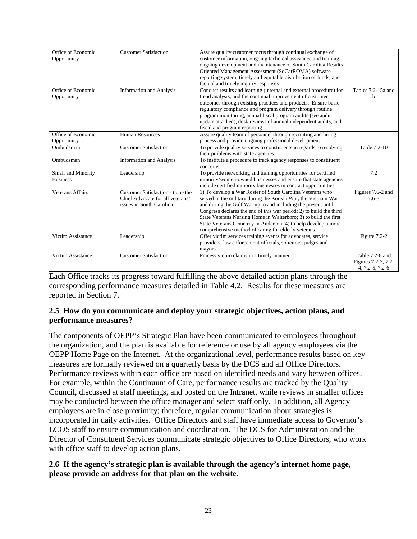| Office of Economic      | <b>Customer Satisfaction</b>      | Assure quality customer focus through continual exchange of         |                     |
|-------------------------|-----------------------------------|---------------------------------------------------------------------|---------------------|
| Opportunity             |                                   | customer information, ongoing technical assistance and training,    |                     |
|                         |                                   | ongoing development and maintenance of South Carolina Results-      |                     |
|                         |                                   | Oriented Management Assessment (SoCarROMA) software                 |                     |
|                         |                                   | reporting system, timely and equitable distribution of funds, and   |                     |
|                         |                                   | factual and timely inquiry responses                                |                     |
| Office of Economic      | <b>Information and Analysis</b>   | Conduct results and learning (internal and external procedure) for  | Tables 7.2-15a and  |
| Opportunity             |                                   | trend analysis, and the continual improvement of customer           | h                   |
|                         |                                   | outcomes through existing practices and products. Ensure basic      |                     |
|                         |                                   | regulatory compliance and program delivery through routine          |                     |
|                         |                                   | program monitoring, annual fiscal program audits (see audit         |                     |
|                         |                                   | update attached), desk reviews of annual independent audits, and    |                     |
|                         |                                   |                                                                     |                     |
| Office of Economic      |                                   | fiscal and program reporting                                        |                     |
|                         | <b>Human Resources</b>            | Assure quality team of personnel through recruiting and hiring      |                     |
| Opportunity             |                                   | process and provide ongoing professional development                |                     |
| Ombudsman               | <b>Customer Satisfaction</b>      | To provide quality services to constituents in regards to resolving | Table 7.2-10        |
|                         |                                   | their problems with state agencies.                                 |                     |
| Ombudsman               | <b>Information and Analysis</b>   | To institute a procedure to track agency responses to constituent   |                     |
|                         |                                   | concerns.                                                           |                     |
| Small and Minority      | Leadership                        | To provide networking and training opportunities for certified      | 7.2                 |
| <b>Business</b>         |                                   | minority/women-owned businesses and ensure that state agencies      |                     |
|                         |                                   | include certified minority businesses in contract opportunities     |                     |
| <b>Veterans Affairs</b> | Customer Satisfaction - to be the | 1) To develop a War Roster of South Carolina Veterans who           | Figures 7.6-2 and   |
|                         | Chief Advocate for all veterans'  | served in the military during the Korean War, the Vietnam War       | $7.6 - 3$           |
|                         | issues in South Carolina          | and during the Gulf War up to and including the present until       |                     |
|                         |                                   | Congress declares the end of this war period; 2) to build the third |                     |
|                         |                                   | State Veterans Nursing Home in Walterboro; 3) to build the first    |                     |
|                         |                                   | State Veterans Cemetery in Anderson; 4) to help develop a more      |                     |
|                         |                                   | comprehensive method of caring for elderly veterans.                |                     |
| Victim Assistance       | Leadership                        | Offer victim services training events for advocates, service        | Figure 7.2-2        |
|                         |                                   | providers, law enforcement officials, solicitors, judges and        |                     |
|                         |                                   | mayors.                                                             |                     |
| Victim Assistance       | <b>Customer Satisfaction</b>      | Process victim claims in a timely manner.                           | Table 7.2-8 and     |
|                         |                                   |                                                                     | Figures 7.2-3, 7.2- |
|                         |                                   |                                                                     | 4, 7.2-5, 7.2-6     |
|                         |                                   |                                                                     |                     |

Each Office tracks its progress toward fulfilling the above detailed action plans through the corresponding performance measures detailed in Table 4.2. Results for these measures are reported in Section 7.

#### **2.5 How do you communicate and deploy your strategic objectives, action plans, and performance measures?**

The components of OEPP's Strategic Plan have been communicated to employees throughout the organization, and the plan is available for reference or use by all agency employees via the OEPP Home Page on the Internet. At the organizational level, performance results based on key measures are formally reviewed on a quarterly basis by the DCS and all Office Directors. Performance reviews within each office are based on identified needs and vary between offices. For example, within the Continuum of Care, performance results are tracked by the Quality Council, discussed at staff meetings, and posted on the Intranet, while reviews in smaller offices may be conducted between the office manager and select staff only. In addition, all Agency employees are in close proximity; therefore, regular communication about strategies is incorporated in daily activities. Office Directors and staff have immediate access to Governor's ECOS staff to ensure communication and coordination. The DCS for Administration and the Director of Constituent Services communicate strategic objectives to Office Directors, who work with office staff to develop action plans.

#### **2.6 If the agency's strategic plan is available through the agency's internet home page, please provide an address for that plan on the website.**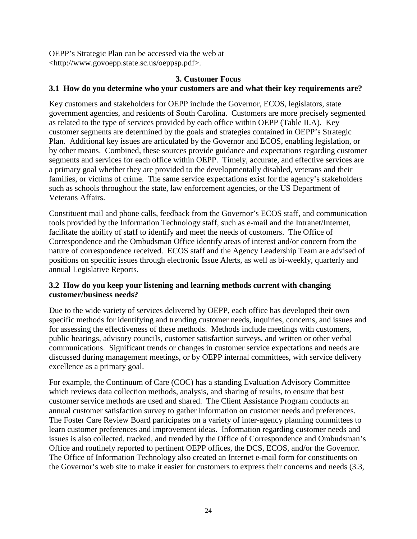OEPP's Strategic Plan can be accessed via the web at <http://www.govoepp.state.sc.us/oeppsp.pdf>.

#### **3. Customer Focus**

#### **3.1 How do you determine who your customers are and what their key requirements are?**

Key customers and stakeholders for OEPP include the Governor, ECOS, legislators, state government agencies, and residents of South Carolina. Customers are more precisely segmented as related to the type of services provided by each office within OEPP (Table II.A). Key customer segments are determined by the goals and strategies contained in OEPP's Strategic Plan. Additional key issues are articulated by the Governor and ECOS, enabling legislation, or by other means. Combined, these sources provide guidance and expectations regarding customer segments and services for each office within OEPP. Timely, accurate, and effective services are a primary goal whether they are provided to the developmentally disabled, veterans and their families, or victims of crime. The same service expectations exist for the agency's stakeholders such as schools throughout the state, law enforcement agencies, or the US Department of Veterans Affairs.

Constituent mail and phone calls, feedback from the Governor's ECOS staff, and communication tools provided by the Information Technology staff, such as e-mail and the Intranet/Internet, facilitate the ability of staff to identify and meet the needs of customers. The Office of Correspondence and the Ombudsman Office identify areas of interest and/or concern from the nature of correspondence received. ECOS staff and the Agency Leadership Team are advised of positions on specific issues through electronic Issue Alerts, as well as bi-weekly, quarterly and annual Legislative Reports.

#### **3.2 How do you keep your listening and learning methods current with changing customer/business needs?**

Due to the wide variety of services delivered by OEPP, each office has developed their own specific methods for identifying and trending customer needs, inquiries, concerns, and issues and for assessing the effectiveness of these methods. Methods include meetings with customers, public hearings, advisory councils, customer satisfaction surveys, and written or other verbal communications. Significant trends or changes in customer service expectations and needs are discussed during management meetings, or by OEPP internal committees, with service delivery excellence as a primary goal.

For example, the Continuum of Care (COC) has a standing Evaluation Advisory Committee which reviews data collection methods, analysis, and sharing of results, to ensure that best customer service methods are used and shared. The Client Assistance Program conducts an annual customer satisfaction survey to gather information on customer needs and preferences. The Foster Care Review Board participates on a variety of inter-agency planning committees to learn customer preferences and improvement ideas. Information regarding customer needs and issues is also collected, tracked, and trended by the Office of Correspondence and Ombudsman's Office and routinely reported to pertinent OEPP offices, the DCS, ECOS, and/or the Governor. The Office of Information Technology also created an Internet e-mail form for constituents on the Governor's web site to make it easier for customers to express their concerns and needs (3.3,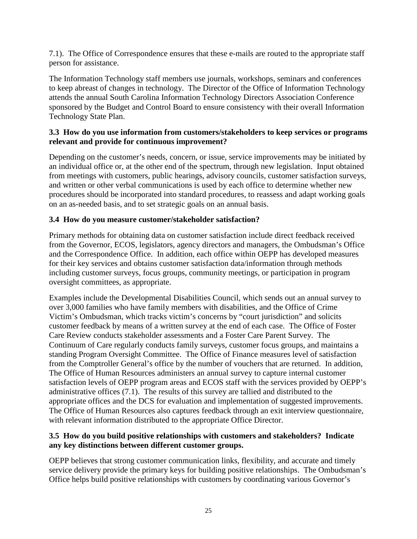7.1). The Office of Correspondence ensures that these e-mails are routed to the appropriate staff person for assistance.

The Information Technology staff members use journals, workshops, seminars and conferences to keep abreast of changes in technology. The Director of the Office of Information Technology attends the annual South Carolina Information Technology Directors Association Conference sponsored by the Budget and Control Board to ensure consistency with their overall Information Technology State Plan.

#### **3.3 How do you use information from customers/stakeholders to keep services or programs relevant and provide for continuous improvement?**

Depending on the customer's needs, concern, or issue, service improvements may be initiated by an individual office or, at the other end of the spectrum, through new legislation. Input obtained from meetings with customers, public hearings, advisory councils, customer satisfaction surveys, and written or other verbal communications is used by each office to determine whether new procedures should be incorporated into standard procedures, to reassess and adapt working goals on an as-needed basis, and to set strategic goals on an annual basis.

#### **3.4 How do you measure customer/stakeholder satisfaction?**

Primary methods for obtaining data on customer satisfaction include direct feedback received from the Governor, ECOS, legislators, agency directors and managers, the Ombudsman's Office and the Correspondence Office. In addition, each office within OEPP has developed measures for their key services and obtains customer satisfaction data/information through methods including customer surveys, focus groups, community meetings, or participation in program oversight committees, as appropriate.

Examples include the Developmental Disabilities Council, which sends out an annual survey to over 3,000 families who have family members with disabilities, and the Office of Crime Victim's Ombudsman, which tracks victim's concerns by "court jurisdiction" and solicits customer feedback by means of a written survey at the end of each case. The Office of Foster Care Review conducts stakeholder assessments and a Foster Care Parent Survey. The Continuum of Care regularly conducts family surveys, customer focus groups, and maintains a standing Program Oversight Committee. The Office of Finance measures level of satisfaction from the Comptroller General's office by the number of vouchers that are returned. In addition, The Office of Human Resources administers an annual survey to capture internal customer satisfaction levels of OEPP program areas and ECOS staff with the services provided by OEPP's administrative offices (7.1). The results of this survey are tallied and distributed to the appropriate offices and the DCS for evaluation and implementation of suggested improvements. The Office of Human Resources also captures feedback through an exit interview questionnaire, with relevant information distributed to the appropriate Office Director.

#### **3.5 How do you build positive relationships with customers and stakeholders? Indicate any key distinctions between different customer groups.**

OEPP believes that strong customer communication links, flexibility, and accurate and timely service delivery provide the primary keys for building positive relationships. The Ombudsman's Office helps build positive relationships with customers by coordinating various Governor's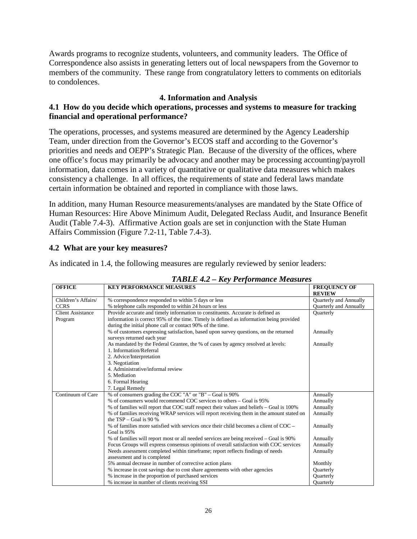Awards programs to recognize students, volunteers, and community leaders. The Office of Correspondence also assists in generating letters out of local newspapers from the Governor to members of the community. These range from congratulatory letters to comments on editorials to condolences.

#### **4. Information and Analysis**

#### **4.1 How do you decide which operations, processes and systems to measure for tracking financial and operational performance?**

The operations, processes, and systems measured are determined by the Agency Leadership Team, under direction from the Governor's ECOS staff and according to the Governor's priorities and needs and OEPP's Strategic Plan. Because of the diversity of the offices, where one office's focus may primarily be advocacy and another may be processing accounting/payroll information, data comes in a variety of quantitative or qualitative data measures which makes consistency a challenge. In all offices, the requirements of state and federal laws mandate certain information be obtained and reported in compliance with those laws.

In addition, many Human Resource measurements/analyses are mandated by the State Office of Human Resources: Hire Above Minimum Audit, Delegated Reclass Audit, and Insurance Benefit Audit (Table 7.4-3). Affirmative Action goals are set in conjunction with the State Human Affairs Commission (Figure 7.2-11, Table 7.4-3).

#### **4.2 What are your key measures?**

As indicated in 1.4, the following measures are regularly reviewed by senior leaders:

| <b>OFFICE</b>            | <b>KEY PERFORMANCE MEASURES</b>                                                          | <b>FREQUENCY OF</b><br><b>REVIEW</b> |
|--------------------------|------------------------------------------------------------------------------------------|--------------------------------------|
|                          |                                                                                          |                                      |
| Children's Affairs/      | % correspondence responded to within 5 days or less                                      | <b>Ouarterly and Annually</b>        |
| <b>CCRS</b>              | % telephone calls responded to within 24 hours or less                                   | Quarterly and Annually               |
| <b>Client Assistance</b> | Provide accurate and timely information to constituents. Accurate is defined as          | <b>Ouarterly</b>                     |
| Program                  | information is correct 95% of the time. Timely is defined as information being provided  |                                      |
|                          | during the initial phone call or contact 90% of the time.                                |                                      |
|                          | % of customers expressing satisfaction, based upon survey questions, on the returned     | Annually                             |
|                          | surveys returned each year                                                               |                                      |
|                          | As mandated by the Federal Grantee, the % of cases by agency resolved at levels:         | Annually                             |
|                          | 1. Information/Referral                                                                  |                                      |
|                          | 2. Advice/Interpretation                                                                 |                                      |
|                          | 3. Negotiation                                                                           |                                      |
|                          | 4. Administrative/informal review                                                        |                                      |
|                          | 5. Mediation                                                                             |                                      |
|                          | 6. Formal Hearing                                                                        |                                      |
|                          | 7. Legal Remedy                                                                          |                                      |
| Continuum of Care        | % of consumers grading the COC "A" or "B" – Goal is 90%                                  | Annually                             |
|                          | % of consumers would recommend COC services to others – Goal is 95%                      | Annually                             |
|                          | % of families will report that COC staff respect their values and beliefs - Goal is 100% | Annually                             |
|                          | % of families receiving WRAP services will report receiving them in the amount stated on | Annually                             |
|                          | the $TSP - Goal$ is 90 %                                                                 |                                      |
|                          | % of families more satisfied with services once their child becomes a client of $COC -$  | Annually                             |
|                          | Goal is 95%                                                                              |                                      |
|                          | % of families will report most or all needed services are being received – Goal is 90%   | Annually                             |
|                          | Focus Groups will express consensus opinions of overall satisfaction with COC services   | Annually                             |
|                          | Needs assessment completed within timeframe; report reflects findings of needs           | Annually                             |
|                          | assessment and is completed                                                              |                                      |
|                          | 5% annual decrease in number of corrective action plans                                  | Monthly                              |
|                          | % increase in cost savings due to cost share agreements with other agencies              | Quarterly                            |
|                          | % increase in the proportion of purchased services                                       | Quarterly                            |
|                          | % increase in number of clients receiving SSI                                            | <b>Ouarterly</b>                     |

#### *TABLE 4.2 – Key Performance Measures*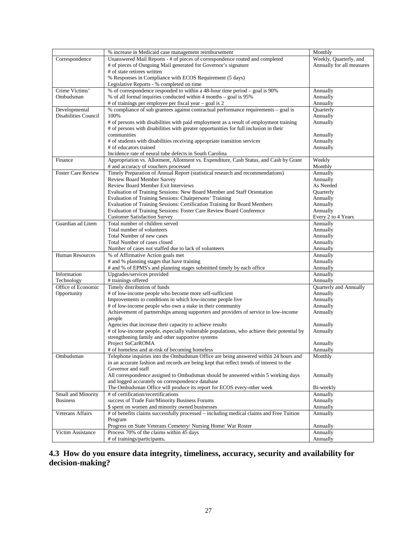|                             |                                                                                           | Monthly                   |
|-----------------------------|-------------------------------------------------------------------------------------------|---------------------------|
|                             | % increase in Medicaid case management reimbursement                                      |                           |
| Correspondence              | Unanswered Mail Reports - # of pieces of correspondence routed and completed              | Weekly, Quarterly, and    |
|                             | # of pieces of Outgoing Mail generated for Governor's signature                           | Annually for all measures |
|                             | # of state retirees written                                                               |                           |
|                             | % Responses in Compliance with ECOS Requirement (5 days)                                  |                           |
|                             |                                                                                           |                           |
|                             | Legislative Reports - % completed on time                                                 |                           |
| Crime Victims'              | % of correspondence responded to within a 48-hour time period - goal is 90%               | Annually                  |
| Ombudsman                   | % of all formal inquiries conducted within 4 months - goal is 95%                         | Annually                  |
|                             | # of trainings per employee per fiscal year - goal is 2                                   | Annually                  |
| Developmental               | % compliance of sub grantees against contractual performance requirements - goal is       | Quarterly                 |
| <b>Disabilities Council</b> | 100%                                                                                      |                           |
|                             |                                                                                           | Annually                  |
|                             | # of persons with disabilities with paid employment as a result of employment training    | Annually                  |
|                             | # of persons with disabilities with greater opportunities for full inclusion in their     |                           |
|                             | communities                                                                               | Annually                  |
|                             | # of students with disabilities receiving appropriate transition services                 | Annually                  |
|                             | # of educators trained                                                                    | Annually                  |
|                             | Incidence rate of neural tube defects in South Carolina                                   |                           |
|                             |                                                                                           |                           |
| Finance                     | Appropriation vs. Allotment, Allotment vs. Expenditure, Cash Status, and Cash by Grant    | Weekly                    |
|                             | # and accuracy of vouchers processed                                                      | Monthly                   |
| <b>Foster Care Review</b>   | Timely Preparation of Annual Report (statistical research and recommendations)            | Annually                  |
|                             | <b>Review Board Member Survey</b>                                                         | Annually                  |
|                             | <b>Review Board Member Exit Interviews</b>                                                | As Needed                 |
|                             |                                                                                           |                           |
|                             | Evaluation of Training Sessions: New Board Member and Staff Orientation                   | Quarterly                 |
|                             | Evaluation of Training Sessions: Chairpersons' Training                                   | Annually                  |
|                             | Evaluation of Training Sessions: Certification Training for Board Members                 | Annually                  |
|                             | Evaluation of Training Sessions: Foster Care Review Board Conference                      | Annually                  |
|                             | <b>Customer Satisfaction Survey</b>                                                       | Every 2 to 4 Years        |
| Guardian ad Litem           | Total number of children served                                                           | Annually                  |
|                             |                                                                                           |                           |
|                             | Total number of volunteers                                                                | Annually                  |
|                             | Total Number of new cases                                                                 | Annually                  |
|                             | Total Number of cases closed                                                              | Annually                  |
|                             | Number of cases not staffed due to lack of volunteers                                     | Annually                  |
| <b>Human Resources</b>      | % of Affirmative Action goals met                                                         | Annually                  |
|                             | # and % planning stages that have training                                                | Annually                  |
|                             |                                                                                           |                           |
|                             | # and % of EPMS's and planning stages submitted timely by each office                     | Annually                  |
| Information                 | Upgrades/services provided                                                                | Annually                  |
| Technology                  | # trainings offered                                                                       | Annually                  |
| Office of Economic          | Timely distribution of funds                                                              | Quarterly and Annually    |
| Opportunity                 | # of low-income people who become more self-sufficient                                    | Annually                  |
|                             | Improvements to conditions in which low-income people live                                | Annually                  |
|                             |                                                                                           |                           |
|                             | # of low-income people who own a stake in their community                                 | Annually                  |
|                             | Achievement of partnerships among supporters and providers of service to low-income       | Annually                  |
|                             | people                                                                                    |                           |
|                             | Agencies that increase their capacity to achieve results                                  | Annually                  |
|                             | # of low-income people, especially vulnerable populations, who achieve their potential by | Annually                  |
|                             | strengthening family and other supportive systems                                         |                           |
|                             | Project SoCarROMA                                                                         |                           |
|                             |                                                                                           | Annually                  |
|                             | # of homeless and at-risk of becoming homeless                                            | Annually                  |
| Ombudsman                   | Telephone inquiries into the Ombudsman Office are being answered within 24 hours and      | Monthly                   |
|                             | in an accurate fashion and records are being kept that reflect trends of interest to the  |                           |
|                             | Governor and staff                                                                        |                           |
|                             | All correspondence assigned to Ombudsman should be answered within 5 working days         | Annually                  |
|                             |                                                                                           |                           |
|                             | and logged accurately on correspondence database                                          |                           |
|                             | The Ombudsman Office will produce its report for ECOS every-other week                    | Bi-weekly                 |
| Small and Minority          | # of certification/recertifications                                                       | Annually                  |
| <b>Business</b>             | success of Trade Fair/Minority Business Forums                                            | Annually                  |
|                             | \$ spent on women and minority owned businesses                                           | Annually                  |
| Veterans Affairs            | # of benefits claims successfully processed – including medical claims and Free Tuition   | Annually                  |
|                             |                                                                                           |                           |
|                             | Program                                                                                   |                           |
|                             | Progress on State Veterans Cemetery/ Nursing Home/ War Roster                             | Annually                  |
| Victim Assistance           | Process 70% of the claims within 45 days                                                  | Annually                  |
|                             | # of trainings/participants.                                                              | Annually                  |

**4.3 How do you ensure data integrity, timeliness, accuracy, security and availability for decision-making?**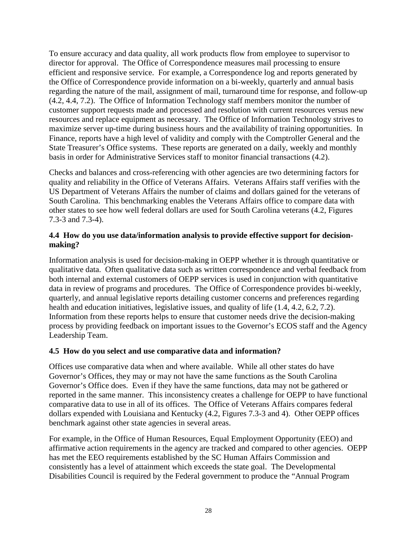To ensure accuracy and data quality, all work products flow from employee to supervisor to director for approval. The Office of Correspondence measures mail processing to ensure efficient and responsive service. For example, a Correspondence log and reports generated by the Office of Correspondence provide information on a bi-weekly, quarterly and annual basis regarding the nature of the mail, assignment of mail, turnaround time for response, and follow-up (4.2, 4.4, 7.2). The Office of Information Technology staff members monitor the number of customer support requests made and processed and resolution with current resources versus new resources and replace equipment as necessary. The Office of Information Technology strives to maximize server up-time during business hours and the availability of training opportunities. In Finance, reports have a high level of validity and comply with the Comptroller General and the State Treasurer's Office systems. These reports are generated on a daily, weekly and monthly basis in order for Administrative Services staff to monitor financial transactions (4.2).

Checks and balances and cross-referencing with other agencies are two determining factors for quality and reliability in the Office of Veterans Affairs. Veterans Affairs staff verifies with the US Department of Veterans Affairs the number of claims and dollars gained for the veterans of South Carolina. This benchmarking enables the Veterans Affairs office to compare data with other states to see how well federal dollars are used for South Carolina veterans (4.2, Figures 7.3-3 and 7.3-4).

#### **4.4 How do you use data/information analysis to provide effective support for decisionmaking?**

Information analysis is used for decision-making in OEPP whether it is through quantitative or qualitative data. Often qualitative data such as written correspondence and verbal feedback from both internal and external customers of OEPP services is used in conjunction with quantitative data in review of programs and procedures. The Office of Correspondence provides bi-weekly, quarterly, and annual legislative reports detailing customer concerns and preferences regarding health and education initiatives, legislative issues, and quality of life (1.4, 4.2, 6.2, 7.2). Information from these reports helps to ensure that customer needs drive the decision-making process by providing feedback on important issues to the Governor's ECOS staff and the Agency Leadership Team.

#### **4.5 How do you select and use comparative data and information?**

Offices use comparative data when and where available. While all other states do have Governor's Offices, they may or may not have the same functions as the South Carolina Governor's Office does. Even if they have the same functions, data may not be gathered or reported in the same manner. This inconsistency creates a challenge for OEPP to have functional comparative data to use in all of its offices. The Office of Veterans Affairs compares federal dollars expended with Louisiana and Kentucky (4.2, Figures 7.3-3 and 4). Other OEPP offices benchmark against other state agencies in several areas.

For example, in the Office of Human Resources, Equal Employment Opportunity (EEO) and affirmative action requirements in the agency are tracked and compared to other agencies. OEPP has met the EEO requirements established by the SC Human Affairs Commission and consistently has a level of attainment which exceeds the state goal. The Developmental Disabilities Council is required by the Federal government to produce the "Annual Program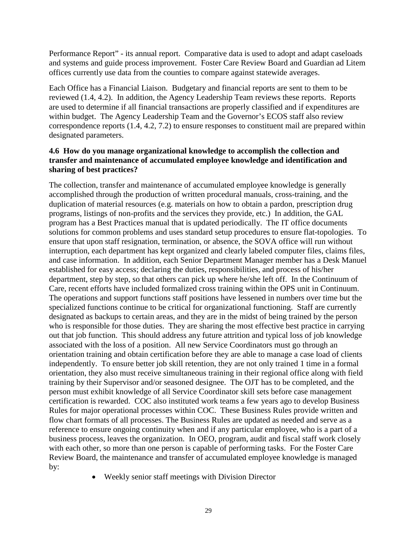Performance Report" - its annual report. Comparative data is used to adopt and adapt caseloads and systems and guide process improvement. Foster Care Review Board and Guardian ad Litem offices currently use data from the counties to compare against statewide averages.

Each Office has a Financial Liaison. Budgetary and financial reports are sent to them to be reviewed (1.4, 4.2). In addition, the Agency Leadership Team reviews these reports. Reports are used to determine if all financial transactions are properly classified and if expenditures are within budget. The Agency Leadership Team and the Governor's ECOS staff also review correspondence reports (1.4, 4.2, 7.2) to ensure responses to constituent mail are prepared within designated parameters.

#### **4.6 How do you manage organizational knowledge to accomplish the collection and transfer and maintenance of accumulated employee knowledge and identification and sharing of best practices?**

The collection, transfer and maintenance of accumulated employee knowledge is generally accomplished through the production of written procedural manuals, cross-training, and the duplication of material resources (e.g. materials on how to obtain a pardon, prescription drug programs, listings of non-profits and the services they provide, etc.) In addition, the GAL program has a Best Practices manual that is updated periodically. The IT office documents solutions for common problems and uses standard setup procedures to ensure flat-topologies. To ensure that upon staff resignation, termination, or absence, the SOVA office will run without interruption, each department has kept organized and clearly labeled computer files, claims files, and case information. In addition, each Senior Department Manager member has a Desk Manuel established for easy access; declaring the duties, responsibilities, and process of his/her department, step by step, so that others can pick up where he/she left off. In the Continuum of Care, recent efforts have included formalized cross training within the OPS unit in Continuum. The operations and support functions staff positions have lessened in numbers over time but the specialized functions continue to be critical for organizational functioning. Staff are currently designated as backups to certain areas, and they are in the midst of being trained by the person who is responsible for those duties. They are sharing the most effective best practice in carrying out that job function. This should address any future attrition and typical loss of job knowledge associated with the loss of a position. All new Service Coordinators must go through an orientation training and obtain certification before they are able to manage a case load of clients independently. To ensure better job skill retention, they are not only trained 1 time in a formal orientation, they also must receive simultaneous training in their regional office along with field training by their Supervisor and/or seasoned designee. The OJT has to be completed, and the person must exhibit knowledge of all Service Coordinator skill sets before case management certification is rewarded. COC also instituted work teams a few years ago to develop Business Rules for major operational processes within COC. These Business Rules provide written and flow chart formats of all processes. The Business Rules are updated as needed and serve as a reference to ensure ongoing continuity when and if any particular employee, who is a part of a business process, leaves the organization. In OEO, program, audit and fiscal staff work closely with each other, so more than one person is capable of performing tasks. For the Foster Care Review Board, the maintenance and transfer of accumulated employee knowledge is managed by:

• Weekly senior staff meetings with Division Director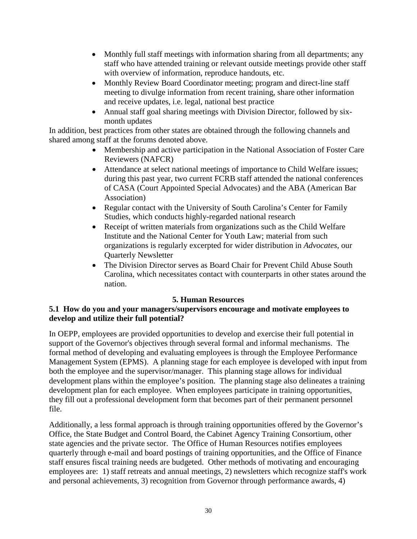- Monthly full staff meetings with information sharing from all departments; any staff who have attended training or relevant outside meetings provide other staff with overview of information, reproduce handouts, etc.
- Monthly Review Board Coordinator meeting; program and direct-line staff meeting to divulge information from recent training, share other information and receive updates, i.e. legal, national best practice
- Annual staff goal sharing meetings with Division Director, followed by sixmonth updates

In addition, best practices from other states are obtained through the following channels and shared among staff at the forums denoted above.

- Membership and active participation in the National Association of Foster Care Reviewers (NAFCR)
- Attendance at select national meetings of importance to Child Welfare issues; during this past year, two current FCRB staff attended the national conferences of CASA (Court Appointed Special Advocates) and the ABA (American Bar Association)
- Regular contact with the University of South Carolina's Center for Family Studies, which conducts highly-regarded national research
- Receipt of written materials from organizations such as the Child Welfare Institute and the National Center for Youth Law; material from such organizations is regularly excerpted for wider distribution in *Advocates*, our Quarterly Newsletter
- The Division Director serves as Board Chair for Prevent Child Abuse South Carolina, which necessitates contact with counterparts in other states around the nation.

#### **5. Human Resources**

#### **5.1 How do you and your managers/supervisors encourage and motivate employees to develop and utilize their full potential?**

In OEPP, employees are provided opportunities to develop and exercise their full potential in support of the Governor's objectives through several formal and informal mechanisms. The formal method of developing and evaluating employees is through the Employee Performance Management System (EPMS). A planning stage for each employee is developed with input from both the employee and the supervisor/manager. This planning stage allows for individual development plans within the employee's position. The planning stage also delineates a training development plan for each employee. When employees participate in training opportunities, they fill out a professional development form that becomes part of their permanent personnel file.

Additionally, a less formal approach is through training opportunities offered by the Governor's Office, the State Budget and Control Board, the Cabinet Agency Training Consortium, other state agencies and the private sector. The Office of Human Resources notifies employees quarterly through e-mail and board postings of training opportunities, and the Office of Finance staff ensures fiscal training needs are budgeted. Other methods of motivating and encouraging employees are: 1) staff retreats and annual meetings, 2) newsletters which recognize staff's work and personal achievements, 3) recognition from Governor through performance awards, 4)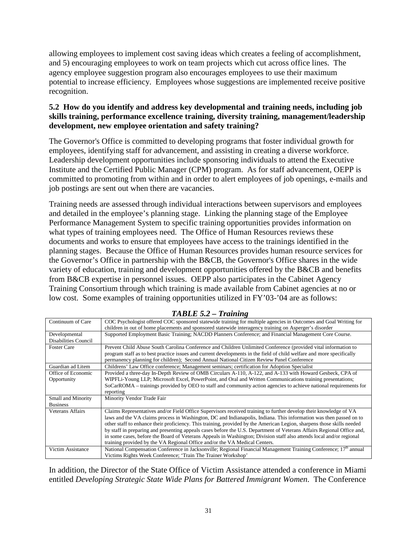allowing employees to implement cost saving ideas which creates a feeling of accomplishment, and 5) encouraging employees to work on team projects which cut across office lines. The agency employee suggestion program also encourages employees to use their maximum potential to increase efficiency. Employees whose suggestions are implemented receive positive recognition.

#### **5.2 How do you identify and address key developmental and training needs, including job skills training, performance excellence training, diversity training, management/leadership development, new employee orientation and safety training?**

The Governor's Office is committed to developing programs that foster individual growth for employees, identifying staff for advancement, and assisting in creating a diverse workforce. Leadership development opportunities include sponsoring individuals to attend the Executive Institute and the Certified Public Manager (CPM) program. As for staff advancement, OEPP is committed to promoting from within and in order to alert employees of job openings, e-mails and job postings are sent out when there are vacancies.

Training needs are assessed through individual interactions between supervisors and employees and detailed in the employee's planning stage. Linking the planning stage of the Employee Performance Management System to specific training opportunities provides information on what types of training employees need. The Office of Human Resources reviews these documents and works to ensure that employees have access to the trainings identified in the planning stages. Because the Office of Human Resources provides human resource services for the Governor's Office in partnership with the B&CB, the Governor's Office shares in the wide variety of education, training and development opportunities offered by the B&CB and benefits from B&CB expertise in personnel issues. OEPP also participates in the Cabinet Agency Training Consortium through which training is made available from Cabinet agencies at no or low cost. Some examples of training opportunities utilized in FY'03-'04 are as follows:

| Communition Care                      | COC ESVEROIOGIST OFFERED COC SPORSOFCO STATEWING TRAINING TOF HIGHLIPIC AGENCIES IN OUTCOMES AND OOAL WITHING TOF<br>children in out of home placements and sponsored statewide interagency training on Asperger's disorder                                                                                                                                                                                                                                                                                                                                                                                                                                                                       |
|---------------------------------------|---------------------------------------------------------------------------------------------------------------------------------------------------------------------------------------------------------------------------------------------------------------------------------------------------------------------------------------------------------------------------------------------------------------------------------------------------------------------------------------------------------------------------------------------------------------------------------------------------------------------------------------------------------------------------------------------------|
| Developmental<br>Disabilities Council | Supported Employment Basic Training; NACDD Planners Conference; and Financial Management Core Course.                                                                                                                                                                                                                                                                                                                                                                                                                                                                                                                                                                                             |
| <b>Foster Care</b>                    | Prevent Child Abuse South Carolina Conference and Children Unlimited Conference (provided vital information to<br>program staff as to best practice issues and current developments in the field of child welfare and more specifically<br>permanency planning for children); Second Annual National Citizen Review Panel Conference                                                                                                                                                                                                                                                                                                                                                              |
| Guardian ad Litem                     | Childrens' Law Office conference; Management seminars; certification for Adoption Specialist                                                                                                                                                                                                                                                                                                                                                                                                                                                                                                                                                                                                      |
| Office of Economic<br>Opportunity     | Provided a three-day In-Depth Review of OMB Circulars A-110, A-122, and A-133 with Howard Gesbeck, CPA of<br>WIPFLi-Young LLP; Microsoft Excel, PowerPoint, and Oral and Written Communications training presentations;<br>SoCarROMA – trainings provided by OEO to staff and community action agencies to achieve national requirements for<br>reporting                                                                                                                                                                                                                                                                                                                                         |
| Small and Minority<br><b>Business</b> | Minority Vendor Trade Fair                                                                                                                                                                                                                                                                                                                                                                                                                                                                                                                                                                                                                                                                        |
| <b>Veterans Affairs</b>               | Claims Representatives and/or Field Office Supervisors received training to further develop their knowledge of VA<br>laws and the VA claims process in Washington, DC and Indianapolis, Indiana. This information was then passed on to<br>other staff to enhance their proficiency. This training, provided by the American Legion, sharpens those skills needed<br>by staff in preparing and presenting appeals cases before the U.S. Department of Veterans Affairs Regional Office and,<br>in some cases, before the Board of Veterans Appeals in Washington; Division staff also attends local and/or regional<br>training provided by the VA Regional Office and/or the VA Medical Centers. |
| Victim Assistance                     | National Compensation Conference in Jacksonville; Regional Financial Management Training Conference; 17 <sup>th</sup> annual<br>Victims Rights Week Conference; 'Train The Trainer Workshop'                                                                                                                                                                                                                                                                                                                                                                                                                                                                                                      |

#### *TABLE 5.2 – Training* Continuum of Care COC Psychologist offered COC sponsored statewide training for multiple agencies in Outcomes and Goal Writing for

In addition, the Director of the State Office of Victim Assistance attended a conference in Miami entitled *Developing Strategic State Wide Plans for Battered Immigrant Women*. The Conference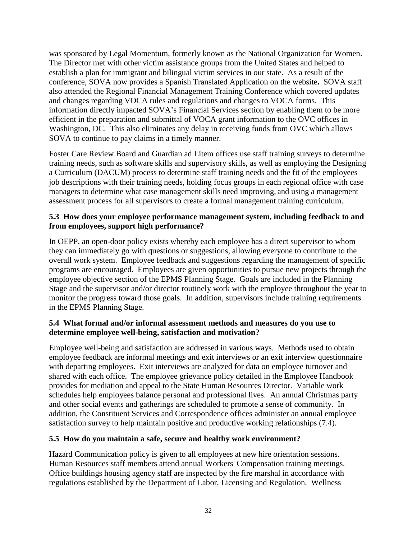was sponsored by Legal Momentum, formerly known as the National Organization for Women. The Director met with other victim assistance groups from the United States and helped to establish a plan for immigrant and bilingual victim services in our state. As a result of the conference, SOVA now provides a Spanish Translated Application on the website**.** SOVA staff also attended the Regional Financial Management Training Conference which covered updates and changes regarding VOCA rules and regulations and changes to VOCA forms. This information directly impacted SOVA's Financial Services section by enabling them to be more efficient in the preparation and submittal of VOCA grant information to the OVC offices in Washington, DC. This also eliminates any delay in receiving funds from OVC which allows SOVA to continue to pay claims in a timely manner.

Foster Care Review Board and Guardian ad Litem offices use staff training surveys to determine training needs, such as software skills and supervisory skills, as well as employing the Designing a Curriculum (DACUM) process to determine staff training needs and the fit of the employees job descriptions with their training needs, holding focus groups in each regional office with case managers to determine what case management skills need improving, and using a management assessment process for all supervisors to create a formal management training curriculum.

#### **5.3 How does your employee performance management system, including feedback to and from employees, support high performance?**

In OEPP, an open-door policy exists whereby each employee has a direct supervisor to whom they can immediately go with questions or suggestions, allowing everyone to contribute to the overall work system. Employee feedback and suggestions regarding the management of specific programs are encouraged. Employees are given opportunities to pursue new projects through the employee objective section of the EPMS Planning Stage. Goals are included in the Planning Stage and the supervisor and/or director routinely work with the employee throughout the year to monitor the progress toward those goals. In addition, supervisors include training requirements in the EPMS Planning Stage.

#### **5.4 What formal and/or informal assessment methods and measures do you use to determine employee well-being, satisfaction and motivation?**

Employee well-being and satisfaction are addressed in various ways. Methods used to obtain employee feedback are informal meetings and exit interviews or an exit interview questionnaire with departing employees. Exit interviews are analyzed for data on employee turnover and shared with each office. The employee grievance policy detailed in the Employee Handbook provides for mediation and appeal to the State Human Resources Director. Variable work schedules help employees balance personal and professional lives. An annual Christmas party and other social events and gatherings are scheduled to promote a sense of community. In addition, the Constituent Services and Correspondence offices administer an annual employee satisfaction survey to help maintain positive and productive working relationships (7.4).

#### **5.5 How do you maintain a safe, secure and healthy work environment?**

Hazard Communication policy is given to all employees at new hire orientation sessions. Human Resources staff members attend annual Workers' Compensation training meetings. Office buildings housing agency staff are inspected by the fire marshal in accordance with regulations established by the Department of Labor, Licensing and Regulation. Wellness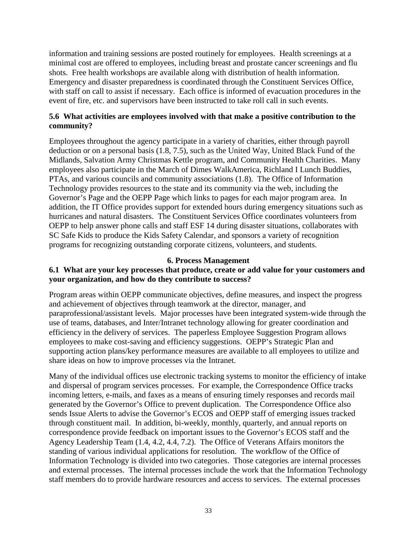information and training sessions are posted routinely for employees. Health screenings at a minimal cost are offered to employees, including breast and prostate cancer screenings and flu shots. Free health workshops are available along with distribution of health information. Emergency and disaster preparedness is coordinated through the Constituent Services Office, with staff on call to assist if necessary. Each office is informed of evacuation procedures in the event of fire, etc. and supervisors have been instructed to take roll call in such events.

#### **5.6 What activities are employees involved with that make a positive contribution to the community?**

Employees throughout the agency participate in a variety of charities, either through payroll deduction or on a personal basis (1.8, 7.5), such as the United Way, United Black Fund of the Midlands, Salvation Army Christmas Kettle program, and Community Health Charities. Many employees also participate in the March of Dimes WalkAmerica, Richland I Lunch Buddies, PTAs, and various councils and community associations (1.8). The Office of Information Technology provides resources to the state and its community via the web, including the Governor's Page and the OEPP Page which links to pages for each major program area. In addition, the IT Office provides support for extended hours during emergency situations such as hurricanes and natural disasters. The Constituent Services Office coordinates volunteers from OEPP to help answer phone calls and staff ESF 14 during disaster situations, collaborates with SC Safe Kids to produce the Kids Safety Calendar, and sponsors a variety of recognition programs for recognizing outstanding corporate citizens, volunteers, and students.

#### **6. Process Management**

#### **6.1 What are your key processes that produce, create or add value for your customers and your organization, and how do they contribute to success?**

Program areas within OEPP communicate objectives, define measures, and inspect the progress and achievement of objectives through teamwork at the director, manager, and paraprofessional/assistant levels. Major processes have been integrated system-wide through the use of teams, databases, and Inter/Intranet technology allowing for greater coordination and efficiency in the delivery of services. The paperless Employee Suggestion Program allows employees to make cost-saving and efficiency suggestions. OEPP's Strategic Plan and supporting action plans/key performance measures are available to all employees to utilize and share ideas on how to improve processes via the Intranet.

Many of the individual offices use electronic tracking systems to monitor the efficiency of intake and dispersal of program services processes. For example, the Correspondence Office tracks incoming letters, e-mails, and faxes as a means of ensuring timely responses and records mail generated by the Governor's Office to prevent duplication. The Correspondence Office also sends Issue Alerts to advise the Governor's ECOS and OEPP staff of emerging issues tracked through constituent mail. In addition, bi-weekly, monthly, quarterly, and annual reports on correspondence provide feedback on important issues to the Governor's ECOS staff and the Agency Leadership Team (1.4, 4.2, 4.4, 7.2). The Office of Veterans Affairs monitors the standing of various individual applications for resolution. The workflow of the Office of Information Technology is divided into two categories. Those categories are internal processes and external processes. The internal processes include the work that the Information Technology staff members do to provide hardware resources and access to services. The external processes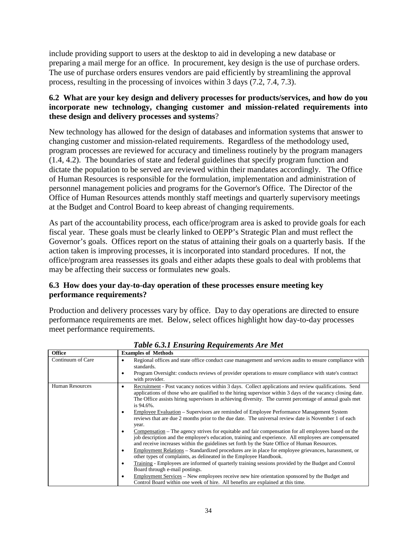include providing support to users at the desktop to aid in developing a new database or preparing a mail merge for an office. In procurement, key design is the use of purchase orders. The use of purchase orders ensures vendors are paid efficiently by streamlining the approval process, resulting in the processing of invoices within 3 days (7.2, 7.4, 7.3).

#### **6.2 What are your key design and delivery processes for products/services, and how do you incorporate new technology, changing customer and mission-related requirements into these design and delivery processes and systems**?

New technology has allowed for the design of databases and information systems that answer to changing customer and mission-related requirements. Regardless of the methodology used, program processes are reviewed for accuracy and timeliness routinely by the program managers (1.4, 4.2). The boundaries of state and federal guidelines that specify program function and dictate the population to be served are reviewed within their mandates accordingly. The Office of Human Resources is responsible for the formulation, implementation and administration of personnel management policies and programs for the Governor's Office. The Director of the Office of Human Resources attends monthly staff meetings and quarterly supervisory meetings at the Budget and Control Board to keep abreast of changing requirements.

As part of the accountability process, each office/program area is asked to provide goals for each fiscal year. These goals must be clearly linked to OEPP's Strategic Plan and must reflect the Governor's goals. Offices report on the status of attaining their goals on a quarterly basis. If the action taken is improving processes, it is incorporated into standard procedures. If not, the office/program area reassesses its goals and either adapts these goals to deal with problems that may be affecting their success or formulates new goals.

#### **6.3 How does your day-to-day operation of these processes ensure meeting key performance requirements?**

Production and delivery processes vary by office. Day to day operations are directed to ensure performance requirements are met. Below, select offices highlight how day-to-day processes meet performance requirements.

| <b>Office</b>          | <b>Examples of Methods</b>                                                                                                                                                                                                                                                                                                                                                                                                                                                                                                                                                                                                                                                                                                                                                                                                                                                                                                                                                                                                                                                                                                                                                                                                                                                                                                                       |
|------------------------|--------------------------------------------------------------------------------------------------------------------------------------------------------------------------------------------------------------------------------------------------------------------------------------------------------------------------------------------------------------------------------------------------------------------------------------------------------------------------------------------------------------------------------------------------------------------------------------------------------------------------------------------------------------------------------------------------------------------------------------------------------------------------------------------------------------------------------------------------------------------------------------------------------------------------------------------------------------------------------------------------------------------------------------------------------------------------------------------------------------------------------------------------------------------------------------------------------------------------------------------------------------------------------------------------------------------------------------------------|
| Continuum of Care      | Regional offices and state office conduct case management and services audits to ensure compliance with<br>٠<br>standards.<br>Program Oversight: conducts reviews of provider operations to ensure compliance with state's contract<br>$\bullet$<br>with provider.                                                                                                                                                                                                                                                                                                                                                                                                                                                                                                                                                                                                                                                                                                                                                                                                                                                                                                                                                                                                                                                                               |
| <b>Human Resources</b> | Recruitment - Post vacancy notices within 3 days. Collect applications and review qualifications. Send<br>٠<br>applications of those who are qualified to the hiring supervisor within 3 days of the vacancy closing date.<br>The Office assists hiring supervisors in achieving diversity. The current percentage of annual goals met<br>is 94.6%.<br>Employee Evaluation – Supervisors are reminded of Employee Performance Management System<br>٠<br>reviews that are due 2 months prior to the due date. The universal review date is November 1 of each<br>year.<br>Compensation – The agency strives for equitable and fair compensation for all employees based on the<br>٠<br>job description and the employee's education, training and experience. All employees are compensated<br>and receive increases within the guidelines set forth by the State Office of Human Resources.<br>Employment Relations – Standardized procedures are in place for employee grievances, harassment, or<br>٠<br>other types of complaints, as delineated in the Employee Handbook.<br>Training - Employees are informed of quarterly training sessions provided by the Budget and Control<br>$\bullet$<br>Board through e-mail postings.<br>Employment Services – New employees receive new hire orientation sponsored by the Budget and<br>$\bullet$ |
|                        | Control Board within one week of hire. All benefits are explained at this time.                                                                                                                                                                                                                                                                                                                                                                                                                                                                                                                                                                                                                                                                                                                                                                                                                                                                                                                                                                                                                                                                                                                                                                                                                                                                  |

*Table 6.3.1 Ensuring Requirements Are Met*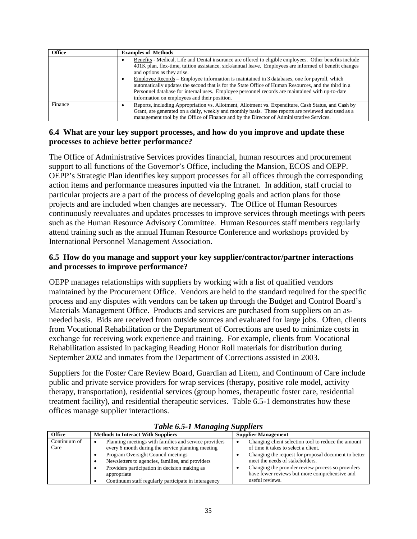| <b>Office</b> | <b>Examples of Methods</b>                                                                                                                                                                                                                                                                                                                                                                                                                                                                                                                                                                                                   |
|---------------|------------------------------------------------------------------------------------------------------------------------------------------------------------------------------------------------------------------------------------------------------------------------------------------------------------------------------------------------------------------------------------------------------------------------------------------------------------------------------------------------------------------------------------------------------------------------------------------------------------------------------|
|               | Benefits - Medical, Life and Dental insurance are offered to eligible employees. Other benefits include<br>٠<br>401K plan, flex-time, tuition assistance, sick/annual leave. Employees are informed of benefit changes<br>and options as they arise.<br>Employee Records – Employee information is maintained in 3 databases, one for payroll, which<br>$\bullet$<br>automatically updates the second that is for the State Office of Human Resources, and the third in a<br>Personnel database for internal uses. Employee personnel records are maintained with up-to-date<br>information on employees and their position. |
| Finance       | Reports, including Appropriation vs. Allotment, Allotment vs. Expenditure, Cash Status, and Cash by<br>Grant, are generated on a daily, weekly and monthly basis. These reports are reviewed and used as a<br>management tool by the Office of Finance and by the Director of Administrative Services.                                                                                                                                                                                                                                                                                                                       |

#### **6.4 What are your key support processes, and how do you improve and update these processes to achieve better performance?**

The Office of Administrative Services provides financial, human resources and procurement support to all functions of the Governor's Office, including the Mansion, ECOS and OEPP. OEPP's Strategic Plan identifies key support processes for all offices through the corresponding action items and performance measures inputted via the Intranet. In addition, staff crucial to particular projects are a part of the process of developing goals and action plans for those projects and are included when changes are necessary. The Office of Human Resources continuously reevaluates and updates processes to improve services through meetings with peers such as the Human Resource Advisory Committee. Human Resources staff members regularly attend training such as the annual Human Resource Conference and workshops provided by International Personnel Management Association.

## **6.5 How do you manage and support your key supplier/contractor/partner interactions and processes to improve performance?**

OEPP manages relationships with suppliers by working with a list of qualified vendors maintained by the Procurement Office. Vendors are held to the standard required for the specific process and any disputes with vendors can be taken up through the Budget and Control Board's Materials Management Office. Products and services are purchased from suppliers on an asneeded basis. Bids are received from outside sources and evaluated for large jobs. Often, clients from Vocational Rehabilitation or the Department of Corrections are used to minimize costs in exchange for receiving work experience and training. For example, clients from Vocational Rehabilitation assisted in packaging Reading Honor Roll materials for distribution during September 2002 and inmates from the Department of Corrections assisted in 2003.

Suppliers for the Foster Care Review Board, Guardian ad Litem, and Continuum of Care include public and private service providers for wrap services (therapy, positive role model, activity therapy, transportation), residential services (group homes, therapeutic foster care, residential treatment facility), and residential therapeutic services. Table 6.5-1 demonstrates how these offices manage supplier interactions.

| Tubic 0.5-1 manuging Buppliers |                                                                                                                                                                                                                                                                                                                              |                                                                                                                                                                                                                                                                                                                 |  |
|--------------------------------|------------------------------------------------------------------------------------------------------------------------------------------------------------------------------------------------------------------------------------------------------------------------------------------------------------------------------|-----------------------------------------------------------------------------------------------------------------------------------------------------------------------------------------------------------------------------------------------------------------------------------------------------------------|--|
| <b>Office</b>                  | <b>Methods to Interact With Suppliers</b>                                                                                                                                                                                                                                                                                    | <b>Supplier Management</b>                                                                                                                                                                                                                                                                                      |  |
| Continuum of<br>Care           | Planning meetings with families and service providers<br>every 6 month during the service planning meeting<br>Program Oversight Council meetings<br>Newsletters to agencies, families, and providers<br>Providers participation in decision making as<br>appropriate<br>Continuum staff regularly participate in interagency | Changing client selection tool to reduce the amount<br>of time it takes to select a client.<br>Changing the request for proposal document to better<br>meet the needs of stakeholders.<br>Changing the provider review process so providers<br>have fewer reviews but more comprehensive and<br>useful reviews. |  |

## *Table 6.5-1 Managing Suppliers*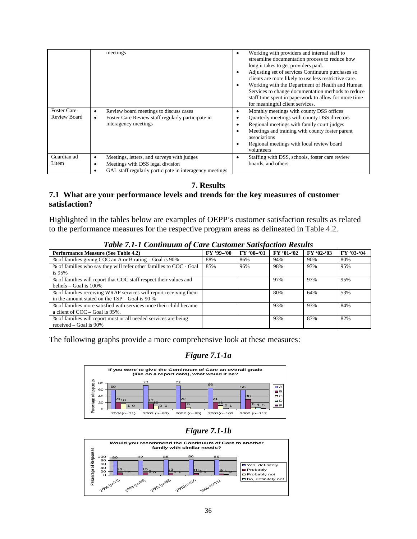|                                    | meetings                                                                                                                                       | Working with providers and internal staff to<br>٠<br>streamline documentation process to reduce how<br>long it takes to get providers paid.<br>Adjusting set of services Continuum purchases so<br>clients are more likely to use less restrictive care.<br>Working with the Department of Health and Human<br>Services to change documentation methods to reduce<br>staff time spent in paperwork to allow for more time<br>for meaningful client services. |
|------------------------------------|------------------------------------------------------------------------------------------------------------------------------------------------|--------------------------------------------------------------------------------------------------------------------------------------------------------------------------------------------------------------------------------------------------------------------------------------------------------------------------------------------------------------------------------------------------------------------------------------------------------------|
| <b>Foster Care</b><br>Review Board | Review board meetings to discuss cases<br>٠<br>Foster Care Review staff regularly participate in<br>$\bullet$<br>interagency meetings          | Monthly meetings with county DSS offices<br>٠<br>Quarterly meetings with county DSS directors<br>Regional meetings with family court judges<br>٠<br>Meetings and training with county foster parent<br>٠<br>associations<br>Regional meetings with local review board<br>volunteers                                                                                                                                                                          |
| Guardian ad<br>Litem               | Meetings, letters, and surveys with judges<br>٠<br>Meetings with DSS legal division<br>GAL staff regularly participate in interagency meetings | Staffing with DSS, schools, foster care review<br>boards, and others                                                                                                                                                                                                                                                                                                                                                                                         |

**7. Results**

#### **7.1 What are your performance levels and trends for the key measures of customer satisfaction?**

Highlighted in the tables below are examples of OEPP's customer satisfaction results as related to the performance measures for the respective program areas as delineated in Table 4.2.

| Twore THE T CONGINIUM OF CWI C CHARGING BURGHON HUSBING                                                              |            |            |            |            |            |
|----------------------------------------------------------------------------------------------------------------------|------------|------------|------------|------------|------------|
| <b>Performance Measure (See Table 4.2)</b>                                                                           | FY '99-'00 | $FY'00-01$ | FY '01-'02 | $FY'02-03$ | FY '03-'04 |
| % of families giving COC an A or B rating – Goal is 90%                                                              | 88%        | 86%        | 94%        | 90%        | 80%        |
| % of families who say they will refer other families to COC - Goal<br>is 95%                                         | 85%        | 96%        | 98%        | 97%        | 95%        |
| % of families will report that COC staff respect their values and<br>beliefs $-$ Goal is 100%                        |            |            | 97%        | 97%        | 95%        |
| % of families receiving WRAP services will report receiving them<br>in the amount stated on the $TSP - Goal$ is 90 % |            |            | 80%        | 64%        | 53%        |
| % of families more satisfied with services once their child became<br>a client of $COC -$ Goal is 95%.               |            |            | 93%        | 93%        | 84%        |
| % of families will report most or all needed services are being<br>received $-$ Goal is 90%                          |            |            | 93%        | 87%        | 82%        |

#### *Table 7.1-1 Continuum of Care Customer Satisfaction Results*

The following graphs provide a more comprehensive look at these measures:

## *Figure 7.1-1a*



## *Figure 7.1-1b*

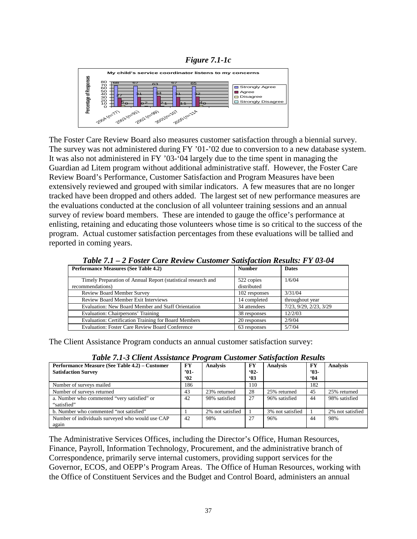



The Foster Care Review Board also measures customer satisfaction through a biennial survey. The survey was not administered during FY '01-'02 due to conversion to a new database system. It was also not administered in FY '03-'04 largely due to the time spent in managing the Guardian ad Litem program without additional administrative staff. However, the Foster Care Review Board's Performance, Customer Satisfaction and Program Measures have been extensively reviewed and grouped with similar indicators. A few measures that are no longer tracked have been dropped and others added. The largest set of new performance measures are the evaluations conducted at the conclusion of all volunteer training sessions and an annual survey of review board members. These are intended to gauge the office's performance at enlisting, retaining and educating those volunteers whose time is so critical to the success of the program. Actual customer satisfaction percentages from these evaluations will be tallied and reported in coming years.

| <b>Performance Measures (See Table 4.2)</b>                                       | <b>Number</b>             | <b>Dates</b>           |
|-----------------------------------------------------------------------------------|---------------------------|------------------------|
| Timely Preparation of Annual Report (statistical research and<br>recommendations) | 522 copies<br>distributed | 1/6/04                 |
| <b>Review Board Member Survey</b>                                                 | 102 responses             | 3/31/04                |
| <b>Review Board Member Exit Interviews</b>                                        | 14 completed              | throughout year        |
| Evaluation: New Board Member and Staff Orientation                                | 34 attendees              | 7/23, 9/29, 2/23, 3/29 |
| Evaluation: Chairpersons' Training                                                | 38 responses              | 12/2/03                |
| <b>Evaluation: Certification Training for Board Members</b>                       | 20 responses              | 2/9/04                 |
| <b>Evaluation: Foster Care Review Board Conference</b>                            | 63 responses              | 5/7/04                 |

*Table 7.1 – 2 Foster Care Review Customer Satisfaction Results: FY 03-04*

The Client Assistance Program conducts an annual customer satisfaction survey:

| Performance Measure (See Table 4.2) – Customer   | <b>FY</b> | <b>Analysis</b>  | FY           | <b>Analysis</b>  | FY     | <b>Analysis</b>  |
|--------------------------------------------------|-----------|------------------|--------------|------------------|--------|------------------|
| <b>Satisfaction Survey</b>                       | $'01-$    |                  | $02 -$       |                  | $'03-$ |                  |
|                                                  | 02        |                  | $^{\circ}03$ |                  | 64     |                  |
| Number of surveys mailed                         | 186       |                  | 110          |                  | 182    |                  |
| Number of surveys returned                       | 43        | 23% returned     | 28           | 25% returned     | 45     | 25% returned     |
| a. Number who commented "very satisfied" or      | 42        | 98% satisfied    | 27           | 96% satisfied    | 44     | 98% satisfied    |
| "satisfied"                                      |           |                  |              |                  |        |                  |
| b. Number who commented "not satisfied"          |           | 2% not satisfied |              | 3% not satisfied |        | 2% not satisfied |
| Number of individuals surveyed who would use CAP | 42        | 98%              | 27           | 96%              | 44     | 98%              |
| again                                            |           |                  |              |                  |        |                  |

*Table 7.1-3 Client Assistance Program Customer Satisfaction Results*

The Administrative Services Offices, including the Director's Office, Human Resources, Finance, Payroll, Information Technology, Procurement, and the administrative branch of Correspondence, primarily serve internal customers, providing support services for the Governor, ECOS, and OEPP's Program Areas. The Office of Human Resources, working with the Office of Constituent Services and the Budget and Control Board, administers an annual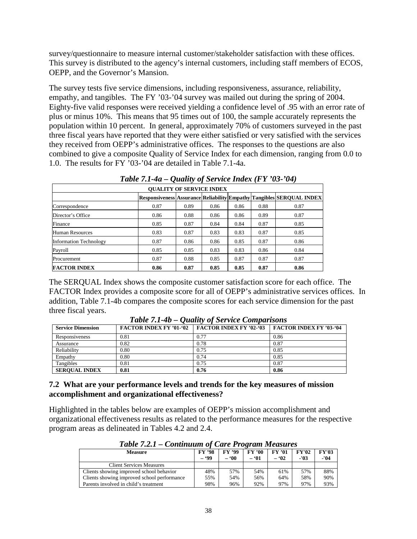survey/questionnaire to measure internal customer/stakeholder satisfaction with these offices. This survey is distributed to the agency's internal customers, including staff members of ECOS, OEPP, and the Governor's Mansion.

The survey tests five service dimensions, including responsiveness, assurance, reliability, empathy, and tangibles. The FY '03-'04 survey was mailed out during the spring of 2004. Eighty-five valid responses were received yielding a confidence level of .95 with an error rate of plus or minus 10%. This means that 95 times out of 100, the sample accurately represents the population within 10 percent. In general, approximately 70% of customers surveyed in the past three fiscal years have reported that they were either satisfied or very satisfied with the services they received from OEPP's administrative offices. The responses to the questions are also combined to give a composite Quality of Service Index for each dimension, ranging from 0.0 to 1.0. The results for FY '03-'04 are detailed in Table 7.1-4a.

| <b>OUALITY OF SERVICE INDEX</b> |      |      |      |      |      |                                                                             |
|---------------------------------|------|------|------|------|------|-----------------------------------------------------------------------------|
|                                 |      |      |      |      |      | <b>Responsiveness Assurance Reliability Empathy Tangibles SEROUAL INDEX</b> |
| Correspondence                  | 0.87 | 0.89 | 0.86 | 0.86 | 0.88 | 0.87                                                                        |
| Director's Office               | 0.86 | 0.88 | 0.86 | 0.86 | 0.89 | 0.87                                                                        |
| Finance                         | 0.85 | 0.87 | 0.84 | 0.84 | 0.87 | 0.85                                                                        |
| Human Resources                 | 0.83 | 0.87 | 0.83 | 0.83 | 0.87 | 0.85                                                                        |
| <b>Information Technology</b>   | 0.87 | 0.86 | 0.86 | 0.85 | 0.87 | 0.86                                                                        |
| Payroll                         | 0.85 | 0.85 | 0.83 | 0.83 | 0.86 | 0.84                                                                        |
| Procurement                     | 0.87 | 0.88 | 0.85 | 0.87 | 0.87 | 0.87                                                                        |
| <b>FACTOR INDEX</b>             | 0.86 | 0.87 | 0.85 | 0.85 | 0.87 | 0.86                                                                        |

|  |  | Table 7.1-4a – Quality of Service Index (FY '03-'04) |
|--|--|------------------------------------------------------|
|--|--|------------------------------------------------------|

The SERQUAL Index shows the composite customer satisfaction score for each office. The FACTOR Index provides a composite score for all of OEPP's administrative services offices. In addition, Table 7.1-4b compares the composite scores for each service dimension for the past three fiscal years.

| <b>Service Dimension</b> | <b>FACTOR INDEX FY '01-'02</b> | <b>FACTOR INDEX FY '02-'03</b> | <b>FACTOR INDEX FY '03-'04</b> |
|--------------------------|--------------------------------|--------------------------------|--------------------------------|
| Responsiveness           | 0.81                           | 0.77                           | 0.86                           |
| Assurance                | 0.82                           | 0.78                           | 0.87                           |
| Reliability              | 0.80                           | 0.75                           | 0.85                           |
| Empathy                  | 0.80                           | 0.74                           | 0.85                           |
| Tangibles                | 0.81                           | 0.75                           | 0.87                           |
| <b>SEROUAL INDEX</b>     | 0.81                           | 0.76                           | 0.86                           |

*Table 7.1-4b – Quality of Service Comparisons*

#### **7.2 What are your performance levels and trends for the key measures of mission accomplishment and organizational effectiveness?**

Highlighted in the tables below are examples of OEPP's mission accomplishment and organizational effectiveness results as related to the performance measures for the respective program areas as delineated in Tables 4.2 and 2.4.

| Tubic $n, 2, 1 -$ Communication Care Trogram measures |               |               |               |               |              |              |
|-------------------------------------------------------|---------------|---------------|---------------|---------------|--------------|--------------|
| <b>Measure</b>                                        | <b>FY '98</b> | <b>FY '99</b> | <b>FY '00</b> | <b>FY '01</b> | <b>FY'02</b> | <b>FY'03</b> |
|                                                       | - '99         | - '00         | - '01         | $-92$         | $-103$       | -'04         |
| <b>Client Services Measures</b>                       |               |               |               |               |              |              |
| Clients showing improved school behavior              | 48%           | 57%           | 54%           | 61%           | 57%          | 88%          |
| Clients showing improved school performance           | 55%           | 54%           | 56%           | 64%           | 58%          | 90%          |
| Parents involved in child's treatment                 | 98%           | 96%           | 92%           | 97%           | 97%          | 93%          |

*Table 7.2.1 – Continuum of Care Program Measures*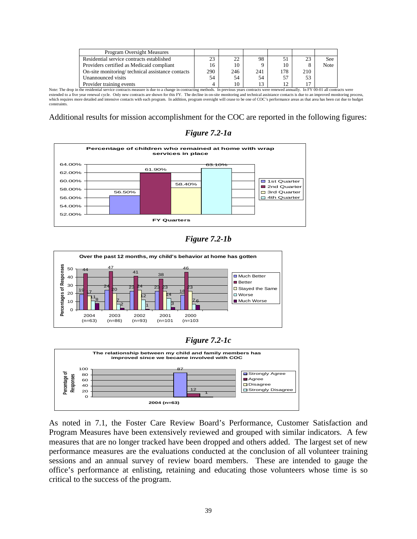| <b>Program Oversight Measures</b>                |     |     |     |     |     |      |
|--------------------------------------------------|-----|-----|-----|-----|-----|------|
| Residential service contracts established        | 23  | 22  | 98  |     | 23  | See  |
| Providers certified as Medicaid compliant        | 16  | 10  |     | 10  | 8   | Note |
| On-site monitoring/technical assistance contacts | 290 | 246 | 241 | 178 | 210 |      |
| Unannounced visits                               | 54  | 54  | 54  | 57  | 53  |      |
| Provider training events                         |     | 10  | 13  | 12  | 17  |      |

Note: The drop in the residential service contracts measure is due to a change in contracting methods. In previous years contracts were renewed annually. In FY 00-01 all contracts were extended to a five year renewal cycle. Only new contracts are shown for this FY. The decline in on-site monitoring and technical assistance contacts is due to an improved monitoring process,<br>which requires more detailed an constraints.

Additional results for mission accomplishment for the COC are reported in the following figures:

**Percentage of children who remained at home with wrap services in place** 56.50% 61.90% 58.40% 63.10% 52.00% 54.00% 56.00% 58.00% 60.00% 62.00% 64.00%  **FY Quarters** ■ 1st Quarter 2nd Quarter □ 3rd Quarter □ 4th Quarter

*Figure 7.2-1a*









As noted in 7.1, the Foster Care Review Board's Performance, Customer Satisfaction and Program Measures have been extensively reviewed and grouped with similar indicators. A few measures that are no longer tracked have been dropped and others added. The largest set of new performance measures are the evaluations conducted at the conclusion of all volunteer training sessions and an annual survey of review board members. These are intended to gauge the office's performance at enlisting, retaining and educating those volunteers whose time is so critical to the success of the program.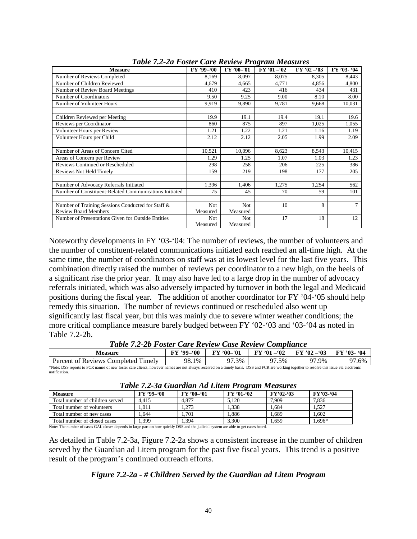| <b>Measure</b>                                         | FY '99-'00 | FY '00-'01 | $FY'01 - 02$ | $FY'02 - 03$ | FY '03- '04 |
|--------------------------------------------------------|------------|------------|--------------|--------------|-------------|
| Number of Reviews Completed                            | 8,169      | 8,097      | 8,075        | 8,305        | 8.443       |
| Number of Children Reviewed                            | 4,679      | 4,665      | 4,771        | 4,856        | 4,800       |
| Number of Review Board Meetings                        | 410        | 423        | 416          | 434          | 431         |
| Number of Coordinators                                 | 9.50       | 9.25       | 9.00         | 8.10         | 8.00        |
| Number of Volunteer Hours                              | 9,919      | 9,890      | 9,781        | 9,668        | 10,031      |
|                                                        |            |            |              |              |             |
| Children Reviewed per Meeting                          | 19.9       | 19.1       | 19.4         | 19.1         | 19.6        |
| Reviews per Coordinator                                | 860        | 875        | 897          | 1,025        | 1,055       |
| Volunteer Hours per Review                             | 1.21       | 1.22       | 1.21         | 1.16         | 1.19        |
| Volunteer Hours per Child                              | 2.12       | 2.12       | 2.05         | 1.99         | 2.09        |
|                                                        |            |            |              |              |             |
| Number of Areas of Concern Cited                       | 10,521     | 10,096     | 8,623        | 8.543        | 10,415      |
| Areas of Concern per Review                            | 1.29       | 1.25       | 1.07         | 1.03         | 1.23        |
| Reviews Continued or Rescheduled                       | 298        | 258        | 206          | 225          | 386         |
| Reviews Not Held Timely                                | 159        | 219        | 198          | 177          | 205         |
|                                                        |            |            |              |              |             |
| Number of Advocacy Referrals Initiated                 | 1.396      | 1,406      | 1,275        | 1,254        | 562         |
| Number of Constituent-Related Communications Initiated | 75         | 45         | 70           | 59           | 101         |
|                                                        |            |            |              |              |             |
| Number of Training Sessions Conducted for Staff &      | <b>Not</b> | <b>Not</b> | 10           | 8            | $\tau$      |
| <b>Review Board Members</b>                            | Measured   | Measured   |              |              |             |
| Number of Presentations Given for Outside Entities     | <b>Not</b> | Not        | 17           | 18           | 12          |
|                                                        | Measured   | Measured   |              |              |             |

*Table 7.2-2a Foster Care Review Program Measures*

Noteworthy developments in FY '03-'04: The number of reviews, the number of volunteers and the number of constituent-related communications initiated each reached an all-time high. At the same time, the number of coordinators on staff was at its lowest level for the last five years. This combination directly raised the number of reviews per coordinator to a new high, on the heels of a significant rise the prior year. It may also have led to a large drop in the number of advocacy referrals initiated, which was also adversely impacted by turnover in both the legal and Medicaid positions during the fiscal year. The addition of another coordinator for FY '04-'05 should help remedy this situation. The number of reviews continued or rescheduled also went up significantly last fiscal year, but this was mainly due to severe winter weather conditions; the more critical compliance measure barely budged between FY '02-'03 and '03-'04 as noted in Table 7.2-2b.

| Table 7.2-2b Foster Care Review Case Review Compliance |
|--------------------------------------------------------|
|--------------------------------------------------------|

| Measure                                                                                                                                                                                    | $FY$ '99-'00 | <b>FY '00-'01</b> | $FY'$ '01 - '02 | $FY' 02 - 03$ | <b>FY '03- '04</b> |  |  |  |
|--------------------------------------------------------------------------------------------------------------------------------------------------------------------------------------------|--------------|-------------------|-----------------|---------------|--------------------|--|--|--|
| 97.3%<br>97.9%<br>98.1%<br>97.5%<br>Percent of Reviews Completed Timely<br>97.6%                                                                                                           |              |                   |                 |               |                    |  |  |  |
| *Note: DSS reports to FCR names of new foster care clients; however names are not always received on a timely basis. DSS and FCR are working together to resolve this issue via electronic |              |                   |                 |               |                    |  |  |  |
| notification.                                                                                                                                                                              |              |                   |                 |               |                    |  |  |  |

| Table 7.2-5a Guaralah Ad Luem 1 rogram measures                                                                                                                                                                                    |            |            |            |            |           |  |
|------------------------------------------------------------------------------------------------------------------------------------------------------------------------------------------------------------------------------------|------------|------------|------------|------------|-----------|--|
| <b>Measure</b>                                                                                                                                                                                                                     | FY '99-'00 | FY '00-'01 | FY '01-'02 | $FY'02-03$ | FY'03-'04 |  |
| Total number of children served                                                                                                                                                                                                    | 4.415      | 4.877      | 5.120      | 7.909      | 7.836     |  |
| Total number of volunteers                                                                                                                                                                                                         | 1.011      | 1.273      | 1.338      | 1.684      | 1.527     |  |
| Total number of new cases                                                                                                                                                                                                          | 1.644      | 1.701      | 1.886      | 1.689      | 1.602     |  |
| Total number of closed cases                                                                                                                                                                                                       | 1.399      | 1.394      | 3.300      | 1.659      | 1.696*    |  |
| $\mathcal{M}$ , and the contract of the contract of the contract of the contract of the contract of the contract of the contract of the contract of the contract of the contract of the contract of the contract of the contract o |            |            |            |            |           |  |

|  | Table 7.2-3a Guardian Ad Litem Program Measures |
|--|-------------------------------------------------|
|  |                                                 |

Note: The number of cases GAL closes depends in large part on how quickly DSS and the judicial system are able to get cases heard.

As detailed in Table 7.2-3a, Figure 7.2-2a shows a consistent increase in the number of children served by the Guardian ad Litem program for the past five fiscal years. This trend is a positive result of the program's continued outreach efforts.

#### *Figure 7.2-2a - # Children Served by the Guardian ad Litem Program*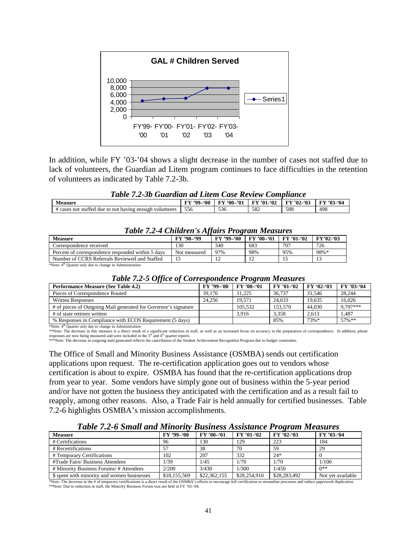

In addition, while FY '03-'04 shows a slight decrease in the number of cases not staffed due to lack of volunteers, the Guardian ad Litem program continues to face difficulties in the retention of volunteers as indicated by Table 7.2-3b.

| Table 7.2-3b Guardian ad Litem Case Review Compliance   |     |                                             |     |     |                   |
|---------------------------------------------------------|-----|---------------------------------------------|-----|-----|-------------------|
| <b>Measure</b>                                          |     | FY '99-'00 FY '00-'01 FY '01-'02 FY '02-'03 |     |     | <b>FY '03-'04</b> |
| # cases not staffed due to not having enough volunteers | 556 | 536                                         | 582 | 588 | 498               |

| Table 7.2-4 Children S Affairs I rogram measures |            |            |                   |            |
|--------------------------------------------------|------------|------------|-------------------|------------|
| FY '98-'99                                       | FY '99_'00 | FY '00-'01 | <b>FY '01-'02</b> | $FY'02-03$ |
| 130.                                             | 340        | 683        | 707               | 726        |
| Not measured                                     | 97%        | 98%        | 95%               | 98%*       |
|                                                  |            |            |                   |            |
|                                                  |            |            |                   |            |

#### *Table 7.2-4 Children's Affairs Program Measures*

\*Note: 4<sup>th</sup> Quarter only due to change in Administration

| <b>Table 7.2-5 Office of Correspondence Program Measures</b> |                                                 |  |
|--------------------------------------------------------------|-------------------------------------------------|--|
| ure (See Table 4.2)                                          | FY '99-'00   FY '00-'01   FY '01-'02   FY '02-' |  |

| <b>Performance Measure (See Table 4.2)</b>                      | FY '99-'00 | $FY'00-01$ | <b>FY '01-'02</b> | $FY'02-03$ | FY '03-'04 |
|-----------------------------------------------------------------|------------|------------|-------------------|------------|------------|
| Pieces of Correspondence Routed                                 | 39.176     | 31.225     | 36,737            | 31.546     | 28.244     |
| <b>Written Responses</b>                                        | 24.256     | 19.571     | 24.633            | 19.635     | 16.026     |
| # of pieces of Outgoing Mail generated for Governor's signature |            | 105.532    | 153,570           | 44,030     | 9.797***   |
| # of state retirees written                                     |            | 3.916      | 3.358             | 2.613      | .487       |
| % Responses in Compliance with ECOS Requirement (5 days)        |            |            | 85%               | 73%*       | 57%**      |

\*Note: 4th Quarter only due to change in Administration

\*\*Note: The decrease in this measure is a direct result of a significant reduction in staff, as well as an increased focus on accuracy in the preparation of correspondence. In addition, phone<br>responses are now being measur

The Office of Small and Minority Business Assistance (OSMBA) sends out certification applications upon request. The re-certification application goes out to vendors whose certification is about to expire. OSMBA has found that the re-certification applications drop from year to year. Some vendors have simply gone out of business within the 5-year period and/or have not gotten the business they anticipated with the certification and as a result fail to reapply, among other reasons. Also, a Trade Fair is held annually for certified businesses. Table 7.2-6 highlights OSMBA's mission accomplishments.

#### *Table 7.2-6 Small and Minority Business Assistance Program Measures*

| <b>Measure</b>                              | FY '99-'00   | $FY'00-01$   | $FY'01-02$   | $\cdot$<br>$FY'02-03$ | FY '03-'04        |
|---------------------------------------------|--------------|--------------|--------------|-----------------------|-------------------|
| # Certifications                            | 96           | 130          | 129          | 223                   | 184               |
| # Recertifications                          |              | 38           | 70           | 59                    | 29                |
| # Temporary Certifications                  | 102          | 207          | 332          | $24*$                 |                   |
| #Trade Fairs/ Business Attendees            | 1/39         | 1/45         | 1/70         | 1/70                  | 1/100             |
| # Minority Business Forums/ # Attendees     | 2/200        | 3/430        | 1/300        | 1/450                 | $0**$             |
| \$ spent with minority and women businesses | \$18,155,569 | \$22,362,155 | \$28,254,910 | \$28,283,492          | Not yet available |

\*Note: The decrease in the # of temporary certifications is a direct result of the OSMBA's efforts to encourage full certification to streamline processes and reduce paperwork duplication. \*\*Note: Due to reduction in staff, the Minority Business Forum was not held in FY '03-'04.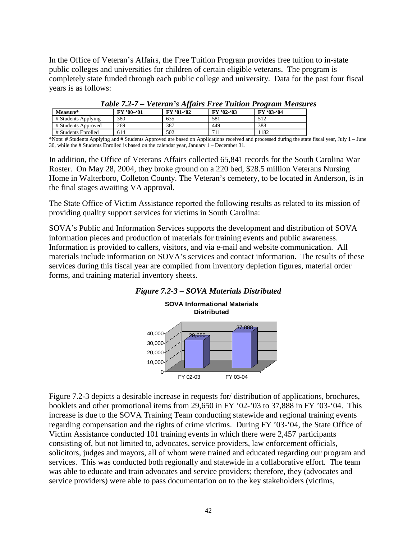In the Office of Veteran's Affairs, the Free Tuition Program provides free tuition to in-state public colleges and universities for children of certain eligible veterans. The program is completely state funded through each public college and university. Data for the past four fiscal years is as follows:

| $\sim$ $\sim$ $\sim$ $\sim$ $\sim$ $\sim$ |            |            |            |            |  |  |
|-------------------------------------------|------------|------------|------------|------------|--|--|
| <b>Measure*</b>                           | $FY'00-01$ | FY '01-'02 | FY '02-'03 | FY '03-'04 |  |  |
| # Students Applying                       | 380        | 635        | 581        | 512        |  |  |
| # Students Approved                       | 269        | 387        | 449        | 388        |  |  |
| # Students Enrolled                       | 614        | 502        |            | 1182       |  |  |

#### *Table 7.2-7 – Veteran's Affairs Free Tuition Program Measures*

\*Note: # Students Applying and # Students Approved are based on Applications received and processed during the state fiscal year, July 1 – June 30, while the # Students Enrolled is based on the calendar year, January 1 – December 31.

In addition, the Office of Veterans Affairs collected 65,841 records for the South Carolina War Roster. On May 28, 2004, they broke ground on a 220 bed, \$28.5 million Veterans Nursing Home in Walterboro, Colleton County. The Veteran's cemetery, to be located in Anderson, is in the final stages awaiting VA approval.

The State Office of Victim Assistance reported the following results as related to its mission of providing quality support services for victims in South Carolina:

SOVA's Public and Information Services supports the development and distribution of SOVA information pieces and production of materials for training events and public awareness. Information is provided to callers, visitors, and via e-mail and website communication. All materials include information on SOVA's services and contact information. The results of these services during this fiscal year are compiled from inventory depletion figures, material order forms, and training material inventory sheets.





Figure 7.2-3 depicts a desirable increase in requests for/ distribution of applications, brochures, booklets and other promotional items from 29,650 in FY '02-'03 to 37,888 in FY '03-'04. This increase is due to the SOVA Training Team conducting statewide and regional training events regarding compensation and the rights of crime victims. During FY '03-'04, the State Office of Victim Assistance conducted 101 training events in which there were 2,457 participants consisting of, but not limited to, advocates, service providers, law enforcement officials, solicitors, judges and mayors, all of whom were trained and educated regarding our program and services. This was conducted both regionally and statewide in a collaborative effort. The team was able to educate and train advocates and service providers; therefore, they (advocates and service providers) were able to pass documentation on to the key stakeholders (victims,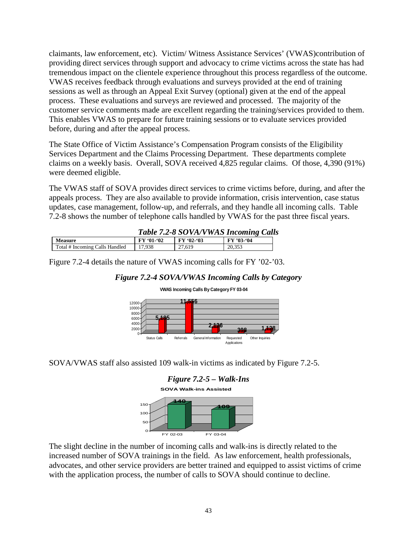claimants, law enforcement, etc). Victim/ Witness Assistance Services' (VWAS)contribution of providing direct services through support and advocacy to crime victims across the state has had tremendous impact on the clientele experience throughout this process regardless of the outcome. VWAS receives feedback through evaluations and surveys provided at the end of training sessions as well as through an Appeal Exit Survey (optional) given at the end of the appeal process. These evaluations and surveys are reviewed and processed. The majority of the customer service comments made are excellent regarding the training/services provided to them. This enables VWAS to prepare for future training sessions or to evaluate services provided before, during and after the appeal process.

The State Office of Victim Assistance's Compensation Program consists of the Eligibility Services Department and the Claims Processing Department. These departments complete claims on a weekly basis. Overall, SOVA received 4,825 regular claims. Of those, 4,390 (91%) were deemed eligible.

The VWAS staff of SOVA provides direct services to crime victims before, during, and after the appeals process. They are also available to provide information, crisis intervention, case status updates, case management, follow-up, and referrals, and they handle all incoming calls. Table 7.2-8 shows the number of telephone calls handled by VWAS for the past three fiscal years.

| <b>FY '01-'02</b> | FY '02-'03 | FY '03-'04                           |
|-------------------|------------|--------------------------------------|
| 17.938            | 27.619     | 20.353                               |
|                   |            | Table 7.2-8 SOVA/VWAS Incoming Calls |

Figure 7.2-4 details the nature of VWAS incoming calls for FY '02-'03.

## *Figure 7.2-4 SOVA/VWAS Incoming Calls by Category*



**VWAS Incoming Calls By Category FY 03-04**

SOVA/VWAS staff also assisted 109 walk-in victims as indicated by Figure 7.2-5.



The slight decline in the number of incoming calls and walk-ins is directly related to the increased number of SOVA trainings in the field. As law enforcement, health professionals, advocates, and other service providers are better trained and equipped to assist victims of crime with the application process, the number of calls to SOVA should continue to decline.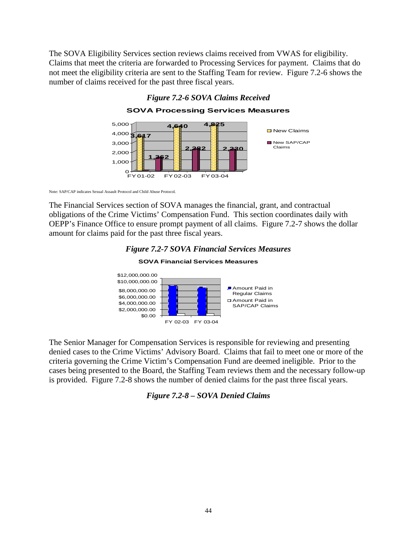The SOVA Eligibility Services section reviews claims received from VWAS for eligibility. Claims that meet the criteria are forwarded to Processing Services for payment. Claims that do not meet the eligibility criteria are sent to the Staffing Team for review. Figure 7.2-6 shows the number of claims received for the past three fiscal years.



*Figure 7.2-6 SOVA Claims Received*

Note: SAP/CAP indicates Sexual Assault Protocol and Child Abuse Protocol.

The Financial Services section of SOVA manages the financial, grant, and contractual obligations of the Crime Victims' Compensation Fund. This section coordinates daily with OEPP's Finance Office to ensure prompt payment of all claims. Figure 7.2-7 shows the dollar amount for claims paid for the past three fiscal years.



**SOVA Financial Services Measures**



The Senior Manager for Compensation Services is responsible for reviewing and presenting denied cases to the Crime Victims' Advisory Board. Claims that fail to meet one or more of the criteria governing the Crime Victim's Compensation Fund are deemed ineligible. Prior to the cases being presented to the Board, the Staffing Team reviews them and the necessary follow-up is provided. Figure 7.2-8 shows the number of denied claims for the past three fiscal years.

#### *Figure 7.2-8 – SOVA Denied Claims*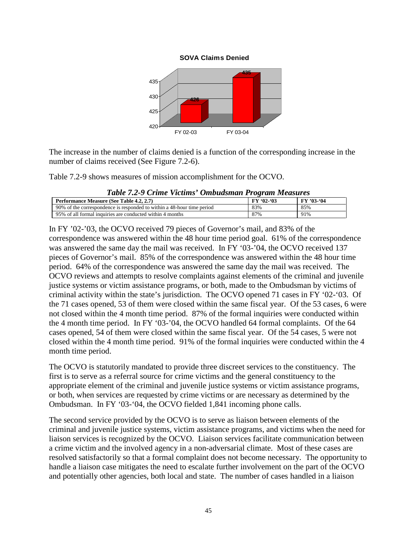

The increase in the number of claims denied is a function of the corresponding increase in the number of claims received (See Figure 7.2-6).

Table 7.2-9 shows measures of mission accomplishment for the OCVO.

| Tubic 1.2-7 Crime Ficting Ombausman Frogram measures                   |            |            |
|------------------------------------------------------------------------|------------|------------|
| <b>Performance Measure (See Table 4.2, 2.7)</b>                        | $FY'02-03$ | FY '03-'04 |
| 90% of the correspondence is responded to within a 48-hour time period | 83%        | 85%        |
| 95% of all formal inquiries are conducted within 4 months              | 87%        | 91%        |

*Table 7.2-9 Crime Victims' Ombudsman Program Measures*

In FY '02-'03, the OCVO received 79 pieces of Governor's mail, and 83% of the correspondence was answered within the 48 hour time period goal. 61% of the correspondence was answered the same day the mail was received. In FY '03-'04, the OCVO received 137 pieces of Governor's mail. 85% of the correspondence was answered within the 48 hour time period. 64% of the correspondence was answered the same day the mail was received. The OCVO reviews and attempts to resolve complaints against elements of the criminal and juvenile justice systems or victim assistance programs, or both, made to the Ombudsman by victims of criminal activity within the state's jurisdiction. The OCVO opened 71 cases in FY '02-'03. Of the 71 cases opened, 53 of them were closed within the same fiscal year. Of the 53 cases, 6 were not closed within the 4 month time period. 87% of the formal inquiries were conducted within the 4 month time period. In FY '03-'04, the OCVO handled 64 formal complaints. Of the 64 cases opened, 54 of them were closed within the same fiscal year. Of the 54 cases, 5 were not closed within the 4 month time period. 91% of the formal inquiries were conducted within the 4 month time period.

The OCVO is statutorily mandated to provide three discreet services to the constituency. The first is to serve as a referral source for crime victims and the general constituency to the appropriate element of the criminal and juvenile justice systems or victim assistance programs, or both, when services are requested by crime victims or are necessary as determined by the Ombudsman. In FY '03-'04, the OCVO fielded 1,841 incoming phone calls.

The second service provided by the OCVO is to serve as liaison between elements of the criminal and juvenile justice systems, victim assistance programs, and victims when the need for liaison services is recognized by the OCVO. Liaison services facilitate communication between a crime victim and the involved agency in a non-adversarial climate. Most of these cases are resolved satisfactorily so that a formal complaint does not become necessary. The opportunity to handle a liaison case mitigates the need to escalate further involvement on the part of the OCVO and potentially other agencies, both local and state. The number of cases handled in a liaison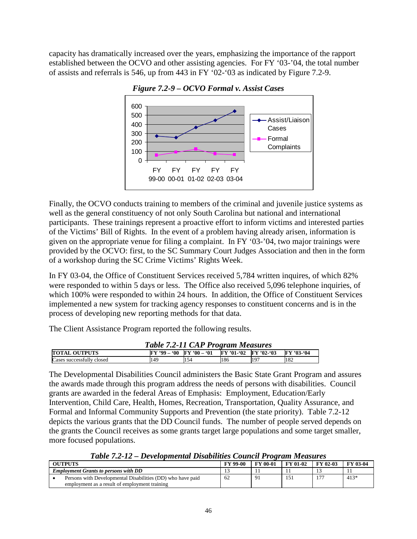capacity has dramatically increased over the years, emphasizing the importance of the rapport established between the OCVO and other assisting agencies. For FY '03-'04, the total number of assists and referrals is 546, up from 443 in FY '02-'03 as indicated by Figure 7.2-9.



*Figure 7.2-9 – OCVO Formal v. Assist Cases*

Finally, the OCVO conducts training to members of the criminal and juvenile justice systems as well as the general constituency of not only South Carolina but national and international participants. These trainings represent a proactive effort to inform victims and interested parties of the Victims' Bill of Rights. In the event of a problem having already arisen, information is given on the appropriate venue for filing a complaint. In FY '03-'04, two major trainings were provided by the OCVO: first, to the SC Summary Court Judges Association and then in the form of a workshop during the SC Crime Victims' Rights Week.

In FY 03-04, the Office of Constituent Services received 5,784 written inquires, of which 82% were responded to within 5 days or less. The Office also received 5,096 telephone inquiries, of which 100% were responded to within 24 hours. In addition, the Office of Constituent Services implemented a new system for tracking agency responses to constituent concerns and is in the process of developing new reporting methods for that data.

The Client Assistance Program reported the following results.

| Table 7.2-11 CAP Program Measures |                               |     |                         |     |            |
|-----------------------------------|-------------------------------|-----|-------------------------|-----|------------|
| <b>TOTAL OUTPUTS</b>              | $FY$ '99 = '00 $FY$ '00 = '01 |     | $FY'01-(02$ $FY'02-(03$ |     | FY '03-'04 |
| Cases successfully closed         | 149                           | 154 | 186                     | 197 | 182        |

The Developmental Disabilities Council administers the Basic State Grant Program and assures the awards made through this program address the needs of persons with disabilities. Council grants are awarded in the federal Areas of Emphasis: Employment, Education/Early Intervention, Child Care, Health, Homes, Recreation, Transportation, Quality Assurance, and Formal and Informal Community Supports and Prevention (the state priority). Table 7.2-12 depicts the various grants that the DD Council funds. The number of people served depends on the grants the Council receives as some grants target large populations and some target smaller, more focused populations.

*Table 7.2-12 – Developmental Disabilities Council Program Measures*

| OUTPUTS |                                                            | <b>FY 99-00</b> | <b>FY 00-01</b> | <b>FY 01-02</b> | FY 02-03 | <b>FY 03-04</b> |
|---------|------------------------------------------------------------|-----------------|-----------------|-----------------|----------|-----------------|
|         | <b>Employment Grants to persons with DD</b>                |                 |                 |                 |          |                 |
|         | Persons with Developmental Disabilities (DD) who have paid | 62              |                 | 1 C I           | $-$      | $413*$          |
|         | employment as a result of employment training              |                 |                 |                 |          |                 |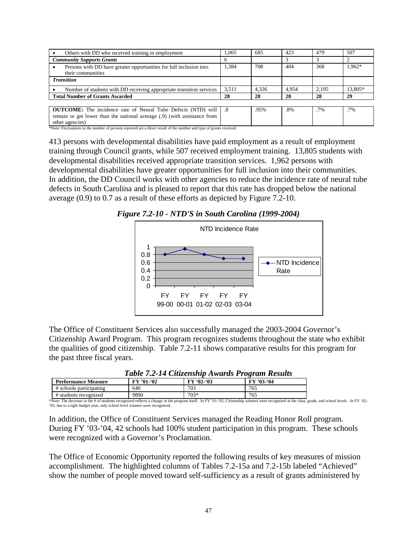| Others with DD who received training in employment                                                                                                                       | 1.065        | 685   | 423   | 479    | 507     |
|--------------------------------------------------------------------------------------------------------------------------------------------------------------------------|--------------|-------|-------|--------|---------|
| <b>Community Supports Grants</b>                                                                                                                                         | <sub>0</sub> |       |       |        |         |
| Persons with DD have greater opportunities for full inclusion into<br>their communities                                                                                  | 1,384        | 708   | 404   | 368    | 1,962*  |
| <b>Transition</b>                                                                                                                                                        |              |       |       |        |         |
| Number of students with DD receiving appropriate transition services                                                                                                     | 3.511        | 4.326 | 4.954 | 2.105  | 13.805* |
| <b>Total Number of Grants Awarded</b>                                                                                                                                    | 28           | 28    | 28    | 28     | 29      |
|                                                                                                                                                                          |              |       |       |        |         |
| <b>OUTCOME:</b> The incidence rate of Neural Tube Defects (NTD) will   .8<br>remain or get lower than the national average (.9) (with assistance from<br>other agencies) |              | .95%  | .8%   | $.7\%$ | $.7\%$  |

of persons reported are a direct result of the number and type of grants received.

413 persons with developmental disabilities have paid employment as a result of employment training through Council grants, while 507 received employment training. 13,805 students with developmental disabilities received appropriate transition services. 1,962 persons with developmental disabilities have greater opportunities for full inclusion into their communities. In addition, the DD Council works with other agencies to reduce the incidence rate of neural tube defects in South Carolina and is pleased to report that this rate has dropped below the national average (0.9) to 0.7 as a result of these efforts as depicted by Figure 7.2-10.





The Office of Constituent Services also successfully managed the 2003-2004 Governor's Citizenship Award Program. This program recognizes students throughout the state who exhibit the qualities of good citizenship. Table 7.2-11 shows comparative results for this program for the past three fiscal years.

| Table 7.2-14 Cuizenship Awards Program Results |            |            |            |  |  |  |  |
|------------------------------------------------|------------|------------|------------|--|--|--|--|
| <b>Performance Measure</b>                     | FY '01-'02 | $FY'02-03$ | FY '03-'04 |  |  |  |  |
| # schools participating                        | 640        | 703        | 765        |  |  |  |  |
| # students recognized                          | 9890       | $703*$     | 765        |  |  |  |  |

| Table 7.2-14 Citizenship Awards Program Results |  |  |  |  |
|-------------------------------------------------|--|--|--|--|
|-------------------------------------------------|--|--|--|--|

 $\frac{4}{100}$  # students recognized 9890 9890 703\* 765<br>\*Note: The decrease in the # of students recognized reflects a change in the program itself. In FY '01-'02, Citizenship winners were recognized at the class, grade, and '03, due to a tight budget year, only school level winners were recognized.

In addition, the Office of Constituent Services managed the Reading Honor Roll program. During FY '03-'04, 42 schools had 100% student participation in this program. These schools were recognized with a Governor's Proclamation.

The Office of Economic Opportunity reported the following results of key measures of mission accomplishment. The highlighted columns of Tables 7.2-15a and 7.2-15b labeled "Achieved" show the number of people moved toward self-sufficiency as a result of grants administered by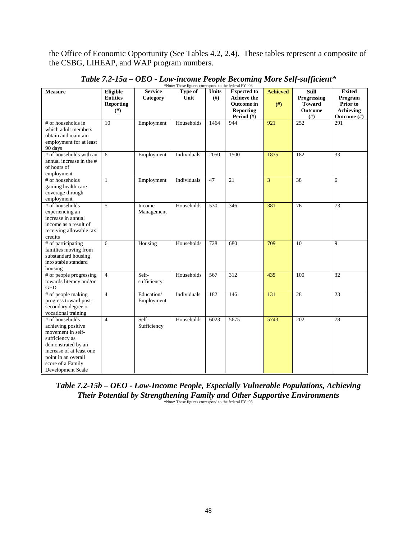the Office of Economic Opportunity (See Tables 4.2, 2.4). These tables represent a composite of the CSBG, LIHEAP, and WAP program numbers.

| <b>Measure</b>                                                                                                                                                                                  | Eligible<br><b>Entities</b><br><b>Reporting</b> | <b>Service</b><br>Category | role. These ngures come<br>Type of<br>Unit | Units<br>(f#) | $50 \text{ m}$ to the redefinition<br><b>Expected to</b><br><b>Achieve the</b><br><b>Outcome</b> in | <b>Achieved</b> | <b>Still</b><br>Progressing<br><b>Toward</b> | <b>Exited</b><br>Program<br>Prior to |
|-------------------------------------------------------------------------------------------------------------------------------------------------------------------------------------------------|-------------------------------------------------|----------------------------|--------------------------------------------|---------------|-----------------------------------------------------------------------------------------------------|-----------------|----------------------------------------------|--------------------------------------|
|                                                                                                                                                                                                 | (f#)                                            |                            |                                            |               | <b>Reporting</b><br>Period $(\#)$                                                                   | #)              | Outcome<br>(# )                              | Achieving<br>Outcome (#)             |
| # of households in<br>which adult members<br>obtain and maintain<br>employment for at least<br>90 days                                                                                          | 10                                              | Employment                 | Households                                 | 1464          | 944                                                                                                 | 921             | 252                                          | 291                                  |
| # of households with an<br>annual increase in the #<br>of hours of<br>employment                                                                                                                | 6                                               | Employment                 | Individuals                                | 2050          | 1500                                                                                                | 1835            | 182                                          | 33                                   |
| # of households<br>gaining health care<br>coverage through<br>employment                                                                                                                        | $\mathbf{1}$                                    | Employment                 | Individuals                                | 47            | 21                                                                                                  | $\overline{3}$  | 38                                           | 6                                    |
| # of households<br>experiencing an<br>increase in annual<br>income as a result of<br>receiving allowable tax<br>credits                                                                         | 5                                               | Income<br>Management       | Households                                 | 530           | 346                                                                                                 | 381             | $\overline{76}$                              | 73                                   |
| # of participating<br>families moving from<br>substandard housing<br>into stable standard<br>housing                                                                                            | 6                                               | Housing                    | Households                                 | 728           | 680                                                                                                 | 709             | 10                                           | 9                                    |
| # of people progressing<br>towards literacy and/or<br><b>GED</b>                                                                                                                                | $\overline{4}$                                  | Self-<br>sufficiency       | Households                                 | 567           | 312                                                                                                 | 435             | 100                                          | 32                                   |
| # of people making<br>progress toward post-<br>secondary degree or<br>vocational training                                                                                                       | $\overline{4}$                                  | Education/<br>Employment   | Individuals                                | 182           | 146                                                                                                 | 131             | 28                                           | 23                                   |
| # of households<br>achieving positive<br>movement in self-<br>sufficiency as<br>demonstrated by an<br>increase of at least one<br>point in an overall<br>score of a Family<br>Development Scale | $\overline{4}$                                  | Self-<br>Sufficiency       | Households                                 | 6023          | 5675                                                                                                | 5743            | 202                                          | 78                                   |

*Table 7.2-15a – OEO - Low-income People Becoming More Self-sufficient\** \*Note: These figures correspond to the federal FY '03

*Table 7.2-15b – OEO - Low-Income People, Especially Vulnerable Populations, Achieving Their Potential by Strengthening Family and Other Supportive Environments* \*Note: These figures correspond to the federal FY '03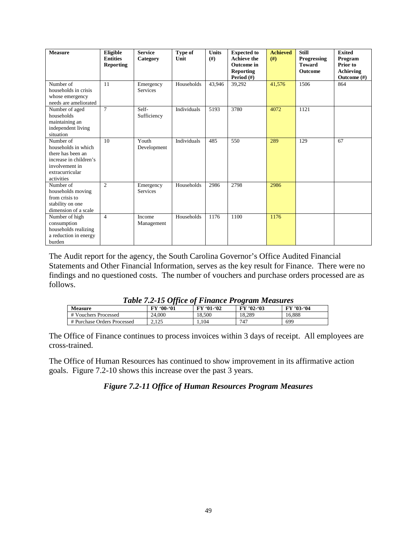| <b>Measure</b>                                                                                                                     | Eligible<br><b>Entities</b><br><b>Reporting</b> | <b>Service</b><br>Category   | Type of<br>Unit | <b>Units</b><br>(# ) | <b>Expected to</b><br><b>Achieve the</b><br>Outcome in<br><b>Reporting</b><br>Period (#) | <b>Achieved</b><br>(f#) | <b>Still</b><br>Progressing<br><b>Toward</b><br>Outcome | <b>Exited</b><br>Program<br>Prior to<br><b>Achieving</b><br>Outcome $(\#)$ |
|------------------------------------------------------------------------------------------------------------------------------------|-------------------------------------------------|------------------------------|-----------------|----------------------|------------------------------------------------------------------------------------------|-------------------------|---------------------------------------------------------|----------------------------------------------------------------------------|
| Number of<br>households in crisis<br>whose emergency<br>needs are ameliorated                                                      | 11                                              | Emergency<br><b>Services</b> | Households      | 43.946               | 39,292                                                                                   | 41,576                  | 1506                                                    | 864                                                                        |
| Number of aged<br>households<br>maintaining an<br>independent living<br>situation                                                  | $\tau$                                          | Self-<br>Sufficiency         | Individuals     | 5193                 | 3780                                                                                     | 4072                    | 1121                                                    |                                                                            |
| Number of<br>households in which<br>there has been an<br>increase in children's<br>involvement in<br>extracurricular<br>activities | 10                                              | Youth<br>Development         | Individuals     | 485                  | 550                                                                                      | 289                     | 129                                                     | 67                                                                         |
| Number of<br>households moving<br>from crisis to<br>stability on one<br>dimension of a scale                                       | $\overline{c}$                                  | Emergency<br><b>Services</b> | Households      | 2986                 | 2798                                                                                     | 2986                    |                                                         |                                                                            |
| Number of high<br>consumption<br>households realizing<br>a reduction in energy<br>burden                                           | $\overline{4}$                                  | Income<br>Management         | Households      | 1176                 | 1100                                                                                     | 1176                    |                                                         |                                                                            |

The Audit report for the agency, the South Carolina Governor's Office Audited Financial Statements and Other Financial Information, serves as the key result for Finance. There were no findings and no questioned costs. The number of vouchers and purchase orders processed are as follows.

| <b>Table 7.2-15 Office of Finance Program Measures</b> |  |  |
|--------------------------------------------------------|--|--|
|                                                        |  |  |

| <b>Measure</b>              | - JJ<br>$00 - 01$<br>FY | FY '01-'02 | $FY' 02-03$ | FY '03-'04 |
|-----------------------------|-------------------------|------------|-------------|------------|
| # Vouchers Processed        | 24,000                  | 8.500      | 18.289      | 16.888     |
| # Purchase Orders Processed | $1 \cap E$<br>رے دے     | 1.104      | 747         | 699        |

The Office of Finance continues to process invoices within 3 days of receipt. All employees are cross-trained.

The Office of Human Resources has continued to show improvement in its affirmative action goals. Figure 7.2-10 shows this increase over the past 3 years.

*Figure 7.2-11 Office of Human Resources Program Measures*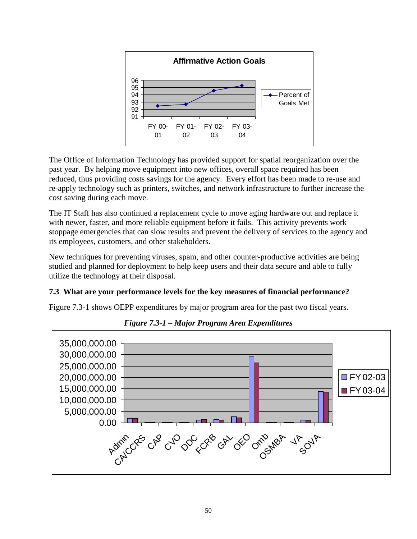

The Office of Information Technology has provided support for spatial reorganization over the past year. By helping move equipment into new offices, overall space required has been reduced, thus providing costs savings for the agency. Every effort has been made to re-use and re-apply technology such as printers, switches, and network infrastructure to further increase the cost saving during each move.

The IT Staff has also continued a replacement cycle to move aging hardware out and replace it with newer, faster, and more reliable equipment before it fails. This activity prevents work stoppage emergencies that can slow results and prevent the delivery of services to the agency and its employees, customers, and other stakeholders.

New techniques for preventing viruses, spam, and other counter-productive activities are being studied and planned for deployment to help keep users and their data secure and able to fully utilize the technology at their disposal.

#### **7.3 What are your performance levels for the key measures of financial performance?**

Figure 7.3-1 shows OEPP expenditures by major program area for the past two fiscal years.



*Figure 7.3-1 – Major Program Area Expenditures*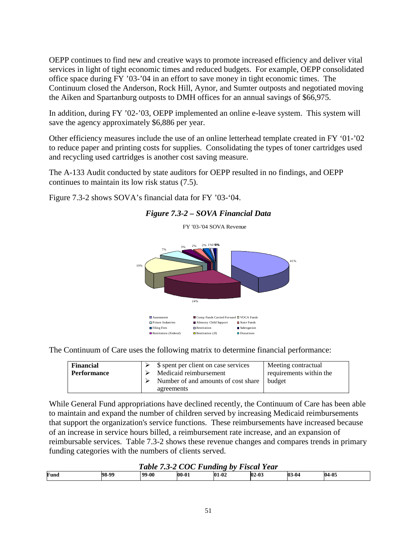OEPP continues to find new and creative ways to promote increased efficiency and deliver vital services in light of tight economic times and reduced budgets. For example, OEPP consolidated office space during FY '03-'04 in an effort to save money in tight economic times. The Continuum closed the Anderson, Rock Hill, Aynor, and Sumter outposts and negotiated moving the Aiken and Spartanburg outposts to DMH offices for an annual savings of \$66,975.

In addition, during FY '02-'03, OEPP implemented an online e-leave system. This system will save the agency approximately \$6,886 per year.

Other efficiency measures include the use of an online letterhead template created in FY '01-'02 to reduce paper and printing costs for supplies. Consolidating the types of toner cartridges used and recycling used cartridges is another cost saving measure.

The A-133 Audit conducted by state auditors for OEPP resulted in no findings, and OEPP continues to maintain its low risk status (7.5).

Figure 7.3-2 shows SOVA's financial data for FY '03-'04.



## *Figure 7.3-2 – SOVA Financial Data*

The Continuum of Care uses the following matrix to determine financial performance:

| <b>Financial</b><br><b>Performance</b> | \$ spent per client on case services<br>Medicaid reimbursement<br>Number of and amounts of cost share | Meeting contractual<br>requirements within the<br>budget |
|----------------------------------------|-------------------------------------------------------------------------------------------------------|----------------------------------------------------------|
|                                        | agreements                                                                                            |                                                          |

While General Fund appropriations have declined recently, the Continuum of Care has been able to maintain and expand the number of children served by increasing Medicaid reimbursements that support the organization's service functions. These reimbursements have increased because of an increase in service hours billed, a reimbursement rate increase, and an expansion of reimbursable services. Table 7.3-2 shows these revenue changes and compares trends in primary funding categories with the numbers of clients served.

| <b>COC Funding by Fiscal</b><br>Year<br>l able<br>-- |       |       |           |         |         |         |       |
|------------------------------------------------------|-------|-------|-----------|---------|---------|---------|-------|
| Fund                                                 | 98-99 | 99-00 | $00 - 01$ | $01-02$ | $02-03$ | $03-04$ | 04-05 |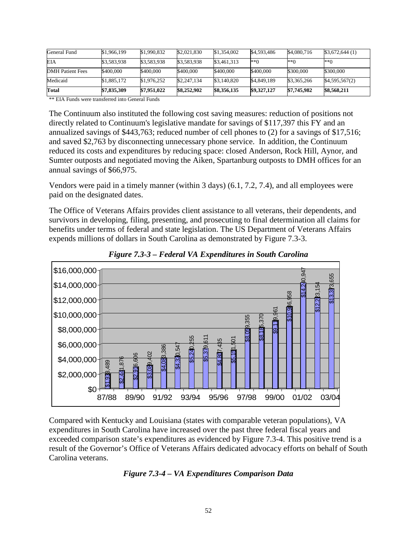| General Fund            | \$1,966,199 | \$1,990,832 | \$2,021,830 | \$1,354,002 | \$4,593,486 | \$4,080,716 | \$3,672,644(1) |
|-------------------------|-------------|-------------|-------------|-------------|-------------|-------------|----------------|
| <b>EIA</b>              | \$3,583,938 | \$3,583,938 | \$3,583,938 | \$3,461,313 | **0         | **∩         | $**0$          |
| <b>DMH</b> Patient Fees | \$400,000   | \$400,000   | \$400,000   | \$400,000   | \$400,000   | \$300,000   | \$300,000      |
| Medicaid                | \$1,885,172 | \$1,976,252 | \$2,247,134 | \$3,140,820 | \$4,849,189 | \$3,365,266 | \$4,595,567(2) |
| Total                   | \$7,835,309 | \$7,951,022 | \$8,252,902 | \$8,356,135 | \$9,327,127 | \$7,745,982 | \$8,568,211    |

\*\* EIA Funds were transferred into General Funds

The Continuum also instituted the following cost saving measures: reduction of positions not directly related to Continuum's legislative mandate for savings of \$117,397 this FY and an annualized savings of \$443,763; reduced number of cell phones to (2) for a savings of \$17,516; and saved \$2,763 by disconnecting unnecessary phone service. In addition, the Continuum reduced its costs and expenditures by reducing space: closed Anderson, Rock Hill, Aynor, and Sumter outposts and negotiated moving the Aiken, Spartanburg outposts to DMH offices for an annual savings of \$66,975.

Vendors were paid in a timely manner (within 3 days) (6.1, 7.2, 7.4), and all employees were paid on the designated dates.

The Office of Veterans Affairs provides client assistance to all veterans, their dependents, and survivors in developing, filing, presenting, and prosecuting to final determination all claims for benefits under terms of federal and state legislation. The US Department of Veterans Affairs expends millions of dollars in South Carolina as demonstrated by Figure 7.3-3.



*Figure 7.3-3 – Federal VA Expenditures in South Carolina*

Compared with Kentucky and Louisiana (states with comparable veteran populations), VA expenditures in South Carolina have increased over the past three federal fiscal years and exceeded comparison state's expenditures as evidenced by Figure 7.3-4. This positive trend is a result of the Governor's Office of Veterans Affairs dedicated advocacy efforts on behalf of South Carolina veterans.

#### *Figure 7.3-4 – VA Expenditures Comparison Data*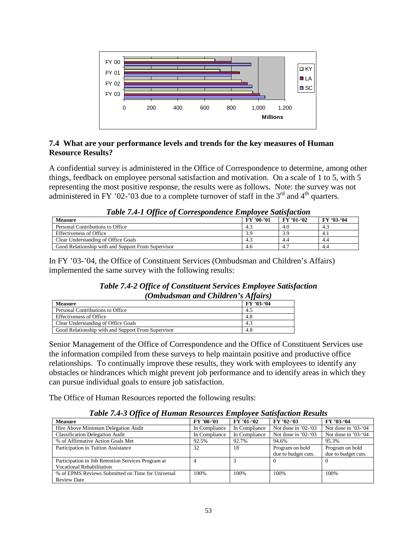

#### **7.4 What are your performance levels and trends for the key measures of Human Resource Results?**

A confidential survey is administered in the Office of Correspondence to determine, among other things, feedback on employee personal satisfaction and motivation. On a scale of 1 to 5, with 5 representing the most positive response, the results were as follows. Note: the survey was not administered in FY '02-'03 due to a complete turnover of staff in the  $3<sup>rd</sup>$  and  $4<sup>th</sup>$  quarters.

| Table 7.4-1 Office of Correspondence Employee Sansfaction |            |            |            |  |  |  |
|-----------------------------------------------------------|------------|------------|------------|--|--|--|
| <b>Measure</b>                                            | FY '00-'01 | FY '01-'02 | FY '03-'04 |  |  |  |
| Personal Contributions to Office                          | 4.3        | 4.0        | 4.3        |  |  |  |
| <b>Effectiveness of Office</b>                            | 3.9        |            | 4.1        |  |  |  |
| Clear Understanding of Office Goals                       | 4.3        | 4.4        | 4.4        |  |  |  |
| Good Relationship with and Support From Supervisor        | 4.6        |            | 4.4        |  |  |  |

|  | Table 7.4-1 Office of Correspondence Employee Satisfaction |  |
|--|------------------------------------------------------------|--|
|  |                                                            |  |

In FY '03-'04, the Office of Constituent Services (Ombudsman and Children's Affairs) implemented the same survey with the following results:

| <b>Table 7.4-2 Office of Constituent Services Employee Satisfaction</b> |
|-------------------------------------------------------------------------|
| <i>(Ombudsman and Children's Affairs)</i>                               |

| <b>Measure</b>                                     | FY '03-'04 |
|----------------------------------------------------|------------|
| Personal Contributions to Office                   | 4.5        |
| <b>Effectiveness of Office</b>                     | 4.8        |
| Clear Understanding of Office Goals                | 4.3        |
| Good Relationship with and Support From Supervisor | 4.8        |

Senior Management of the Office of Correspondence and the Office of Constituent Services use the information compiled from these surveys to help maintain positive and productive office relationships. To continually improve these results, they work with employees to identify any obstacles or hindrances which might prevent job performance and to identify areas in which they can pursue individual goals to ensure job satisfaction.

The Office of Human Resources reported the following results:

*Table 7.4-3 Office of Human Resources Employee Satisfaction Results*

| $\boldsymbol{u}$                                   |               |               |                        |                        |
|----------------------------------------------------|---------------|---------------|------------------------|------------------------|
| <b>Measure</b>                                     | FY '00-'01    | FY '01-'02    | $FY'02-03$             | FY '03-'04             |
| Hire Above Minimum Delegation Audit                | In Compliance | In Compliance | Not done in $'02-(03)$ | Not done in $'03-(04)$ |
| <b>Classification Delegation Audit</b>             | In Compliance | In Compliance | Not done in $'02-(03)$ | Not done in $'03-(04)$ |
| % of Affirmative Action Goals Met                  | 92.5%         | 92.7%         | 94.6%                  | 95.3%                  |
| Participation in Tuition Assistance                | 32            | 18            | Program on hold        | Program on hold        |
|                                                    |               |               | due to budget cuts.    | due to budget cuts.    |
| Participation in Job Retention Services Program at |               |               |                        |                        |
| <b>Vocational Rehabilitation</b>                   |               |               |                        |                        |
| % of EPMS Reviews Submitted on Time for Universal  | 100%          | 100%          | 100%                   | 100%                   |
| <b>Review Date</b>                                 |               |               |                        |                        |